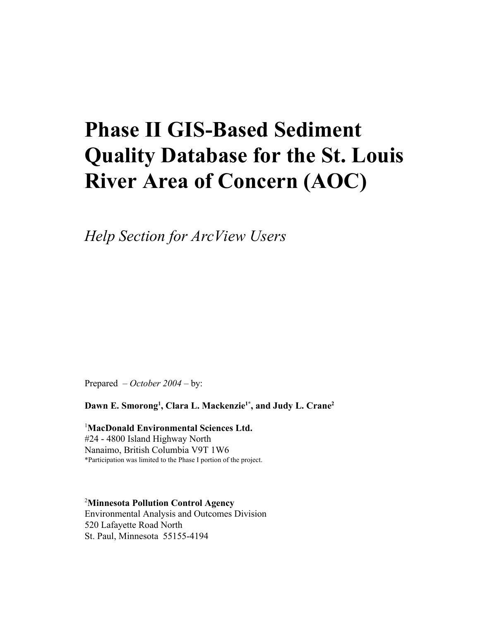# **Phase II GIS-Based Sediment Quality Database for the St. Louis River Area of Concern (AOC)**

*Help Section for ArcView Users*

Prepared – *October 2004* – by:

**Dawn E. Smorong<sup>1</sup> , Clara L. Mackenzie1\*, and Judy L. Crane<sup>2</sup>**

<sup>1</sup>**MacDonald Environmental Sciences Ltd.** #24 - 4800 Island Highway North Nanaimo, British Columbia V9T 1W6 \*Participation was limited to the Phase I portion of the project.

<sup>2</sup>**Minnesota Pollution Control Agency** Environmental Analysis and Outcomes Division 520 Lafayette Road North St. Paul, Minnesota 55155-4194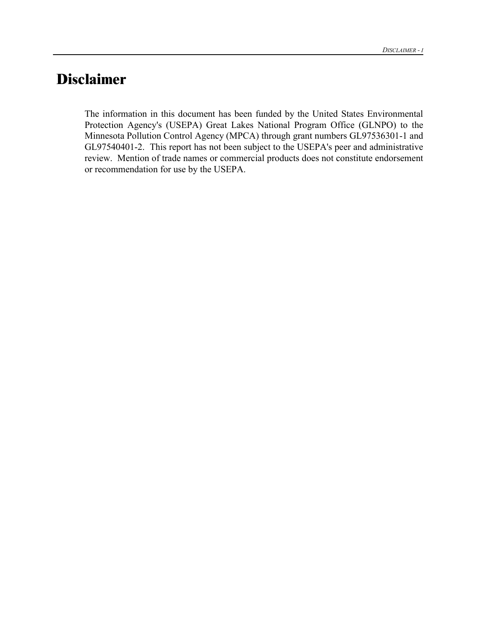## **Disclaimer**

The information in this document has been funded by the United States Environmental Protection Agency's (USEPA) Great Lakes National Program Office (GLNPO) to the Minnesota Pollution Control Agency (MPCA) through grant numbers GL97536301-1 and GL97540401-2. This report has not been subject to the USEPA's peer and administrative review. Mention of trade names or commercial products does not constitute endorsement or recommendation for use by the USEPA.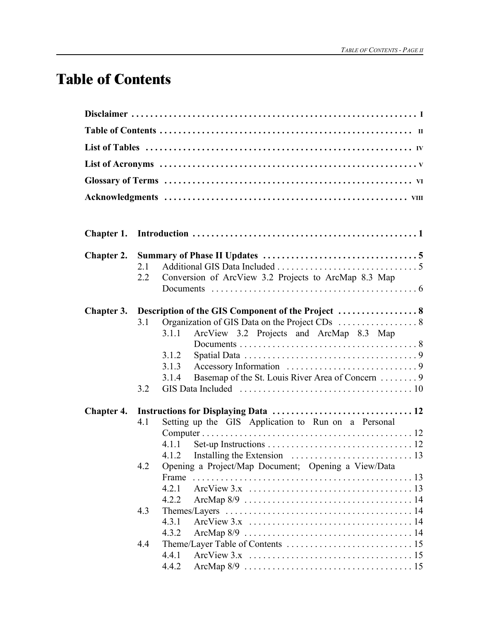## **Table of Contents**

| <b>Chapter 2.</b> |     |                                                                                                                 |  |  |  |  |
|-------------------|-----|-----------------------------------------------------------------------------------------------------------------|--|--|--|--|
|                   | 2.1 |                                                                                                                 |  |  |  |  |
|                   | 2.2 | Conversion of ArcView 3.2 Projects to ArcMap 8.3 Map                                                            |  |  |  |  |
|                   |     |                                                                                                                 |  |  |  |  |
| Chapter 3.        |     |                                                                                                                 |  |  |  |  |
|                   | 3.1 |                                                                                                                 |  |  |  |  |
|                   |     | ArcView 3.2 Projects and ArcMap 8.3 Map<br>3.1.1                                                                |  |  |  |  |
|                   |     |                                                                                                                 |  |  |  |  |
|                   |     | 3.1.2                                                                                                           |  |  |  |  |
|                   |     | 3.1.3<br>Basemap of the St. Louis River Area of Concern  9<br>3.1.4                                             |  |  |  |  |
|                   | 3.2 |                                                                                                                 |  |  |  |  |
|                   |     |                                                                                                                 |  |  |  |  |
| <b>Chapter 4.</b> | 4.1 | Setting up the GIS Application to Run on a Personal                                                             |  |  |  |  |
|                   |     |                                                                                                                 |  |  |  |  |
|                   |     | 4.1.1                                                                                                           |  |  |  |  |
|                   |     |                                                                                                                 |  |  |  |  |
|                   | 4.2 | Opening a Project/Map Document; Opening a View/Data                                                             |  |  |  |  |
|                   |     | Frame                                                                                                           |  |  |  |  |
|                   |     | 4.2.1                                                                                                           |  |  |  |  |
|                   |     | 4.2.2                                                                                                           |  |  |  |  |
|                   | 4.3 | Themes/Layers $\dots \dots \dots \dots \dots \dots \dots \dots \dots \dots \dots \dots \dots \dots 14$<br>4.3.1 |  |  |  |  |
|                   |     | 4.3.2                                                                                                           |  |  |  |  |
|                   | 4.4 |                                                                                                                 |  |  |  |  |
|                   |     | 4.4.1                                                                                                           |  |  |  |  |
|                   |     | 4.4.2                                                                                                           |  |  |  |  |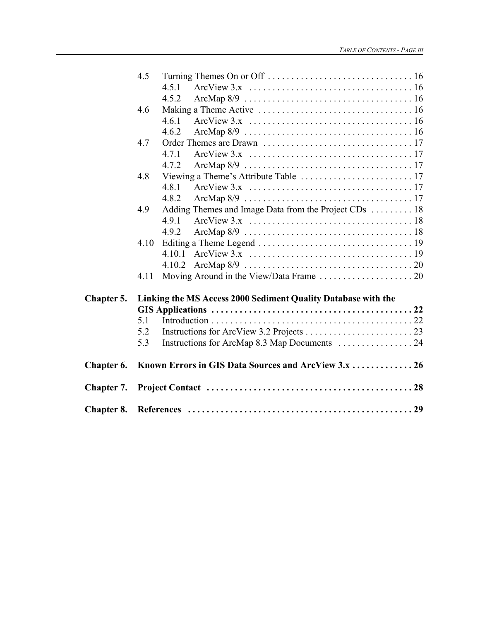|                   | 4.5  |                                                               |  |
|-------------------|------|---------------------------------------------------------------|--|
|                   |      | 4.5.1                                                         |  |
|                   |      | 4.5.2                                                         |  |
|                   | 4.6  |                                                               |  |
|                   |      | 4.6.1                                                         |  |
|                   |      | 4.6.2                                                         |  |
|                   | 4.7  |                                                               |  |
|                   |      | 4.7.1                                                         |  |
|                   |      | 4.7.2                                                         |  |
|                   | 4.8  |                                                               |  |
|                   |      | 4.8.1                                                         |  |
|                   |      | 4.8.2                                                         |  |
|                   | 4.9  | Adding Themes and Image Data from the Project CDs  18         |  |
|                   |      | 4.9.1                                                         |  |
|                   |      | 4.9.2                                                         |  |
|                   | 4.10 |                                                               |  |
|                   |      |                                                               |  |
|                   |      | 4.10.2                                                        |  |
|                   | 4.11 |                                                               |  |
| Chapter 5.        |      | Linking the MS Access 2000 Sediment Quality Database with the |  |
|                   |      |                                                               |  |
|                   | 5.1  |                                                               |  |
|                   | 5.2  |                                                               |  |
|                   | 5.3  |                                                               |  |
|                   |      |                                                               |  |
| Chapter 6.        |      | Known Errors in GIS Data Sources and ArcView 3.x  26          |  |
| <b>Chapter 7.</b> |      |                                                               |  |
| <b>Chapter 8.</b> |      |                                                               |  |
|                   |      |                                                               |  |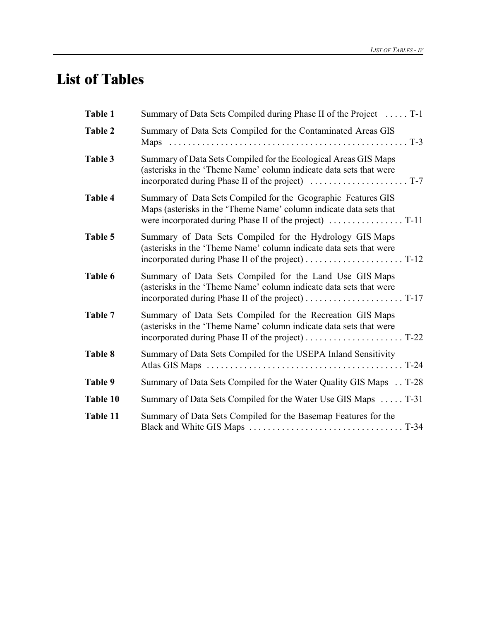## **List of Tables**

| Table 1  | Summary of Data Sets Compiled during Phase II of the Project  T-1                                                                     |
|----------|---------------------------------------------------------------------------------------------------------------------------------------|
| Table 2  | Summary of Data Sets Compiled for the Contaminated Areas GIS                                                                          |
| Table 3  | Summary of Data Sets Compiled for the Ecological Areas GIS Maps<br>(asterisks in the 'Theme Name' column indicate data sets that were |
| Table 4  | Summary of Data Sets Compiled for the Geographic Features GIS<br>Maps (asterisks in the 'Theme Name' column indicate data sets that   |
| Table 5  | Summary of Data Sets Compiled for the Hydrology GIS Maps<br>(asterisks in the 'Theme Name' column indicate data sets that were        |
| Table 6  | Summary of Data Sets Compiled for the Land Use GIS Maps<br>(asterisks in the 'Theme Name' column indicate data sets that were         |
| Table 7  | Summary of Data Sets Compiled for the Recreation GIS Maps<br>(asterisks in the 'Theme Name' column indicate data sets that were       |
| Table 8  | Summary of Data Sets Compiled for the USEPA Inland Sensitivity                                                                        |
| Table 9  | Summary of Data Sets Compiled for the Water Quality GIS Maps T-28                                                                     |
| Table 10 | Summary of Data Sets Compiled for the Water Use GIS Maps  T-31                                                                        |
| Table 11 | Summary of Data Sets Compiled for the Basemap Features for the                                                                        |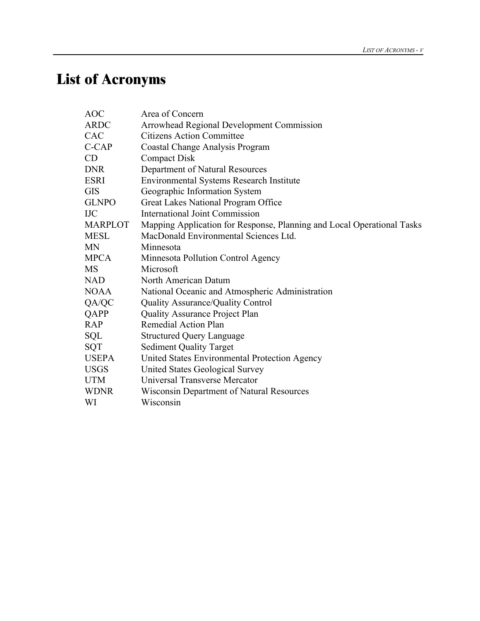# **List of Acronyms**

| AOC            | Area of Concern                                                        |
|----------------|------------------------------------------------------------------------|
| ARDC           | Arrowhead Regional Development Commission                              |
| CAC            | <b>Citizens Action Committee</b>                                       |
| C-CAP          | Coastal Change Analysis Program                                        |
| CD             | <b>Compact Disk</b>                                                    |
| DNR            | Department of Natural Resources                                        |
| ESRI           | <b>Environmental Systems Research Institute</b>                        |
| GIS            | Geographic Information System                                          |
| <b>GLNPO</b>   | Great Lakes National Program Office                                    |
| IJС            | <b>International Joint Commission</b>                                  |
| <b>MARPLOT</b> | Mapping Application for Response, Planning and Local Operational Tasks |
| MESL           | MacDonald Environmental Sciences Ltd.                                  |
| MΝ             | Minnesota                                                              |
| MPCA           | Minnesota Pollution Control Agency                                     |
| MS             | Microsoft                                                              |
| NAD            | North American Datum                                                   |
| NOAA           | National Oceanic and Atmospheric Administration                        |
| QA/QC          | Quality Assurance/Quality Control                                      |
| QAPP           | <b>Quality Assurance Project Plan</b>                                  |
| <b>RAP</b>     | Remedial Action Plan                                                   |
| SQL            | <b>Structured Query Language</b>                                       |
| SQT            | <b>Sediment Quality Target</b>                                         |
| <b>USEPA</b>   | United States Environmental Protection Agency                          |
| USGS           | United States Geological Survey                                        |
| UTM            | Universal Transverse Mercator                                          |
| WDNR           | Wisconsin Department of Natural Resources                              |
| WI             | Wisconsin                                                              |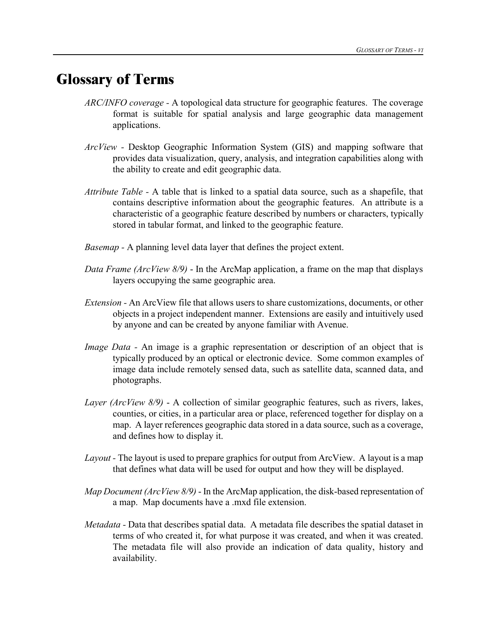## **Glossary of Terms**

- *ARC/INFO coverage -* A topological data structure for geographic features. The coverage format is suitable for spatial analysis and large geographic data management applications.
- *ArcView -* Desktop Geographic Information System (GIS) and mapping software that provides data visualization, query, analysis, and integration capabilities along with the ability to create and edit geographic data.
- *Attribute Table -* A table that is linked to a spatial data source, such as a shapefile, that contains descriptive information about the geographic features. An attribute is a characteristic of a geographic feature described by numbers or characters, typically stored in tabular format, and linked to the geographic feature.
- *Basemap* A planning level data layer that defines the project extent.
- *Data Frame (ArcView 8/9)* In the ArcMap application, a frame on the map that displays layers occupying the same geographic area.
- *Extension -* An ArcView file that allows users to share customizations, documents, or other objects in a project independent manner. Extensions are easily and intuitively used by anyone and can be created by anyone familiar with Avenue.
- *Image Data -* An image is a graphic representation or description of an object that is typically produced by an optical or electronic device. Some common examples of image data include remotely sensed data, such as satellite data, scanned data, and photographs.
- *Layer (ArcView 8/9)* A collection of similar geographic features, such as rivers, lakes, counties, or cities, in a particular area or place, referenced together for display on a map. A layer references geographic data stored in a data source, such as a coverage, and defines how to display it.
- *Layout* The layout is used to prepare graphics for output from ArcView. A layout is a map that defines what data will be used for output and how they will be displayed.
- *Map Document (ArcView 8/9)* In the ArcMap application, the disk-based representation of a map. Map documents have a .mxd file extension.
- *Metadata -* Data that describes spatial data. A metadata file describes the spatial dataset in terms of who created it, for what purpose it was created, and when it was created. The metadata file will also provide an indication of data quality, history and availability.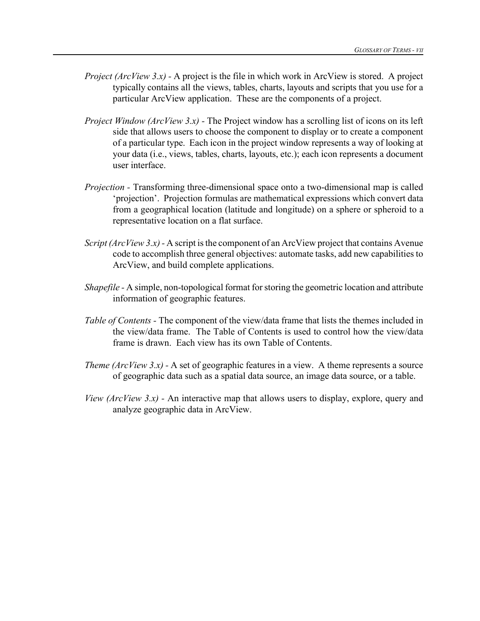- *Project (ArcView 3.x) -* A project is the file in which work in ArcView is stored. A project typically contains all the views, tables, charts, layouts and scripts that you use for a particular ArcView application. These are the components of a project.
- *Project Window (ArcView 3.x)* The Project window has a scrolling list of icons on its left side that allows users to choose the component to display or to create a component of a particular type. Each icon in the project window represents a way of looking at your data (i.e., views, tables, charts, layouts, etc.); each icon represents a document user interface.
- *Projection -* Transforming three-dimensional space onto a two-dimensional map is called 'projection'. Projection formulas are mathematical expressions which convert data from a geographical location (latitude and longitude) on a sphere or spheroid to a representative location on a flat surface.
- *Script* (*ArcView* 3.x) A script is the component of an ArcView project that contains Avenue code to accomplish three general objectives: automate tasks, add new capabilities to ArcView, and build complete applications.
- *Shapefile* A simple, non-topological format for storing the geometric location and attribute information of geographic features.
- *Table of Contents -* The component of the view/data frame that lists the themes included in the view/data frame. The Table of Contents is used to control how the view/data frame is drawn. Each view has its own Table of Contents.
- *Theme (ArcView 3.x) -* A set of geographic features in a view. A theme represents a source of geographic data such as a spatial data source, an image data source, or a table.
- *View (ArcView 3.x) -* An interactive map that allows users to display, explore, query and analyze geographic data in ArcView.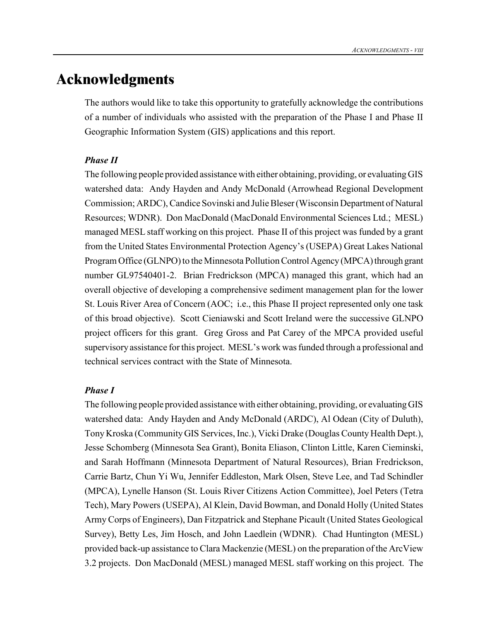## **Acknowledgments**

The authors would like to take this opportunity to gratefully acknowledge the contributions of a number of individuals who assisted with the preparation of the Phase I and Phase II Geographic Information System (GIS) applications and this report.

#### *Phase II*

The following people provided assistance with either obtaining, providing, or evaluating GIS watershed data: Andy Hayden and Andy McDonald (Arrowhead Regional Development Commission; ARDC), Candice Sovinski and Julie Bleser (Wisconsin Department of Natural Resources; WDNR). Don MacDonald (MacDonald Environmental Sciences Ltd.; MESL) managed MESL staff working on this project. Phase II of this project was funded by a grant from the United States Environmental Protection Agency's (USEPA) Great Lakes National Program Office (GLNPO) to the Minnesota Pollution Control Agency (MPCA) through grant number GL97540401-2. Brian Fredrickson (MPCA) managed this grant, which had an overall objective of developing a comprehensive sediment management plan for the lower St. Louis River Area of Concern (AOC; i.e., this Phase II project represented only one task of this broad objective). Scott Cieniawski and Scott Ireland were the successive GLNPO project officers for this grant. Greg Gross and Pat Carey of the MPCA provided useful supervisory assistance for this project. MESL's work was funded through a professional and technical services contract with the State of Minnesota.

#### *Phase I*

The following people provided assistance with either obtaining, providing, or evaluating GIS watershed data: Andy Hayden and Andy McDonald (ARDC), Al Odean (City of Duluth), Tony Kroska (Community GIS Services, Inc.), Vicki Drake (Douglas County Health Dept.), Jesse Schomberg (Minnesota Sea Grant), Bonita Eliason, Clinton Little, Karen Cieminski, and Sarah Hoffmann (Minnesota Department of Natural Resources), Brian Fredrickson, Carrie Bartz, Chun Yi Wu, Jennifer Eddleston, Mark Olsen, Steve Lee, and Tad Schindler (MPCA), Lynelle Hanson (St. Louis River Citizens Action Committee), Joel Peters (Tetra Tech), Mary Powers (USEPA), Al Klein, David Bowman, and Donald Holly (United States Army Corps of Engineers), Dan Fitzpatrick and Stephane Picault (United States Geological Survey), Betty Les, Jim Hosch, and John Laedlein (WDNR). Chad Huntington (MESL) provided back-up assistance to Clara Mackenzie (MESL) on the preparation of the ArcView 3.2 projects. Don MacDonald (MESL) managed MESL staff working on this project. The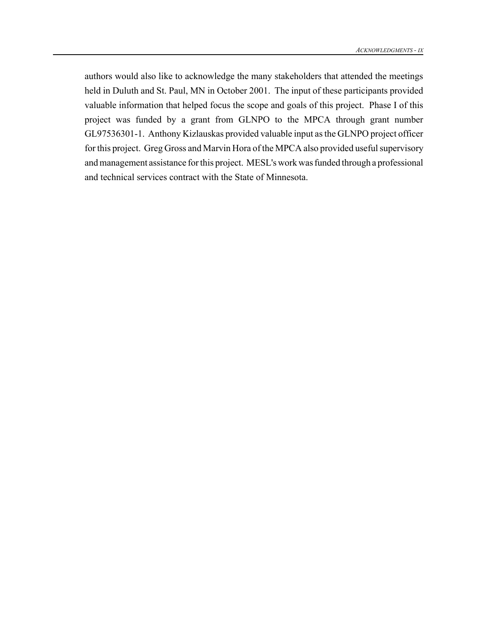authors would also like to acknowledge the many stakeholders that attended the meetings held in Duluth and St. Paul, MN in October 2001. The input of these participants provided valuable information that helped focus the scope and goals of this project. Phase I of this project was funded by a grant from GLNPO to the MPCA through grant number GL97536301-1. Anthony Kizlauskas provided valuable input as the GLNPO project officer for this project. Greg Gross and Marvin Hora of the MPCA also provided useful supervisory andmanagement assistance forthis project. MESL's work was funded through a professional and technical services contract with the State of Minnesota.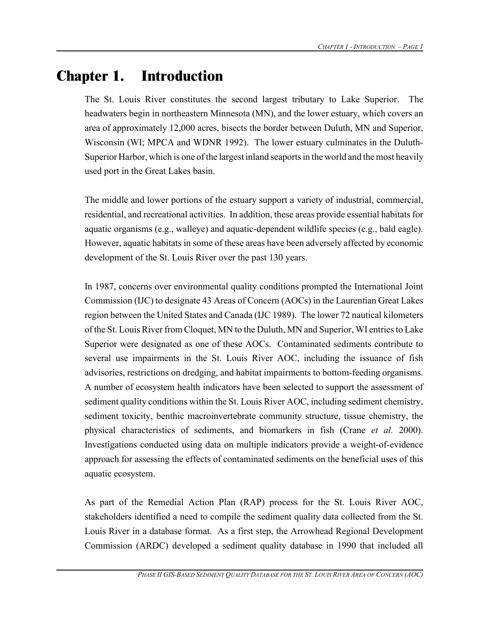## **Chapter 1. Introduction**

The St. Louis River constitutes the second largest tributary to Lake Superior. The headwaters begin in northeastern Minnesota (MN), and the lower estuary, which covers an area of approximately 12,000 acres, bisects the border between Duluth, MN and Superior, Wisconsin (WI; MPCA and WDNR 1992). The lower estuary culminates in the Duluth-Superior Harbor, which is one of the largest inland seaportsin the world and the most heavily used port in the Great Lakes basin.

The middle and lower portions of the estuary support a variety of industrial, commercial, residential, and recreational activities. In addition, these areas provide essential habitats for aquatic organisms (e.g., walleye) and aquatic-dependent wildlife species (e.g., bald eagle). However, aquatic habitats in some of these areas have been adversely affected by economic development of the St. Louis River over the past 130 years.

In 1987, concerns over environmental quality conditions prompted the International Joint Commission (IJC) to designate 43 Areas of Concern (AOCs) in the Laurentian Great Lakes region between the United States and Canada (IJC 1989). The lower 72 nautical kilometers of the St. Louis River from Cloquet, MN to the Duluth, MN and Superior, WI entries to Lake Superior were designated as one of these AOCs. Contaminated sediments contribute to several use impairments in the St. Louis River AOC, including the issuance of fish advisories, restrictions on dredging, and habitat impairments to bottom-feeding organisms. A number of ecosystem health indicators have been selected to support the assessment of sediment quality conditions within the St. Louis River AOC, including sediment chemistry, sediment toxicity, benthic macroinvertebrate community structure, tissue chemistry, the physical characteristics of sediments, and biomarkers in fish (Crane *et al.* 2000). Investigations conducted using data on multiple indicators provide a weight-of-evidence approach for assessing the effects of contaminated sediments on the beneficial uses of this aquatic ecosystem.

As part of the Remedial Action Plan (RAP) process for the St. Louis River AOC, stakeholders identified a need to compile the sediment quality data collected from the St. Louis River in a database format. As a first step, the Arrowhead Regional Development Commission (ARDC) developed a sediment quality database in 1990 that included all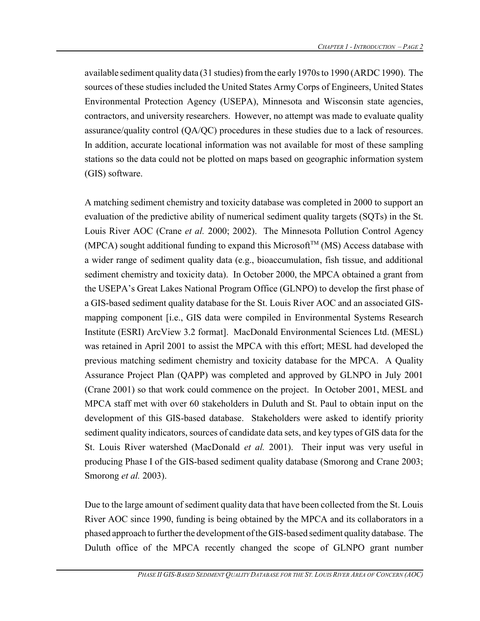available sediment quality data (31 studies) from the early 1970s to 1990 (ARDC 1990). The sources of these studies included the United States Army Corps of Engineers, United States Environmental Protection Agency (USEPA), Minnesota and Wisconsin state agencies, contractors, and university researchers. However, no attempt was made to evaluate quality assurance/quality control (QA/QC) procedures in these studies due to a lack of resources. In addition, accurate locational information was not available for most of these sampling stations so the data could not be plotted on maps based on geographic information system (GIS) software.

A matching sediment chemistry and toxicity database was completed in 2000 to support an evaluation of the predictive ability of numerical sediment quality targets (SQTs) in the St. Louis River AOC (Crane *et al.* 2000; 2002). The Minnesota Pollution Control Agency (MPCA) sought additional funding to expand this Microsoft<sup>TM</sup> (MS) Access database with a wider range of sediment quality data (e.g., bioaccumulation, fish tissue, and additional sediment chemistry and toxicity data). In October 2000, the MPCA obtained a grant from the USEPA's Great Lakes National Program Office (GLNPO) to develop the first phase of a GIS-based sediment quality database for the St. Louis River AOC and an associated GISmapping component [i.e., GIS data were compiled in Environmental Systems Research Institute (ESRI) ArcView 3.2 format]. MacDonald Environmental Sciences Ltd. (MESL) was retained in April 2001 to assist the MPCA with this effort; MESL had developed the previous matching sediment chemistry and toxicity database for the MPCA. A Quality Assurance Project Plan (QAPP) was completed and approved by GLNPO in July 2001 (Crane 2001) so that work could commence on the project. In October 2001, MESL and MPCA staff met with over 60 stakeholders in Duluth and St. Paul to obtain input on the development of this GIS-based database. Stakeholders were asked to identify priority sediment quality indicators, sources of candidate data sets, and key types of GIS data for the St. Louis River watershed (MacDonald *et al.* 2001). Their input was very useful in producing Phase I of the GIS-based sediment quality database (Smorong and Crane 2003; Smorong *et al.* 2003).

Due to the large amount of sediment quality data that have been collected from the St. Louis River AOC since 1990, funding is being obtained by the MPCA and its collaborators in a phased approach to further the development of the GIS-based sediment quality database. The Duluth office of the MPCA recently changed the scope of GLNPO grant number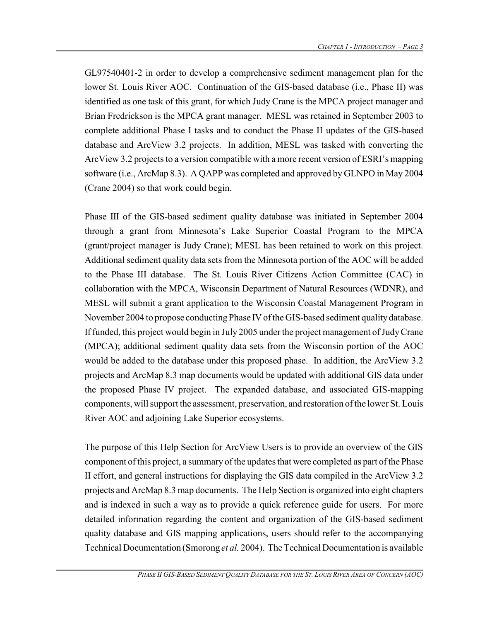GL97540401-2 in order to develop a comprehensive sediment management plan for the lower St. Louis River AOC. Continuation of the GIS-based database (i.e., Phase II) was identified as one task of this grant, for which Judy Crane is the MPCA project manager and Brian Fredrickson is the MPCA grant manager. MESL was retained in September 2003 to complete additional Phase I tasks and to conduct the Phase II updates of the GIS-based database and ArcView 3.2 projects. In addition, MESL was tasked with converting the ArcView 3.2 projects to a version compatible with a more recent version of ESRI's mapping software (i.e., ArcMap 8.3). A QAPP was completed and approved by GLNPO in May 2004 (Crane 2004) so that work could begin.

Phase III of the GIS-based sediment quality database was initiated in September 2004 through a grant from Minnesota's Lake Superior Coastal Program to the MPCA (grant/project manager is Judy Crane); MESL has been retained to work on this project. Additional sediment quality data sets from the Minnesota portion of the AOC will be added to the Phase III database. The St. Louis River Citizens Action Committee (CAC) in collaboration with the MPCA, Wisconsin Department of Natural Resources (WDNR), and MESL will submit a grant application to the Wisconsin Coastal Management Program in November 2004 to propose conducting Phase IV of the GIS-based sediment quality database. If funded, this project would begin in July 2005 under the project management of Judy Crane (MPCA); additional sediment quality data sets from the Wisconsin portion of the AOC would be added to the database under this proposed phase. In addition, the ArcView 3.2 projects and ArcMap 8.3 map documents would be updated with additional GIS data under the proposed Phase IV project. The expanded database, and associated GIS-mapping components, will support the assessment, preservation, and restoration of the lower St. Louis River AOC and adjoining Lake Superior ecosystems.

The purpose of this Help Section for ArcView Users is to provide an overview of the GIS component of this project, a summary of the updates that were completed as part of the Phase II effort, and general instructions for displaying the GIS data compiled in the ArcView 3.2 projects and ArcMap 8.3 map documents. The Help Section is organized into eight chapters and is indexed in such a way as to provide a quick reference guide for users. For more detailed information regarding the content and organization of the GIS-based sediment quality database and GIS mapping applications, users should refer to the accompanying Technical Documentation (Smorong *et al.* 2004). The Technical Documentation is available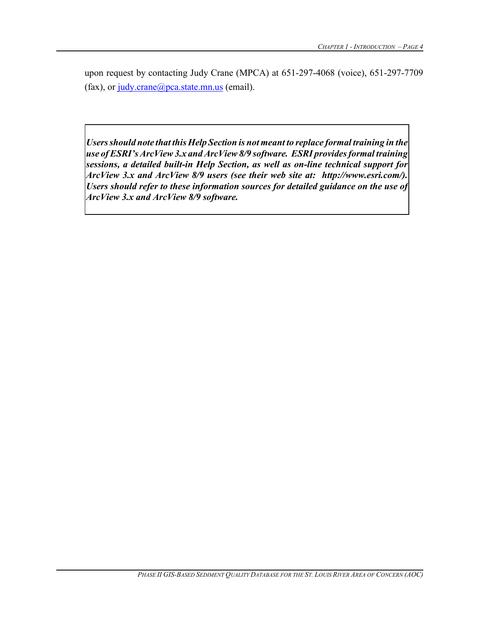upon request by contacting Judy Crane (MPCA) at 651-297-4068 (voice), 651-297-7709 (fax), or  $judy.crane@pca.state.mn.us$  (email).

*Usersshould note that this Help Section is not meant to replace formal training in the use ofESRI'sArcView3.x and ArcView 8/9 software. ESRI provides formal training sessions, a detailed built-in Help Section, as well as on-line technical support for ArcView 3.x and ArcView 8/9 users (see their web site at: http://www.esri.com/). Users should refer to these information sources for detailed guidance on the use of ArcView 3.x and ArcView 8/9 software.*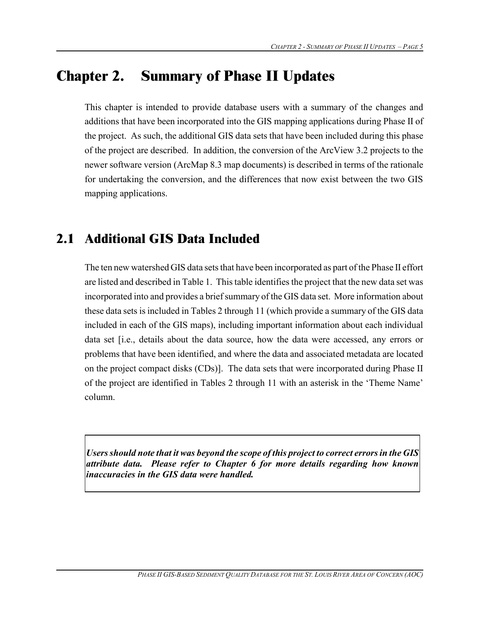## **Chapter 2. Summary of Phase II Updates**

This chapter is intended to provide database users with a summary of the changes and additions that have been incorporated into the GIS mapping applications during Phase II of the project. As such, the additional GIS data sets that have been included during this phase of the project are described. In addition, the conversion of the ArcView 3.2 projects to the newer software version (ArcMap 8.3 map documents) is described in terms of the rationale for undertaking the conversion, and the differences that now exist between the two GIS mapping applications.

### **2.1 Additional GIS Data Included**

The ten new watershed GIS data sets that have been incorporated as part of the Phase II effort are listed and described in Table 1. This table identifies the project that the new data set was incorporated into and provides a briefsummary of the GIS data set. More information about these data sets isincluded in Tables 2 through 11 (which provide a summary of the GIS data included in each of the GIS maps), including important information about each individual data set [i.e., details about the data source, how the data were accessed, any errors or problems that have been identified, and where the data and associated metadata are located on the project compact disks (CDs)]. The data sets that were incorporated during Phase II of the project are identified in Tables 2 through 11 with an asterisk in the 'Theme Name' column.

*Usersshould note that it was beyond the scope of this project to correct errorsin the GIS attribute data. Please refer to Chapter 6 for more details regarding how known inaccuracies in the GIS data were handled.*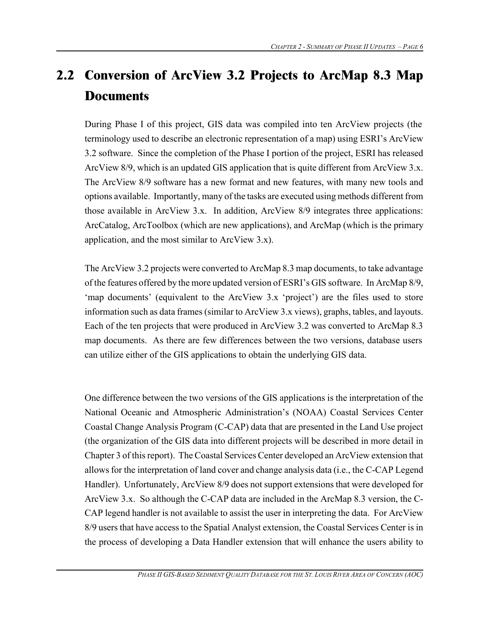## **2.2 Conversion of ArcView 3.2 Projects to ArcMap 8.3 Map Documents**

During Phase I of this project, GIS data was compiled into ten ArcView projects (the terminology used to describe an electronic representation of a map) using ESRI's ArcView 3.2 software. Since the completion of the Phase I portion of the project, ESRI has released ArcView 8/9, which is an updated GIS application that is quite different from ArcView 3.x. The ArcView 8/9 software has a new format and new features, with many new tools and options available. Importantly, many of the tasks are executed using methods different from those available in ArcView 3.x. In addition, ArcView 8/9 integrates three applications: ArcCatalog, ArcToolbox (which are new applications), and ArcMap (which is the primary application, and the most similar to ArcView 3.x).

The ArcView 3.2 projects were converted to ArcMap 8.3 map documents, to take advantage of the features offered by the more updated version of ESRI's GIS software. In ArcMap 8/9, 'map documents' (equivalent to the ArcView 3.x 'project') are the files used to store information such as data frames (similar to ArcView 3.x views), graphs, tables, and layouts. Each of the ten projects that were produced in ArcView 3.2 was converted to ArcMap 8.3 map documents. As there are few differences between the two versions, database users can utilize either of the GIS applications to obtain the underlying GIS data.

One difference between the two versions of the GIS applications is the interpretation of the National Oceanic and Atmospheric Administration's (NOAA) Coastal Services Center Coastal Change Analysis Program (C-CAP) data that are presented in the Land Use project (the organization of the GIS data into different projects will be described in more detail in Chapter 3 of thisreport). The Coastal Services Center developed an ArcView extension that allows for the interpretation of land cover and change analysis data (i.e., the C-CAP Legend Handler). Unfortunately, ArcView 8/9 does not support extensions that were developed for ArcView 3.x. So although the C-CAP data are included in the ArcMap 8.3 version, the C-CAP legend handler is not available to assist the user in interpreting the data. For ArcView 8/9 users that have access to the Spatial Analyst extension, the Coastal Services Center is in the process of developing a Data Handler extension that will enhance the users ability to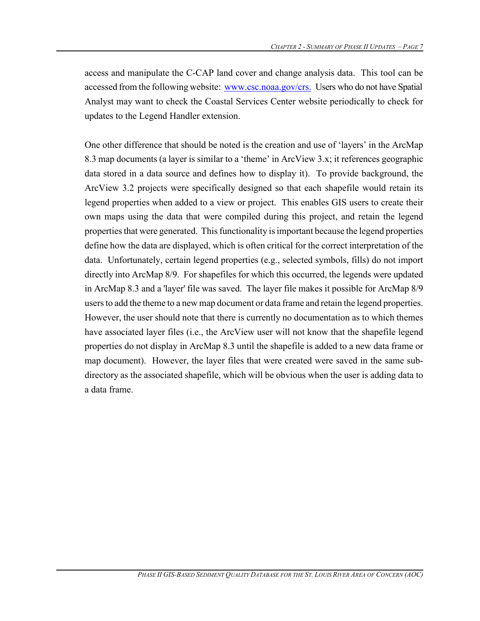access and manipulate the C-CAP land cover and change analysis data. This tool can be accessed from the following website: www.csc.noaa.gov/crs. Users who do not have Spatial Analyst may want to check the Coastal Services Center website periodically to check for updates to the Legend Handler extension.

One other difference that should be noted is the creation and use of 'layers' in the ArcMap 8.3 map documents (a layer is similar to a 'theme' in ArcView 3.x; it references geographic data stored in a data source and defines how to display it). To provide background, the ArcView 3.2 projects were specifically designed so that each shapefile would retain its legend properties when added to a view or project. This enables GIS users to create their own maps using the data that were compiled during this project, and retain the legend properties that were generated. This functionality is important because the legend properties define how the data are displayed, which is often critical for the correct interpretation of the data. Unfortunately, certain legend properties (e.g., selected symbols, fills) do not import directly into ArcMap 8/9. For shapefiles for which this occurred, the legends were updated in ArcMap 8.3 and a 'layer' file was saved. The layer file makes it possible for ArcMap 8/9 users to add the theme to a new map document or data frame and retain the legend properties. However, the user should note that there is currently no documentation as to which themes have associated layer files (i.e., the ArcView user will not know that the shapefile legend properties do not display in ArcMap 8.3 until the shapefile is added to a new data frame or map document). However, the layer files that were created were saved in the same subdirectory as the associated shapefile, which will be obvious when the user is adding data to a data frame.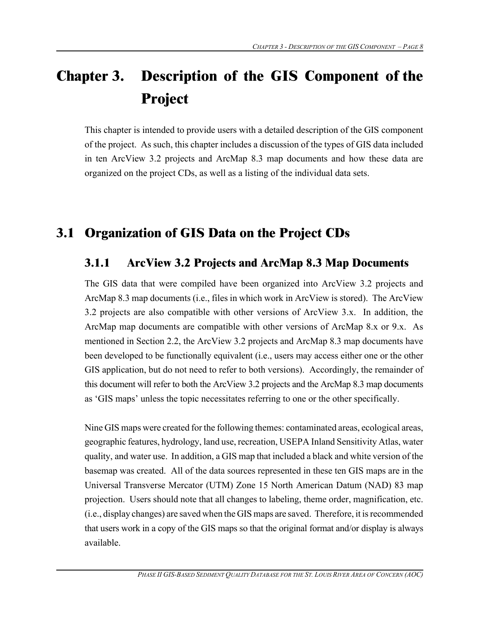## **Chapter 3. Description of the GIS Component of the Project**

This chapter is intended to provide users with a detailed description of the GIS component of the project. As such, this chapter includes a discussion of the types of GIS data included in ten ArcView 3.2 projects and ArcMap 8.3 map documents and how these data are organized on the project CDs, as well as a listing of the individual data sets.

## **3.1 Organization of GIS Data on the Project CDs**

#### **3.1.1 ArcView 3.2 Projects and ArcMap 8.3 Map Documents**

The GIS data that were compiled have been organized into ArcView 3.2 projects and ArcMap 8.3 map documents (i.e., files in which work in ArcView is stored). The ArcView 3.2 projects are also compatible with other versions of ArcView 3.x. In addition, the ArcMap map documents are compatible with other versions of ArcMap 8.x or 9.x. As mentioned in Section 2.2, the ArcView 3.2 projects and ArcMap 8.3 map documents have been developed to be functionally equivalent (i.e., users may access either one or the other GIS application, but do not need to refer to both versions). Accordingly, the remainder of this document will refer to both the ArcView 3.2 projects and the ArcMap 8.3 map documents as 'GIS maps' unless the topic necessitates referring to one or the other specifically.

Nine GIS maps were created for the following themes: contaminated areas, ecological areas, geographic features, hydrology, land use, recreation, USEPA Inland Sensitivity Atlas, water quality, and water use. In addition, a GIS map that included a black and white version of the basemap was created. All of the data sources represented in these ten GIS maps are in the Universal Transverse Mercator (UTM) Zone 15 North American Datum (NAD) 83 map projection. Users should note that all changes to labeling, theme order, magnification, etc. (i.e., display changes) are saved when the GIS maps are saved. Therefore, it is recommended that users work in a copy of the GIS maps so that the original format and/or display is always available.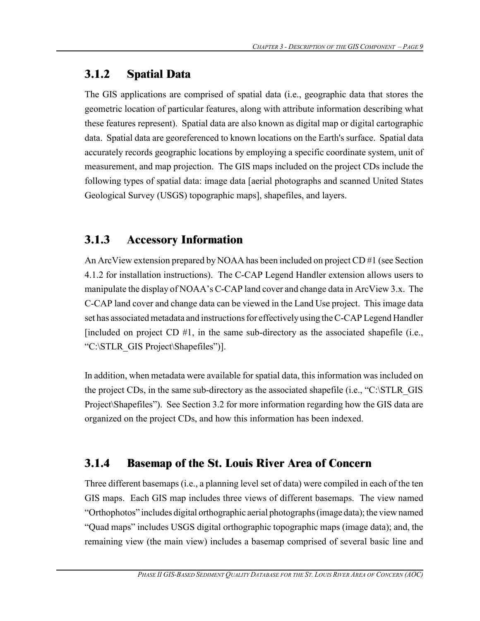#### **3.1.2 Spatial Data**

The GIS applications are comprised of spatial data (i.e., geographic data that stores the geometric location of particular features, along with attribute information describing what these features represent). Spatial data are also known as digital map or digital cartographic data. Spatial data are georeferenced to known locations on the Earth's surface. Spatial data accurately records geographic locations by employing a specific coordinate system, unit of measurement, and map projection. The GIS maps included on the project CDs include the following types of spatial data: image data [aerial photographs and scanned United States Geological Survey (USGS) topographic maps], shapefiles, and layers.

#### **3.1.3 Accessory Information**

An ArcView extension prepared by NOAA has been included on project CD #1 (see Section 4.1.2 for installation instructions). The C-CAP Legend Handler extension allows users to manipulate the display of NOAA's C-CAP land cover and change data in ArcView 3.x. The C-CAP land cover and change data can be viewed in the Land Use project. This image data set has associated metadata and instructions for effectively using the C-CAP Legend Handler [included on project CD  $#1$ , in the same sub-directory as the associated shapefile (i.e., "C:\STLR\_GIS Project\Shapefiles")].

In addition, when metadata were available for spatial data, this information was included on the project CDs, in the same sub-directory as the associated shapefile (i.e., "C:\STLR\_GIS Project\Shapefiles"). See Section 3.2 for more information regarding how the GIS data are organized on the project CDs, and how this information has been indexed.

#### **3.1.4 Basemap of the St. Louis River Area of Concern**

Three different basemaps (i.e., a planning level set of data) were compiled in each of the ten GIS maps. Each GIS map includes three views of different basemaps. The view named "Orthophotos" includes digital orthographic aerial photographs (image data); the view named "Quad maps" includes USGS digital orthographic topographic maps (image data); and, the remaining view (the main view) includes a basemap comprised of several basic line and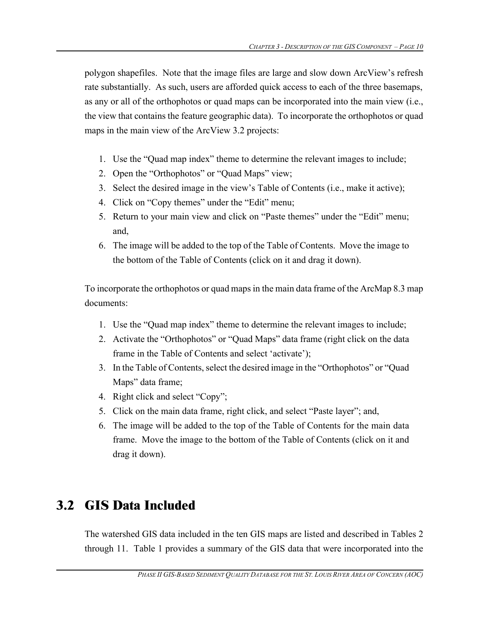polygon shapefiles. Note that the image files are large and slow down ArcView's refresh rate substantially. As such, users are afforded quick access to each of the three basemaps, as any or all of the orthophotos or quad maps can be incorporated into the main view (i.e., the view that contains the feature geographic data). To incorporate the orthophotos or quad maps in the main view of the ArcView 3.2 projects:

- 1. Use the "Quad map index" theme to determine the relevant images to include;
- 2. Open the "Orthophotos" or "Quad Maps" view;
- 3. Select the desired image in the view's Table of Contents (i.e., make it active);
- 4. Click on "Copy themes" under the "Edit" menu;
- 5. Return to your main view and click on "Paste themes" under the "Edit" menu; and,
- 6. The image will be added to the top of the Table of Contents. Move the image to the bottom of the Table of Contents (click on it and drag it down).

To incorporate the orthophotos or quad maps in the main data frame of the ArcMap 8.3 map documents:

- 1. Use the "Quad map index" theme to determine the relevant images to include;
- 2. Activate the "Orthophotos" or "Quad Maps" data frame (right click on the data frame in the Table of Contents and select 'activate');
- 3. In the Table of Contents, select the desired image in the "Orthophotos" or "Quad Maps" data frame;
- 4. Right click and select "Copy";
- 5. Click on the main data frame, right click, and select "Paste layer"; and,
- 6. The image will be added to the top of the Table of Contents for the main data frame. Move the image to the bottom of the Table of Contents (click on it and drag it down).

## **3.2 GIS Data Included**

The watershed GIS data included in the ten GIS maps are listed and described in Tables 2 through 11. Table 1 provides a summary of the GIS data that were incorporated into the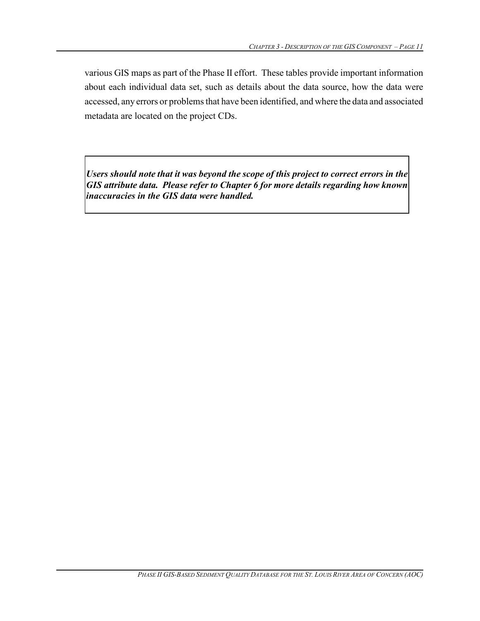various GIS maps as part of the Phase II effort. These tables provide important information about each individual data set, such as details about the data source, how the data were accessed, any errors or problems that have been identified, and where the data and associated metadata are located on the project CDs.

*Users should note that it was beyond the scope of this project to correct errors in the GIS attribute data. Please refer to Chapter 6 for more details regarding how known inaccuracies in the GIS data were handled.*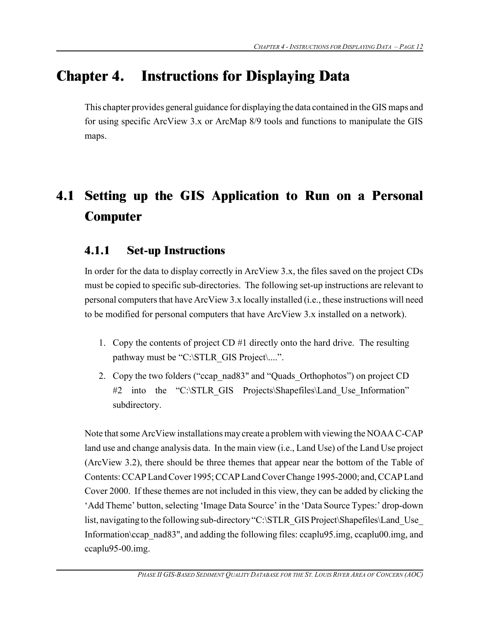## **Chapter 4. Instructions for Displaying Data**

This chapter provides general guidance for displaying the data contained in the GIS maps and for using specific ArcView 3.x or ArcMap 8/9 tools and functions to manipulate the GIS maps.

## **4.1 Setting up the GIS Application to Run on a Personal Computer**

#### **4.1.1 Set-up Instructions**

In order for the data to display correctly in ArcView 3.x, the files saved on the project CDs must be copied to specific sub-directories. The following set-up instructions are relevant to personal computers that have ArcView 3.x locally installed (i.e., these instructions will need to be modified for personal computers that have ArcView 3.x installed on a network).

- 1. Copy the contents of project CD #1 directly onto the hard drive. The resulting pathway must be "C:\STLR\_GIS Project\....".
- 2. Copy the two folders ("ccap\_nad83" and "Quads\_Orthophotos") on project CD #2 into the "C:\STLR GIS Projects\Shapefiles\Land Use Information" subdirectory.

Note that some ArcView installations may create a problem with viewing the NOAA C-CAP land use and change analysis data. In the main view (i.e., Land Use) of the Land Use project (ArcView 3.2), there should be three themes that appear near the bottom of the Table of Contents: CCAP Land Cover 1995; CCAP Land Cover Change 1995-2000; and, CCAP Land Cover 2000. If these themes are not included in this view, they can be added by clicking the 'Add Theme' button, selecting 'Image Data Source' in the 'Data Source Types:' drop-down list, navigating to the following sub-directory "C:\STLR\_GIS Project\Shapefiles\Land\_Use Information\ccap\_nad83", and adding the following files: ccaplu95.img, ccaplu00.img, and ccaplu95-00.img.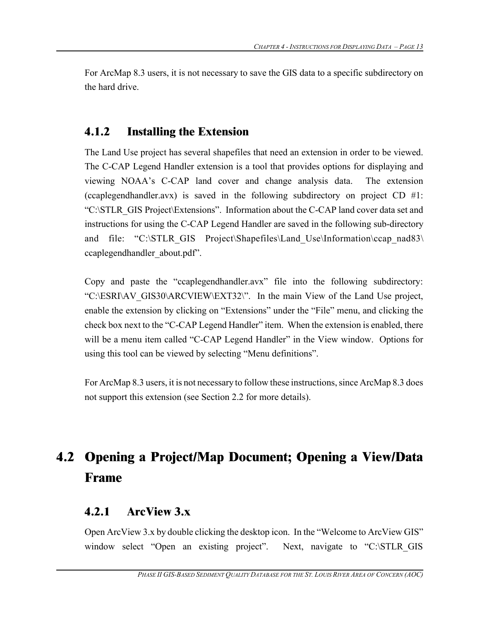For ArcMap 8.3 users, it is not necessary to save the GIS data to a specific subdirectory on the hard drive.

#### **4.1.2 Installing the Extension**

The Land Use project has several shapefiles that need an extension in order to be viewed. The C-CAP Legend Handler extension is a tool that provides options for displaying and viewing NOAA's C-CAP land cover and change analysis data. The extension (ccaplegendhandler.avx) is saved in the following subdirectory on project CD #1: "C:\STLR\_GIS Project\Extensions". Information about the C-CAP land cover data set and instructions for using the C-CAP Legend Handler are saved in the following sub-directory and file: "C:\STLR\_GIS Project\Shapefiles\Land Use\Information\ccap\_nad83\ ccaplegendhandler\_about.pdf".

Copy and paste the "ccaplegendhandler.avx" file into the following subdirectory: "C:\ESRI\AV\_GIS30\ARCVIEW\EXT32\". In the main View of the Land Use project, enable the extension by clicking on "Extensions" under the "File" menu, and clicking the check box next to the "C-CAP Legend Handler" item. When the extension is enabled, there will be a menu item called "C-CAP Legend Handler" in the View window. Options for using this tool can be viewed by selecting "Menu definitions".

For ArcMap 8.3 users, it is not necessary to follow these instructions, since ArcMap 8.3 does not support this extension (see Section 2.2 for more details).

## **4.2 Opening a Project/Map Document; Opening a View/Data Frame**

#### **4.2.1 ArcView 3.x**

Open ArcView 3.x by double clicking the desktop icon. In the "Welcome to ArcView GIS" window select "Open an existing project". Next, navigate to "C:\STLR GIS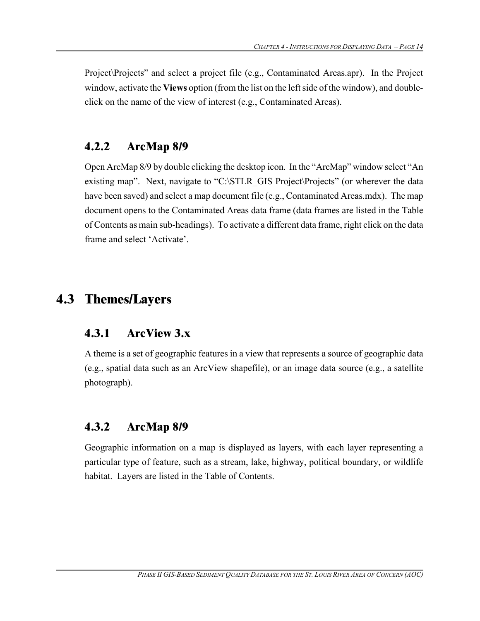Project\Projects" and select a project file (e.g., Contaminated Areas.apr). In the Project window, activate the **Views** option (from the list on the leftside of the window), and doubleclick on the name of the view of interest (e.g., Contaminated Areas).

#### **4.2.2 ArcMap 8/9**

Open ArcMap 8/9 by double clicking the desktop icon. In the "ArcMap" window select "An existing map". Next, navigate to "C:\STLR\_GIS Project\Projects" (or wherever the data have been saved) and select a map document file (e.g., Contaminated Areas.mdx). The map document opens to the Contaminated Areas data frame (data frames are listed in the Table of Contents as main sub-headings). To activate a different data frame, right click on the data frame and select 'Activate'.

## **4.3 Themes/Layers**

### **4.3.1 ArcView 3.x**

A theme is a set of geographic features in a view that represents a source of geographic data (e.g., spatial data such as an ArcView shapefile), or an image data source (e.g., a satellite photograph).

#### **4.3.2 ArcMap 8/9**

Geographic information on a map is displayed as layers, with each layer representing a particular type of feature, such as a stream, lake, highway, political boundary, or wildlife habitat. Layers are listed in the Table of Contents.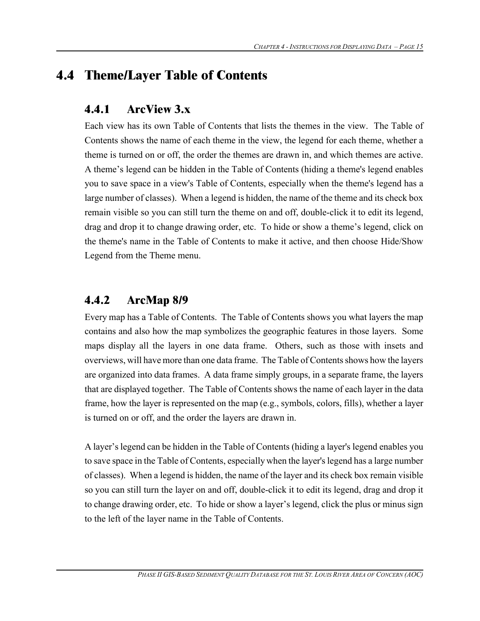### **4.4 Theme/Layer Table of Contents**

#### **4.4.1 ArcView 3.x**

Each view has its own Table of Contents that lists the themes in the view. The Table of Contents shows the name of each theme in the view, the legend for each theme, whether a theme is turned on or off, the order the themes are drawn in, and which themes are active. A theme's legend can be hidden in the Table of Contents (hiding a theme's legend enables you to save space in a view's Table of Contents, especially when the theme's legend has a large number of classes). When a legend is hidden, the name of the theme and its check box remain visible so you can still turn the theme on and off, double-click it to edit its legend, drag and drop it to change drawing order, etc. To hide or show a theme's legend, click on the theme's name in the Table of Contents to make it active, and then choose Hide/Show Legend from the Theme menu.

#### **4.4.2 ArcMap 8/9**

Every map has a Table of Contents. The Table of Contents shows you what layers the map contains and also how the map symbolizes the geographic features in those layers. Some maps display all the layers in one data frame. Others, such as those with insets and overviews, will have more than one data frame. The Table of Contents shows how the layers are organized into data frames. A data frame simply groups, in a separate frame, the layers that are displayed together. The Table of Contents shows the name of each layer in the data frame, how the layer is represented on the map (e.g., symbols, colors, fills), whether a layer is turned on or off, and the order the layers are drawn in.

A layer's legend can be hidden in the Table of Contents (hiding a layer's legend enables you to save space in the Table of Contents, especially when the layer'slegend has a large number of classes). When a legend is hidden, the name of the layer and its check box remain visible so you can still turn the layer on and off, double-click it to edit its legend, drag and drop it to change drawing order, etc. To hide or show a layer's legend, click the plus or minus sign to the left of the layer name in the Table of Contents.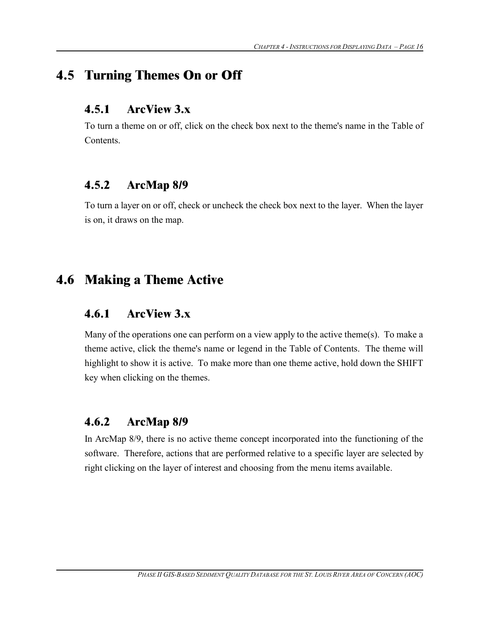### **4.5 Turning Themes On or Off**

#### **4.5.1 ArcView 3.x**

To turn a theme on or off, click on the check box next to the theme's name in the Table of Contents.

#### **4.5.2 ArcMap 8/9**

To turn a layer on or off, check or uncheck the check box next to the layer. When the layer is on, it draws on the map.

### **4.6 Making a Theme Active**

#### **4.6.1 ArcView 3.x**

Many of the operations one can perform on a view apply to the active theme(s). To make a theme active, click the theme's name or legend in the Table of Contents. The theme will highlight to show it is active. To make more than one theme active, hold down the SHIFT key when clicking on the themes.

#### **4.6.2 ArcMap 8/9**

In ArcMap 8/9, there is no active theme concept incorporated into the functioning of the software. Therefore, actions that are performed relative to a specific layer are selected by right clicking on the layer of interest and choosing from the menu items available.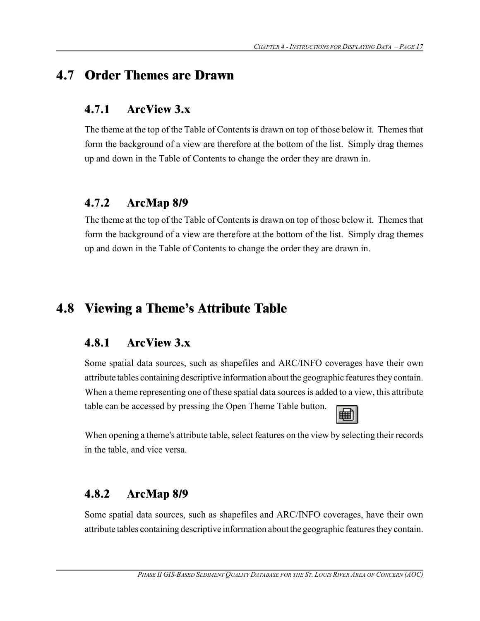### **4.7 Order Themes are Drawn**

#### **4.7.1 ArcView 3.x**

The theme at the top of the Table of Contentsis drawn on top of those below it. Themes that form the background of a view are therefore at the bottom of the list. Simply drag themes up and down in the Table of Contents to change the order they are drawn in.

#### **4.7.2 ArcMap 8/9**

The theme at the top of the Table of Contentsis drawn on top of those below it. Themes that form the background of a view are therefore at the bottom of the list. Simply drag themes up and down in the Table of Contents to change the order they are drawn in.

## **4.8 Viewing a Theme's Attribute Table**

#### **4.8.1 ArcView 3.x**

Some spatial data sources, such as shapefiles and ARC/INFO coverages have their own attribute tables containing descriptive information about the geographic features they contain. When a theme representing one of these spatial data sources is added to a view, this attribute table can be accessed by pressing the Open Theme Table button.



When opening a theme's attribute table, select features on the view by selecting their records in the table, and vice versa.

#### **4.8.2 ArcMap 8/9**

Some spatial data sources, such as shapefiles and ARC/INFO coverages, have their own attribute tables containing descriptive information about the geographic features they contain.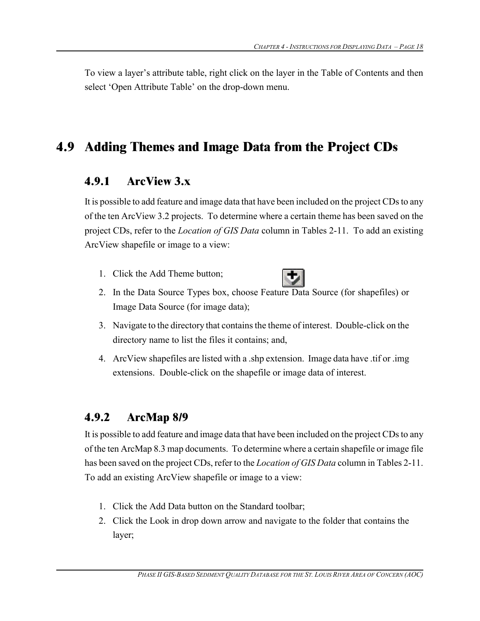To view a layer's attribute table, right click on the layer in the Table of Contents and then select 'Open Attribute Table' on the drop-down menu.

## **4.9 Adding Themes and Image Data from the Project CDs**

#### **4.9.1 ArcView 3.x**

It is possible to add feature and image data that have been included on the project CDs to any of the ten ArcView 3.2 projects. To determine where a certain theme has been saved on the project CDs, refer to the *Location of GIS Data* column in Tables 2-11. To add an existing ArcView shapefile or image to a view:

1. Click the Add Theme button;



- 2. In the Data Source Types box, choose Feature Data Source (for shapefiles) or Image Data Source (for image data);
- 3. Navigate to the directory that containsthe theme of interest. Double-click on the directory name to list the files it contains; and,
- 4. ArcView shapefiles are listed with a .shp extension. Image data have .tif or .img extensions. Double-click on the shapefile or image data of interest.

### **4.9.2 ArcMap 8/9**

It is possible to add feature and image data that have been included on the project CDs to any of the ten ArcMap 8.3 map documents. To determine where a certain shapefile or image file has been saved on the project CDs, refer to the *Location of GIS Data* column in Tables 2-11. To add an existing ArcView shapefile or image to a view:

- 1. Click the Add Data button on the Standard toolbar;
- 2. Click the Look in drop down arrow and navigate to the folder that contains the layer;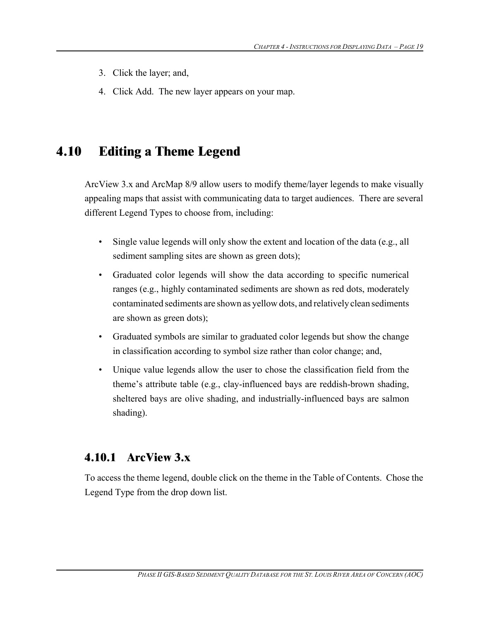- 3. Click the layer; and,
- 4. Click Add. The new layer appears on your map.

## **4.10 Editing a Theme Legend**

ArcView 3.x and ArcMap 8/9 allow users to modify theme/layer legends to make visually appealing maps that assist with communicating data to target audiences. There are several different Legend Types to choose from, including:

- Single value legends will only show the extent and location of the data (e.g., all sediment sampling sites are shown as green dots);
- Graduated color legends will show the data according to specific numerical ranges (e.g., highly contaminated sediments are shown as red dots, moderately contaminated sediments are shown as yellow dots, and relatively clean sediments are shown as green dots);
- Graduated symbols are similar to graduated color legends but show the change in classification according to symbol size rather than color change; and,
- Unique value legends allow the user to chose the classification field from the theme's attribute table (e.g., clay-influenced bays are reddish-brown shading, sheltered bays are olive shading, and industrially-influenced bays are salmon shading).

#### **4.10.1 ArcView 3.x**

To access the theme legend, double click on the theme in the Table of Contents. Chose the Legend Type from the drop down list.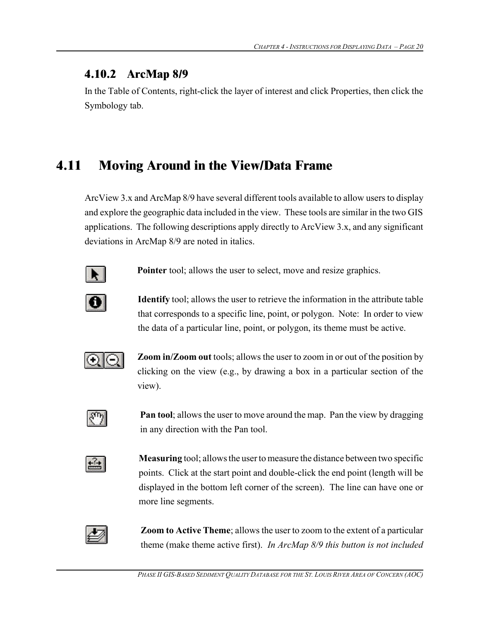#### **4.10.2 ArcMap 8/9**

In the Table of Contents, right-click the layer of interest and click Properties, then click the Symbology tab.

## **4.11 Moving Around in the View/Data Frame**

ArcView 3.x and ArcMap 8/9 have several different tools available to allow users to display and explore the geographic data included in the view. These tools are similar in the two GIS applications. The following descriptions apply directly to ArcView 3.x, and any significant deviations in ArcMap 8/9 are noted in italics.



**Pointer** tool; allows the user to select, move and resize graphics.



**Identify** tool; allows the user to retrieve the information in the attribute table that corresponds to a specific line, point, or polygon. Note: In order to view the data of a particular line, point, or polygon, its theme must be active.



**Zoom in/Zoom out** tools; allows the user to zoom in or out of the position by clicking on the view (e.g., by drawing a box in a particular section of the view).



**Pan tool**; allows the user to move around the map. Pan the view by dragging in any direction with the Pan tool.



**Measuring** tool; allows the user to measure the distance between two specific points. Click at the start point and double-click the end point (length will be displayed in the bottom left corner of the screen). The line can have one or more line segments.



**Zoom to Active Theme**; allows the user to zoom to the extent of a particular theme (make theme active first). *In ArcMap 8/9 this button is not included*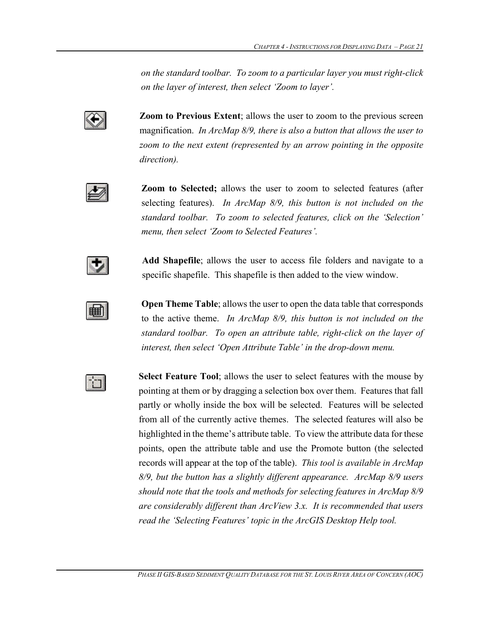*on the standard toolbar. To zoom to a particular layer you must right-click on the layer of interest, then select 'Zoom to layer'.*



**Zoom to Previous Extent**; allows the user to zoom to the previous screen magnification. *In ArcMap 8/9, there is also a button that allows the user to zoom to the next extent (represented by an arrow pointing in the opposite direction).*



**Zoom to Selected;** allows the user to zoom to selected features (after selecting features). *In ArcMap 8/9, this button is not included on the standard toolbar. To zoom to selected features, click on the 'Selection' menu, then select 'Zoom to Selected Features'.*



**Add Shapefile**; allows the user to access file folders and navigate to a specific shapefile. This shapefile is then added to the view window.



**Open Theme Table**; allows the user to open the data table that corresponds to the active theme. *In ArcMap 8/9, this button is not included on the standard toolbar. To open an attribute table, right-click on the layer of interest, then select 'Open Attribute Table' in the drop-down menu.*



**Select Feature Tool**; allows the user to select features with the mouse by pointing at them or by dragging a selection box over them. Features that fall partly or wholly inside the box will be selected. Features will be selected from all of the currently active themes. The selected features will also be highlighted in the theme's attribute table. To view the attribute data for these points, open the attribute table and use the Promote button (the selected records will appear at the top of the table). *This tool is available in ArcMap 8/9, but the button has a slightly different appearance. ArcMap 8/9 users should note that the tools and methods for selecting features in ArcMap 8/9 are considerably different than ArcView 3.x. It is recommended that users read the 'Selecting Features' topic in the ArcGIS Desktop Help tool.*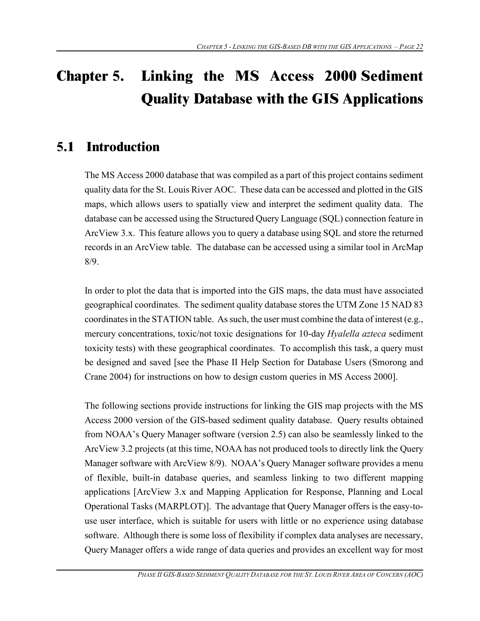## **Chapter 5. Linking the MS Access 2000 Sediment Quality Database with the GIS Applications**

## **5.1 Introduction**

The MS Access 2000 database that was compiled as a part of this project contains sediment quality data for the St. Louis River AOC. These data can be accessed and plotted in the GIS maps, which allows users to spatially view and interpret the sediment quality data. The database can be accessed using the Structured Query Language (SQL) connection feature in ArcView 3.x. This feature allows you to query a database using SQL and store the returned records in an ArcView table. The database can be accessed using a similar tool in ArcMap 8/9.

In order to plot the data that is imported into the GIS maps, the data must have associated geographical coordinates. The sediment quality database stores the UTM Zone 15 NAD 83 coordinates in the STATION table. As such, the user must combine the data of interest (e.g., mercury concentrations, toxic/not toxic designations for 10-day *Hyalella azteca* sediment toxicity tests) with these geographical coordinates. To accomplish this task, a query must be designed and saved [see the Phase II Help Section for Database Users (Smorong and Crane 2004) for instructions on how to design custom queries in MS Access 2000].

The following sections provide instructions for linking the GIS map projects with the MS Access 2000 version of the GIS-based sediment quality database. Query results obtained from NOAA's Query Manager software (version 2.5) can also be seamlessly linked to the ArcView 3.2 projects (at this time, NOAA has not produced tools to directly link the Query Manager software with ArcView 8/9). NOAA's Query Manager software provides a menu of flexible, built-in database queries, and seamless linking to two different mapping applications [ArcView 3.x and Mapping Application for Response, Planning and Local Operational Tasks (MARPLOT)]. The advantage that Query Manager offers is the easy-touse user interface, which is suitable for users with little or no experience using database software. Although there is some loss of flexibility if complex data analyses are necessary, Query Manager offers a wide range of data queries and provides an excellent way for most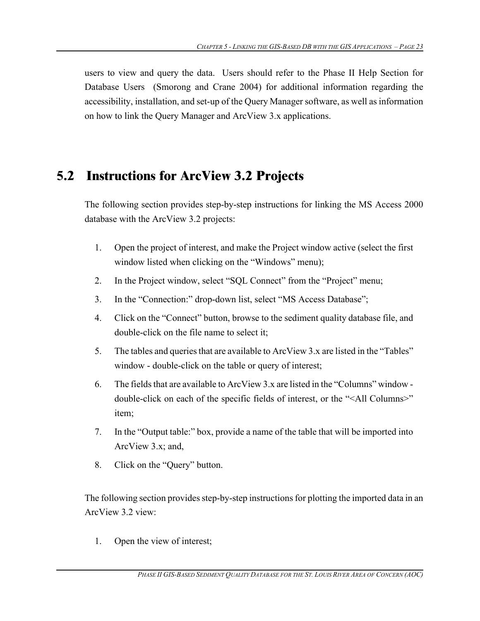users to view and query the data. Users should refer to the Phase II Help Section for Database Users (Smorong and Crane 2004) for additional information regarding the accessibility, installation, and set-up of the Query Manager software, as well as information on how to link the Query Manager and ArcView 3.x applications.

### **5.2 Instructions for ArcView 3.2 Projects**

The following section provides step-by-step instructions for linking the MS Access 2000 database with the ArcView 3.2 projects:

- 1. Open the project of interest, and make the Project window active (select the first window listed when clicking on the "Windows" menu);
- 2. In the Project window, select "SQL Connect" from the "Project" menu;
- 3. In the "Connection:" drop-down list, select "MS Access Database";
- 4. Click on the "Connect" button, browse to the sediment quality database file, and double-click on the file name to select it;
- 5. The tables and queries that are available to ArcView 3.x are listed in the "Tables" window - double-click on the table or query of interest;
- 6. The fields that are available to ArcView 3.x are listed in the "Columns" window double-click on each of the specific fields of interest, or the "<All Columns>" item;
- 7. In the "Output table:" box, provide a name of the table that will be imported into ArcView 3.x; and,
- 8. Click on the "Query" button.

The following section provides step-by-step instructions for plotting the imported data in an ArcView 3.2 view:

1. Open the view of interest;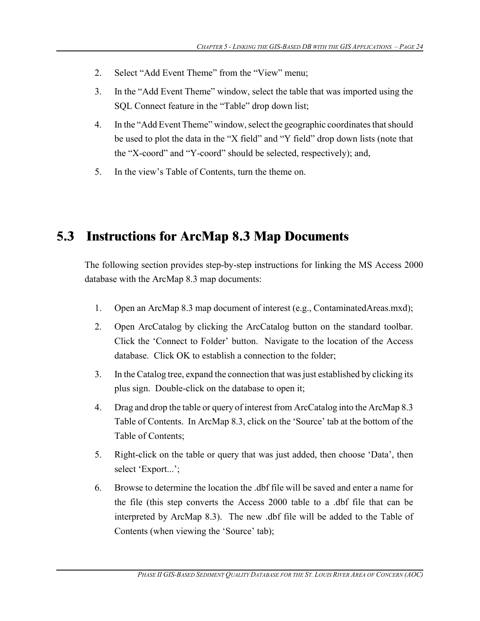- 2. Select "Add Event Theme" from the "View" menu;
- 3. In the "Add Event Theme" window, select the table that was imported using the SQL Connect feature in the "Table" drop down list;
- 4. In the "Add Event Theme" window, select the geographic coordinates that should be used to plot the data in the "X field" and "Y field" drop down lists (note that the "X-coord" and "Y-coord" should be selected, respectively); and,
- 5. In the view's Table of Contents, turn the theme on.

### **5.3 Instructions for ArcMap 8.3 Map Documents**

The following section provides step-by-step instructions for linking the MS Access 2000 database with the ArcMap 8.3 map documents:

- 1. Open an ArcMap 8.3 map document of interest (e.g., ContaminatedAreas.mxd);
- 2. Open ArcCatalog by clicking the ArcCatalog button on the standard toolbar. Click the 'Connect to Folder' button. Navigate to the location of the Access database. Click OK to establish a connection to the folder;
- 3. In the Catalog tree, expand the connection that wasjust established by clicking its plus sign. Double-click on the database to open it;
- 4. Drag and drop the table or query of interest from ArcCatalog into the ArcMap 8.3 Table of Contents. In ArcMap 8.3, click on the 'Source' tab at the bottom of the Table of Contents;
- 5. Right-click on the table or query that was just added, then choose 'Data', then select 'Export...';
- 6. Browse to determine the location the .dbf file will be saved and enter a name for the file (this step converts the Access 2000 table to a .dbf file that can be interpreted by ArcMap 8.3). The new .dbf file will be added to the Table of Contents (when viewing the 'Source' tab);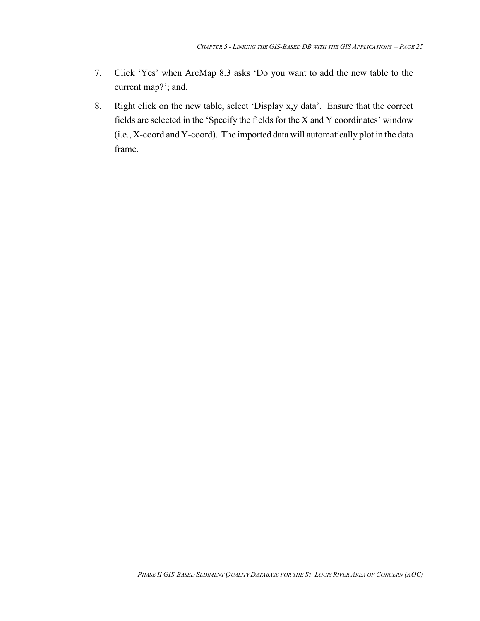- 7. Click 'Yes' when ArcMap 8.3 asks 'Do you want to add the new table to the current map?'; and,
- 8. Right click on the new table, select 'Display x,y data'. Ensure that the correct fields are selected in the 'Specify the fields for the X and Y coordinates' window (i.e., X-coord and Y-coord). The imported data will automatically plot in the data frame.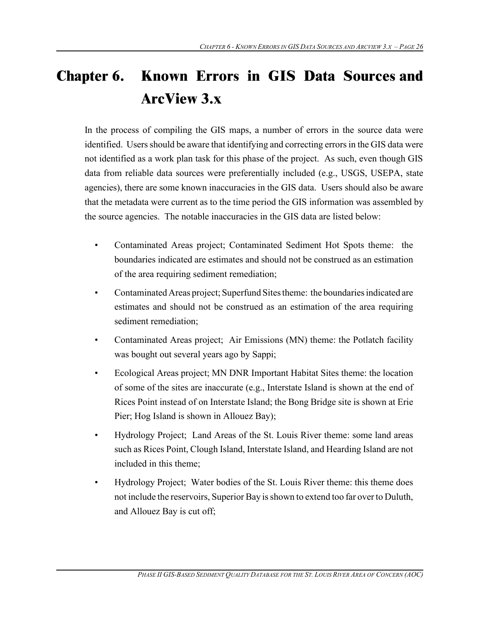## **Chapter 6. Known Errors in GIS Data Sources and ArcView 3.x**

In the process of compiling the GIS maps, a number of errors in the source data were identified. Users should be aware that identifying and correcting errors in the GIS data were not identified as a work plan task for this phase of the project. As such, even though GIS data from reliable data sources were preferentially included (e.g., USGS, USEPA, state agencies), there are some known inaccuracies in the GIS data. Users should also be aware that the metadata were current as to the time period the GIS information was assembled by the source agencies. The notable inaccuracies in the GIS data are listed below:

- Contaminated Areas project; Contaminated Sediment Hot Spots theme: the boundaries indicated are estimates and should not be construed as an estimation of the area requiring sediment remediation;
- Contaminated Areas project; Superfund Sites theme: the boundaries indicated are estimates and should not be construed as an estimation of the area requiring sediment remediation;
- Contaminated Areas project; Air Emissions (MN) theme: the Potlatch facility was bought out several years ago by Sappi;
- Ecological Areas project; MN DNR Important Habitat Sites theme: the location of some of the sites are inaccurate (e.g., Interstate Island is shown at the end of Rices Point instead of on Interstate Island; the Bong Bridge site is shown at Erie Pier; Hog Island is shown in Allouez Bay);
- Hydrology Project; Land Areas of the St. Louis River theme: some land areas such as Rices Point, Clough Island, Interstate Island, and Hearding Island are not included in this theme;
- Hydrology Project; Water bodies of the St. Louis River theme: this theme does not include the reservoirs, Superior Bay isshown to extend too far over to Duluth, and Allouez Bay is cut off;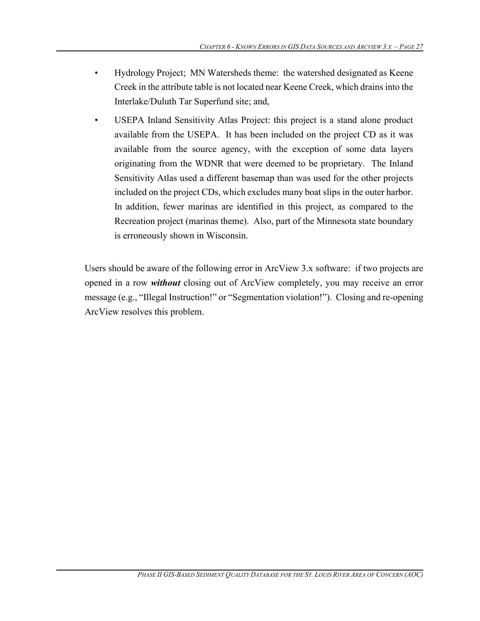- Hydrology Project; MN Watersheds theme: the watershed designated as Keene Creek in the attribute table is not located near Keene Creek, which drains into the Interlake/Duluth Tar Superfund site; and,
- USEPA Inland Sensitivity Atlas Project: this project is a stand alone product available from the USEPA. It has been included on the project CD as it was available from the source agency, with the exception of some data layers originating from the WDNR that were deemed to be proprietary. The Inland Sensitivity Atlas used a different basemap than was used for the other projects included on the project CDs, which excludes many boat slips in the outer harbor. In addition, fewer marinas are identified in this project, as compared to the Recreation project (marinas theme). Also, part of the Minnesota state boundary is erroneously shown in Wisconsin.

Users should be aware of the following error in ArcView 3.x software: if two projects are opened in a row *without* closing out of ArcView completely, you may receive an error message (e.g., "Illegal Instruction!" or "Segmentation violation!"). Closing and re-opening ArcView resolves this problem.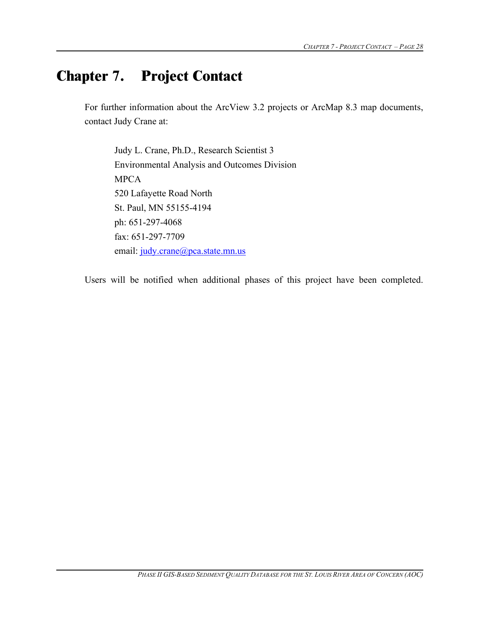# **Chapter 7. Project Contact**

For further information about the ArcView 3.2 projects or ArcMap 8.3 map documents, contact Judy Crane at:

Judy L. Crane, Ph.D., Research Scientist 3 Environmental Analysis and Outcomes Division MPCA 520 Lafayette Road North St. Paul, MN 55155-4194 ph: 651-297-4068 fax: 651-297-7709 email: judy.crane@pca.state.mn.us

Users will be notified when additional phases of this project have been completed.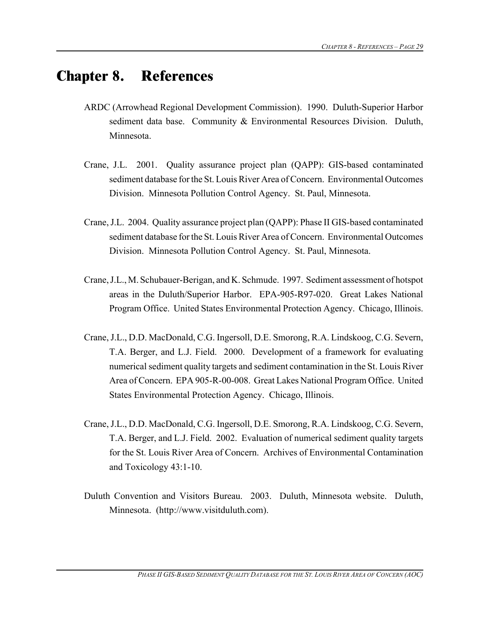## **Chapter 8. References**

- ARDC (Arrowhead Regional Development Commission). 1990. Duluth-Superior Harbor sediment data base. Community & Environmental Resources Division. Duluth, Minnesota.
- Crane, J.L. 2001. Quality assurance project plan (QAPP): GIS-based contaminated sediment database for the St. Louis River Area of Concern. Environmental Outcomes Division. Minnesota Pollution Control Agency. St. Paul, Minnesota.
- Crane,J.L. 2004. Quality assurance project plan (QAPP): Phase II GIS-based contaminated sediment database for the St. Louis River Area of Concern. Environmental Outcomes Division. Minnesota Pollution Control Agency. St. Paul, Minnesota.
- Crane,J.L.,M. Schubauer-Berigan, and K. Schmude. 1997. Sediment assessment of hotspot areas in the Duluth/Superior Harbor. EPA-905-R97-020. Great Lakes National Program Office. United States Environmental Protection Agency. Chicago, Illinois.
- Crane,J.L., D.D. MacDonald, C.G. Ingersoll, D.E. Smorong, R.A. Lindskoog, C.G. Severn, T.A. Berger, and L.J. Field. 2000. Development of a framework for evaluating numerical sediment quality targets and sediment contamination in the St. Louis River Area of Concern. EPA 905-R-00-008. Great Lakes National Program Office. United States Environmental Protection Agency. Chicago, Illinois.
- Crane,J.L., D.D. MacDonald, C.G. Ingersoll, D.E. Smorong, R.A. Lindskoog, C.G. Severn, T.A. Berger, and L.J. Field. 2002. Evaluation of numerical sediment quality targets for the St. Louis River Area of Concern. Archives of Environmental Contamination and Toxicology 43:1-10.
- Duluth Convention and Visitors Bureau. 2003. Duluth, Minnesota website. Duluth, Minnesota. (http://www.visitduluth.com).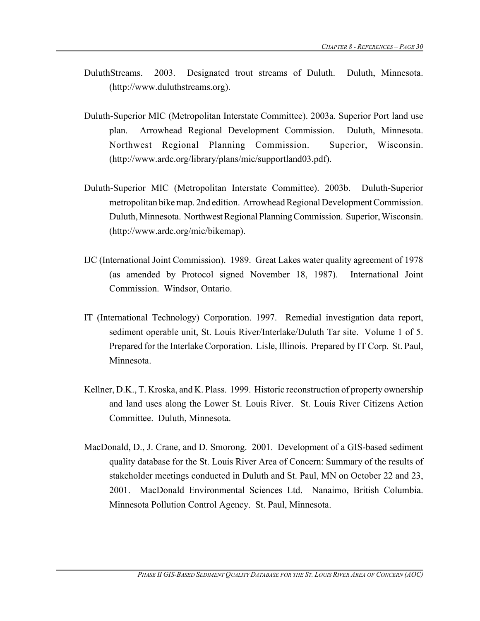- DuluthStreams. 2003. Designated trout streams of Duluth. Duluth, Minnesota. (http://www.duluthstreams.org).
- Duluth-Superior MIC (Metropolitan Interstate Committee). 2003a. Superior Port land use plan. Arrowhead Regional Development Commission. Duluth, Minnesota. Northwest Regional Planning Commission. Superior, Wisconsin. (http://www.ardc.org/library/plans/mic/supportland03.pdf).
- Duluth-Superior MIC (Metropolitan Interstate Committee). 2003b. Duluth-Superior metropolitan bikemap. 2nd edition. Arrowhead Regional Development Commission. Duluth, Minnesota. Northwest Regional Planning Commission. Superior, Wisconsin. (http://www.ardc.org/mic/bikemap).
- IJC (International Joint Commission). 1989. Great Lakes water quality agreement of 1978 (as amended by Protocol signed November 18, 1987). International Joint Commission. Windsor, Ontario.
- IT (International Technology) Corporation. 1997. Remedial investigation data report, sediment operable unit, St. Louis River/Interlake/Duluth Tar site. Volume 1 of 5. Prepared for the Interlake Corporation. Lisle, Illinois. Prepared by IT Corp. St. Paul, Minnesota.
- Kellner, D.K., T. Kroska, and K. Plass. 1999. Historic reconstruction of property ownership and land uses along the Lower St. Louis River. St. Louis River Citizens Action Committee. Duluth, Minnesota.
- MacDonald, D., J. Crane, and D. Smorong. 2001. Development of a GIS-based sediment quality database for the St. Louis River Area of Concern: Summary of the results of stakeholder meetings conducted in Duluth and St. Paul, MN on October 22 and 23, 2001. MacDonald Environmental Sciences Ltd. Nanaimo, British Columbia. Minnesota Pollution Control Agency. St. Paul, Minnesota.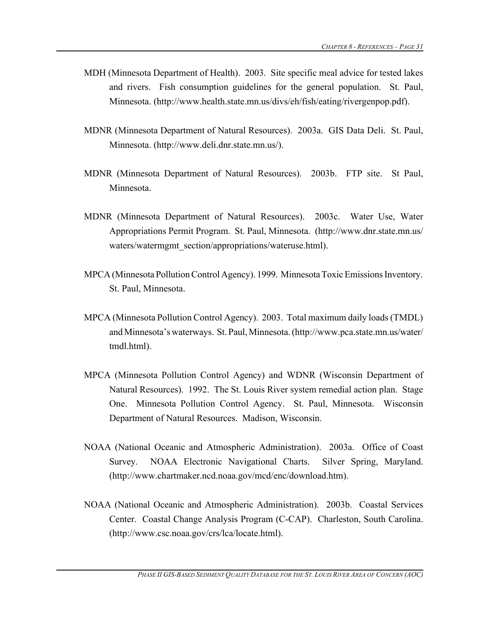- MDH (Minnesota Department of Health). 2003. Site specific meal advice for tested lakes and rivers. Fish consumption guidelines for the general population. St. Paul, Minnesota. (http://www.health.state.mn.us/divs/eh/fish/eating/rivergenpop.pdf).
- MDNR (Minnesota Department of Natural Resources). 2003a. GIS Data Deli. St. Paul, Minnesota. (http://www.deli.dnr.state.mn.us/).
- MDNR (Minnesota Department of Natural Resources). 2003b. FTP site. St Paul, Minnesota.
- MDNR (Minnesota Department of Natural Resources). 2003c. Water Use, Water Appropriations Permit Program. St. Paul, Minnesota. (http://www.dnr.state.mn.us/ waters/watermgmt\_section/appropriations/wateruse.html).
- MPCA (Minnesota Pollution Control Agency). 1999. Minnesota Toxic Emissions Inventory. St. Paul, Minnesota.
- MPCA (Minnesota Pollution Control Agency). 2003. Total maximum daily loads (TMDL) and Minnesota's waterways. St. Paul, Minnesota. (http://www.pca.state.mn.us/water/ tmdl.html).
- MPCA (Minnesota Pollution Control Agency) and WDNR (Wisconsin Department of Natural Resources). 1992. The St. Louis River system remedial action plan. Stage One. Minnesota Pollution Control Agency. St. Paul, Minnesota. Wisconsin Department of Natural Resources. Madison, Wisconsin.
- NOAA (National Oceanic and Atmospheric Administration). 2003a. Office of Coast Survey. NOAA Electronic Navigational Charts. Silver Spring, Maryland. (http://www.chartmaker.ncd.noaa.gov/mcd/enc/download.htm).
- NOAA (National Oceanic and Atmospheric Administration). 2003b. Coastal Services Center. Coastal Change Analysis Program (C-CAP). Charleston, South Carolina. (http://www.csc.noaa.gov/crs/lca/locate.html).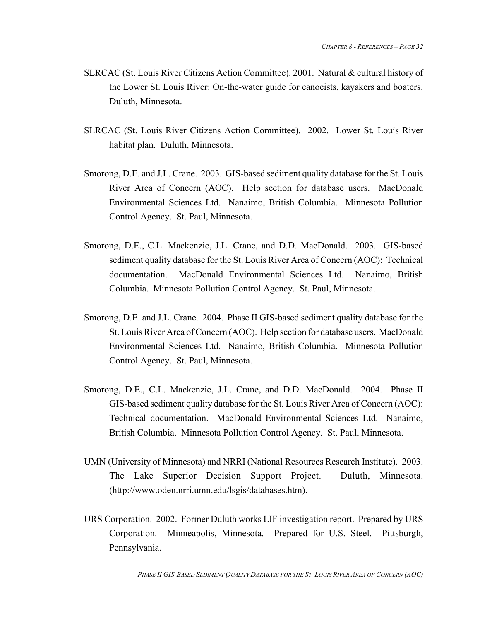- SLRCAC (St. Louis River Citizens Action Committee). 2001. Natural & cultural history of the Lower St. Louis River: On-the-water guide for canoeists, kayakers and boaters. Duluth, Minnesota.
- SLRCAC (St. Louis River Citizens Action Committee). 2002. Lower St. Louis River habitat plan. Duluth, Minnesota.
- Smorong, D.E. and J.L. Crane. 2003. GIS-based sediment quality database for the St. Louis River Area of Concern (AOC). Help section for database users. MacDonald Environmental Sciences Ltd. Nanaimo, British Columbia. Minnesota Pollution Control Agency. St. Paul, Minnesota.
- Smorong, D.E., C.L. Mackenzie, J.L. Crane, and D.D. MacDonald. 2003. GIS-based sediment quality database for the St. Louis River Area of Concern (AOC): Technical documentation. MacDonald Environmental Sciences Ltd. Nanaimo, British Columbia. Minnesota Pollution Control Agency. St. Paul, Minnesota.
- Smorong, D.E. and J.L. Crane. 2004. Phase II GIS-based sediment quality database for the St. Louis River Area of Concern (AOC). Help section for database users. MacDonald Environmental Sciences Ltd. Nanaimo, British Columbia. Minnesota Pollution Control Agency. St. Paul, Minnesota.
- Smorong, D.E., C.L. Mackenzie, J.L. Crane, and D.D. MacDonald. 2004. Phase II GIS-based sediment quality database for the St. Louis River Area of Concern (AOC): Technical documentation. MacDonald Environmental Sciences Ltd. Nanaimo, British Columbia. Minnesota Pollution Control Agency. St. Paul, Minnesota.
- UMN (University of Minnesota) and NRRI (National Resources Research Institute). 2003. The Lake Superior Decision Support Project. Duluth, Minnesota. (http://www.oden.nrri.umn.edu/lsgis/databases.htm).
- URS Corporation. 2002. Former Duluth works LIF investigation report. Prepared by URS Corporation. Minneapolis, Minnesota. Prepared for U.S. Steel. Pittsburgh, Pennsylvania.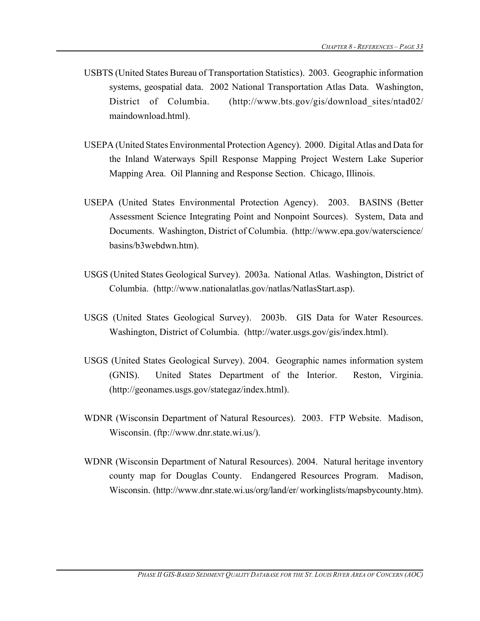- USBTS (United States Bureau of Transportation Statistics). 2003. Geographic information systems, geospatial data. 2002 National Transportation Atlas Data. Washington, District of Columbia. (http://www.bts.gov/gis/download sites/ntad02/ maindownload.html).
- USEPA (United States Environmental Protection Agency). 2000. Digital Atlas and Data for the Inland Waterways Spill Response Mapping Project Western Lake Superior Mapping Area. Oil Planning and Response Section. Chicago, Illinois.
- USEPA (United States Environmental Protection Agency). 2003. BASINS (Better Assessment Science Integrating Point and Nonpoint Sources). System, Data and Documents. Washington, District of Columbia. (http://www.epa.gov/waterscience/ basins/b3webdwn.htm).
- USGS (United States Geological Survey). 2003a. National Atlas. Washington, District of Columbia. (http://www.nationalatlas.gov/natlas/NatlasStart.asp).
- USGS (United States Geological Survey). 2003b. GIS Data for Water Resources. Washington, District of Columbia. (http://water.usgs.gov/gis/index.html).
- USGS (United States Geological Survey). 2004. Geographic names information system (GNIS). United States Department of the Interior. Reston, Virginia. (http://geonames.usgs.gov/stategaz/index.html).
- WDNR (Wisconsin Department of Natural Resources). 2003. FTP Website. Madison, Wisconsin. (ftp://www.dnr.state.wi.us/).
- WDNR (Wisconsin Department of Natural Resources). 2004. Natural heritage inventory county map for Douglas County. Endangered Resources Program. Madison, Wisconsin. (http://www.dnr.state.wi.us/org/land/er/ workinglists/mapsbycounty.htm).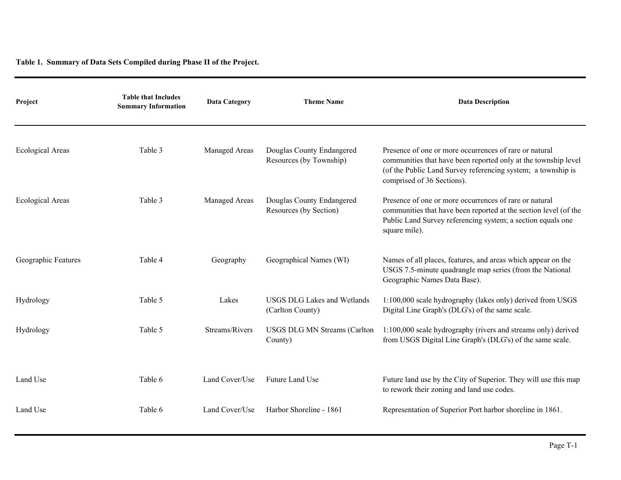**Table 1. Summary of Data Sets Compiled during Phase II of the Project.**

| Project                 | <b>Table that Includes</b><br><b>Summary Information</b> | <b>Data Category</b> | <b>Theme Name</b>                                      | <b>Data Description</b>                                                                                                                                                                                                |
|-------------------------|----------------------------------------------------------|----------------------|--------------------------------------------------------|------------------------------------------------------------------------------------------------------------------------------------------------------------------------------------------------------------------------|
| <b>Ecological Areas</b> | Table 3                                                  | Managed Areas        | Douglas County Endangered<br>Resources (by Township)   | Presence of one or more occurrences of rare or natural<br>communities that have been reported only at the township level<br>(of the Public Land Survey referencing system; a township is<br>comprised of 36 Sections). |
| <b>Ecological Areas</b> | Table 3                                                  | Managed Areas        | Douglas County Endangered<br>Resources (by Section)    | Presence of one or more occurrences of rare or natural<br>communities that have been reported at the section level (of the<br>Public Land Survey referencing system; a section equals one<br>square mile).             |
| Geographic Features     | Table 4                                                  | Geography            | Geographical Names (WI)                                | Names of all places, features, and areas which appear on the<br>USGS 7.5-minute quadrangle map series (from the National<br>Geographic Names Data Base).                                                               |
| Hydrology               | Table 5                                                  | Lakes                | <b>USGS DLG Lakes and Wetlands</b><br>(Carlton County) | 1:100,000 scale hydrography (lakes only) derived from USGS<br>Digital Line Graph's (DLG's) of the same scale.                                                                                                          |
| Hydrology               | Table 5                                                  | Streams/Rivers       | <b>USGS DLG MN Streams (Carlton</b><br>County)         | 1:100,000 scale hydrography (rivers and streams only) derived<br>from USGS Digital Line Graph's (DLG's) of the same scale.                                                                                             |
| Land Use                | Table 6                                                  | Land Cover/Use       | Future Land Use                                        | Future land use by the City of Superior. They will use this map<br>to rework their zoning and land use codes.                                                                                                          |
| Land Use                | Table 6                                                  | Land Cover/Use       | Harbor Shoreline - 1861                                | Representation of Superior Port harbor shoreline in 1861.                                                                                                                                                              |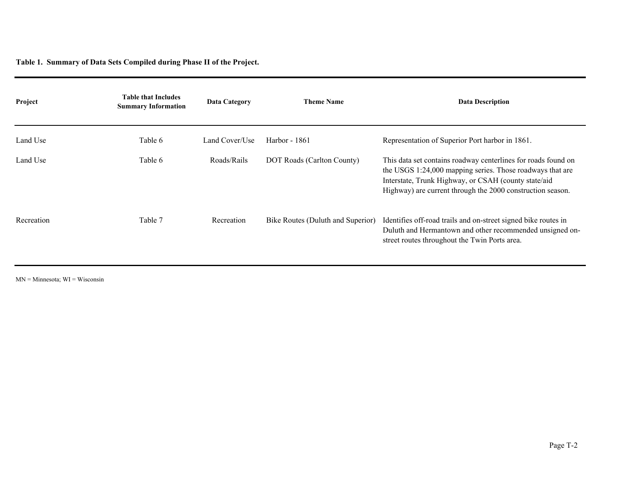**Table 1. Summary of Data Sets Compiled during Phase II of the Project.**

| Project    | <b>Table that Includes</b><br><b>Summary Information</b> | <b>Data Category</b> | <b>Theme Name</b>                 | <b>Data Description</b>                                                                                                                                                                                                                          |
|------------|----------------------------------------------------------|----------------------|-----------------------------------|--------------------------------------------------------------------------------------------------------------------------------------------------------------------------------------------------------------------------------------------------|
| Land Use   | Table 6                                                  | Land Cover/Use       | Harbor - 1861                     | Representation of Superior Port harbor in 1861.                                                                                                                                                                                                  |
| Land Use   | Table 6                                                  | Roads/Rails          | DOT Roads (Carlton County)        | This data set contains roadway centerlines for roads found on<br>the USGS 1:24,000 mapping series. Those roadways that are<br>Interstate, Trunk Highway, or CSAH (county state/aid<br>Highway) are current through the 2000 construction season. |
| Recreation | Table 7                                                  | Recreation           | Bike Routes (Duluth and Superior) | Identifies off-road trails and on-street signed bike routes in<br>Duluth and Hermantown and other recommended unsigned on-<br>street routes throughout the Twin Ports area.                                                                      |

 $MN =$ Minnesota;  $WI =$ Wisconsin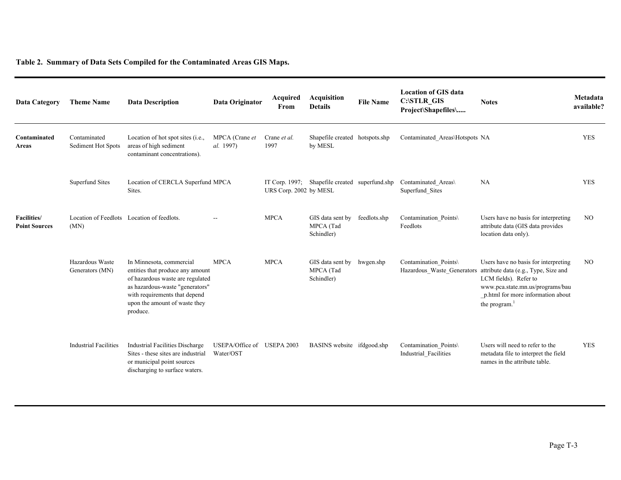| <b>Data Category</b>                        | <b>Theme Name</b>                                  | <b>Data Description</b>                                                                                                                                                                                           | Data Originator                         | Acquired<br>From       | <b>Acquisition</b><br><b>Details</b>           | <b>File Name</b> | <b>Location of GIS data</b><br>C:\STLR_GIS<br>Project\Shapefiles\ | <b>Notes</b>                                                                                                                                                                                        | Metadata<br>available? |
|---------------------------------------------|----------------------------------------------------|-------------------------------------------------------------------------------------------------------------------------------------------------------------------------------------------------------------------|-----------------------------------------|------------------------|------------------------------------------------|------------------|-------------------------------------------------------------------|-----------------------------------------------------------------------------------------------------------------------------------------------------------------------------------------------------|------------------------|
| Contaminated<br>Areas                       | Contaminated<br>Sediment Hot Spots                 | Location of hot spot sites (i.e.,<br>areas of high sediment<br>contaminant concentrations).                                                                                                                       | MPCA (Crane et<br>al. 1997)             | Crane et al.<br>1997   | Shapefile created hotspots.shp<br>by MESL      |                  | Contaminated Areas\Hotspots NA                                    |                                                                                                                                                                                                     | <b>YES</b>             |
|                                             | <b>Superfund Sites</b>                             | Location of CERCLA Superfund MPCA<br>Sites.                                                                                                                                                                       |                                         | URS Corp. 2002 by MESL | IT Corp. 1997; Shapefile created superfund.shp |                  | Contaminated Areas\<br>Superfund Sites                            | NA                                                                                                                                                                                                  | <b>YES</b>             |
| <b>Facilities</b> /<br><b>Point Sources</b> | Location of Feedlots Location of feedlots.<br>(MN) |                                                                                                                                                                                                                   |                                         | <b>MPCA</b>            | GIS data sent by<br>MPCA (Tad<br>Schindler)    | feedlots.shp     | Contamination Points\<br>Feedlots                                 | Users have no basis for interpreting<br>attribute data (GIS data provides<br>location data only).                                                                                                   | NO.                    |
|                                             | Hazardous Waste<br>Generators (MN)                 | In Minnesota, commercial<br>entities that produce any amount<br>of hazardous waste are regulated<br>as hazardous-waste "generators"<br>with requirements that depend<br>upon the amount of waste they<br>produce. | <b>MPCA</b>                             | <b>MPCA</b>            | GIS data sent by<br>MPCA (Tad<br>Schindler)    | hwgen.shp        | Contamination Points\<br>Hazardous_Waste_Generators               | Users have no basis for interpreting<br>attribute data (e.g., Type, Size and<br>LCM fields). Refer to<br>www.pca.state.mn.us/programs/bau<br>_p.html for more information about<br>the program. $1$ | NO.                    |
|                                             | <b>Industrial Facilities</b>                       | <b>Industrial Facilities Discharge</b><br>Sites - these sites are industrial<br>or municipal point sources<br>discharging to surface waters.                                                                      | USEPA/Office of USEPA 2003<br>Water/OST |                        | BASINS website ifdgood.shp                     |                  | Contamination Points\<br>Industrial Facilities                    | Users will need to refer to the<br>metadata file to interpret the field<br>names in the attribute table.                                                                                            | <b>YES</b>             |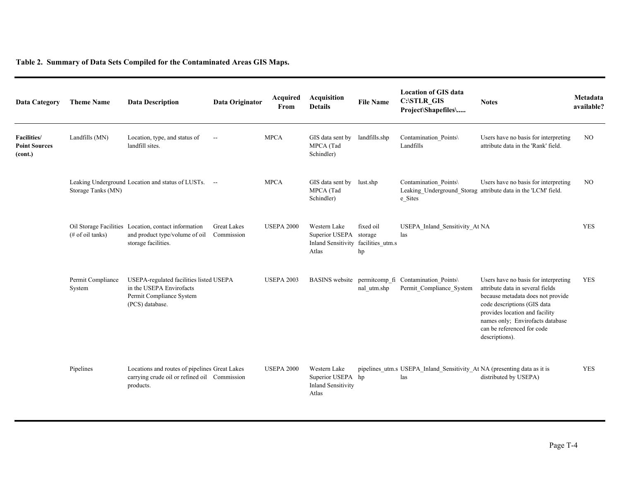| <b>Data Category</b>                           | <b>Theme Name</b>           | <b>Data Description</b>                                                                                            | Data Originator                  | Acquired<br>From  | <b>Acquisition</b><br><b>Details</b>                                                   | <b>File Name</b> | <b>Location of GIS data</b><br>C:\STLR_GIS<br>Project\Shapefiles\               | <b>Notes</b>                                                                                                                                                                                                                                                       | Metadata<br>available? |
|------------------------------------------------|-----------------------------|--------------------------------------------------------------------------------------------------------------------|----------------------------------|-------------------|----------------------------------------------------------------------------------------|------------------|---------------------------------------------------------------------------------|--------------------------------------------------------------------------------------------------------------------------------------------------------------------------------------------------------------------------------------------------------------------|------------------------|
| Facilities/<br><b>Point Sources</b><br>(cont.) | Landfills (MN)              | Location, type, and status of<br>landfill sites.                                                                   | $\overline{\phantom{a}}$         | <b>MPCA</b>       | GIS data sent by<br>MPCA (Tad<br>Schindler)                                            | landfills.shp    | Contamination Points\<br>Landfills                                              | Users have no basis for interpreting<br>attribute data in the 'Rank' field.                                                                                                                                                                                        | NO.                    |
|                                                | Storage Tanks (MN)          | Leaking Underground Location and status of LUSTs. --                                                               |                                  | <b>MPCA</b>       | GIS data sent by<br>MPCA (Tad<br>Schindler)                                            | lust.shp         | Contamination Points\<br>e Sites                                                | Users have no basis for interpreting<br>Leaking Underground Storag attribute data in the 'LCM' field.                                                                                                                                                              | N <sub>O</sub>         |
|                                                | (# of oil tanks)            | Oil Storage Facilities Location, contact information<br>and product type/volume of oil<br>storage facilities.      | <b>Great Lakes</b><br>Commission | <b>USEPA 2000</b> | Western Lake<br>Superior USEPA storage<br>Inland Sensitivity facilities_utm.s<br>Atlas | fixed oil<br>hp  | USEPA Inland Sensitivity At NA<br>las                                           |                                                                                                                                                                                                                                                                    | <b>YES</b>             |
|                                                | Permit Compliance<br>System | USEPA-regulated facilities listed USEPA<br>in the USEPA Envirofacts<br>Permit Compliance System<br>(PCS) database. |                                  | <b>USEPA 2003</b> |                                                                                        | nal utm.shp      | BASINS website permitcomp_fi Contamination_Points\<br>Permit Compliance System  | Users have no basis for interpreting<br>attribute data in several fields<br>because metadata does not provide<br>code descriptions (GIS data<br>provides location and facility<br>names only; Envirofacts database<br>can be referenced for code<br>descriptions). | <b>YES</b>             |
|                                                | Pipelines                   | Locations and routes of pipelines Great Lakes<br>carrying crude oil or refined oil Commission<br>products.         |                                  | <b>USEPA 2000</b> | Western Lake<br>Superior USEPA hp<br><b>Inland Sensitivity</b><br>Atlas                |                  | pipelines_utm.s USEPA_Inland_Sensitivity_At NA (presenting data as it is<br>las | distributed by USEPA)                                                                                                                                                                                                                                              | <b>YES</b>             |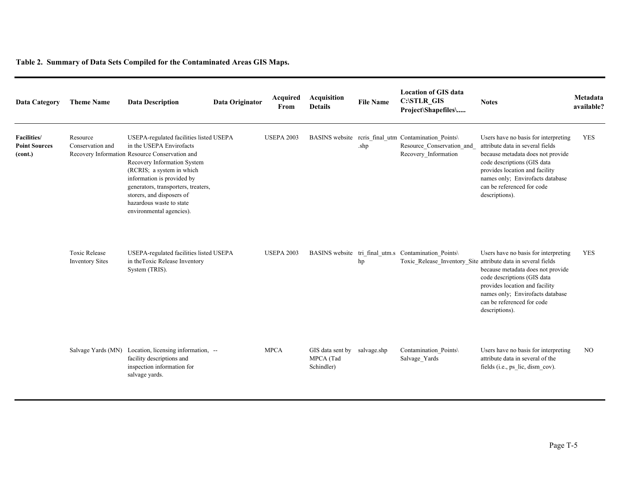| Data Category                                         | <b>Theme Name</b>                              | <b>Data Description</b>                                                                                                                                                                                                                                                                                                                     | Data Originator | Acquired<br>From  | Acquisition<br><b>Details</b>               | <b>File Name</b> | <b>Location of GIS data</b><br>C:\STLR_GIS<br>Project\Shapefiles\                                                     | <b>Notes</b>                                                                                                                                                                                                                                                       | Metadata<br>available? |
|-------------------------------------------------------|------------------------------------------------|---------------------------------------------------------------------------------------------------------------------------------------------------------------------------------------------------------------------------------------------------------------------------------------------------------------------------------------------|-----------------|-------------------|---------------------------------------------|------------------|-----------------------------------------------------------------------------------------------------------------------|--------------------------------------------------------------------------------------------------------------------------------------------------------------------------------------------------------------------------------------------------------------------|------------------------|
| <b>Facilities/</b><br><b>Point Sources</b><br>(cont.) | Resource<br>Conservation and                   | USEPA-regulated facilities listed USEPA<br>in the USEPA Envirofacts<br>Recovery Information Resource Conservation and<br>Recovery Information System<br>(RCRIS; a system in which<br>information is provided by<br>generators, transporters, treaters,<br>storers, and disposers of<br>hazardous waste to state<br>environmental agencies). |                 | <b>USEPA 2003</b> |                                             | .shp             | BASINS website reris final utm Contamination Points\<br>Resource_Conservation_and<br>Recovery_Information             | Users have no basis for interpreting<br>attribute data in several fields<br>because metadata does not provide<br>code descriptions (GIS data<br>provides location and facility<br>names only; Envirofacts database<br>can be referenced for code<br>descriptions). | <b>YES</b>             |
|                                                       | <b>Toxic Release</b><br><b>Inventory Sites</b> | USEPA-regulated facilities listed USEPA<br>in the Toxic Release Inventory<br>System (TRIS).                                                                                                                                                                                                                                                 |                 | <b>USEPA 2003</b> |                                             | hp               | BASINS website tri final utm.s Contamination Points\<br>Toxic_Release_Inventory_Site attribute data in several fields | Users have no basis for interpreting<br>because metadata does not provide<br>code descriptions (GIS data<br>provides location and facility<br>names only; Envirofacts database<br>can be referenced for code<br>descriptions).                                     | <b>YES</b>             |
|                                                       |                                                | Salvage Yards (MN) Location, licensing information, --<br>facility descriptions and<br>inspection information for<br>salvage yards.                                                                                                                                                                                                         |                 | <b>MPCA</b>       | GIS data sent by<br>MPCA (Tad<br>Schindler) | salvage.shp      | Contamination Points\<br>Salvage Yards                                                                                | Users have no basis for interpreting<br>attribute data in several of the<br>fields (i.e., ps_lic, dism_cov).                                                                                                                                                       | NO.                    |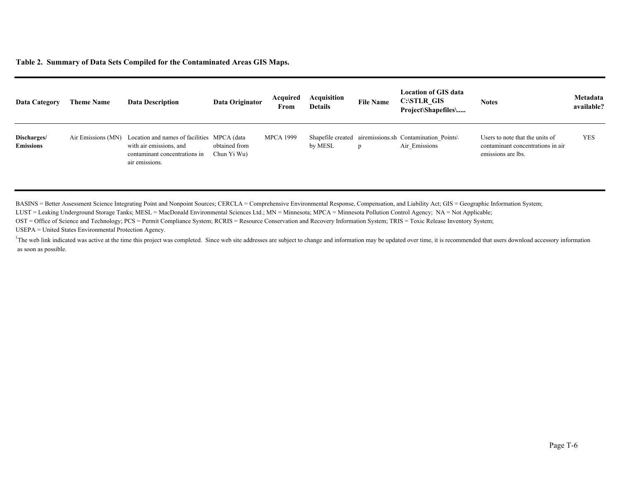| Data Category                   | <b>Theme Name</b>  | <b>Data Description</b>                                                                                                   | Data Originator              | Acquired<br>From | Acquisition<br><b>Details</b> | <b>File Name</b> | <b>Location of GIS data</b><br>C:\STLR GIS<br>Project\Shapefiles\        | <b>Notes</b>                                                                               | Metadata<br>available? |
|---------------------------------|--------------------|---------------------------------------------------------------------------------------------------------------------------|------------------------------|------------------|-------------------------------|------------------|--------------------------------------------------------------------------|--------------------------------------------------------------------------------------------|------------------------|
| Discharges/<br><b>Emissions</b> | Air Emissions (MN) | Location and names of facilities MPCA (data<br>with air emissions, and<br>contaminant concentrations in<br>air emissions. | obtained from<br>Chun Yi Wu) | <b>MPCA 1999</b> | by MESL                       | D                | Shapefile created aircmissions.sh Contamination Points\<br>Air Emissions | Users to note that the units of<br>contaminant concentrations in air<br>emissions are lbs. | <b>YES</b>             |

BASINS = Better Assessment Science Integrating Point and Nonpoint Sources; CERCLA = Comprehensive Environmental Response, Compensation, and Liability Act; GIS = Geographic Information System;

LUST = Leaking Underground Storage Tanks; MESL = MacDonald Environmental Sciences Ltd.; MN = Minnesota; MPCA = Minnesota Pollution Control Agency; NA = Not Applicable;

OST = Office of Science and Technology; PCS = Permit Compliance System; RCRIS = Resource Conservation and Recovery Information System; TRIS = Toxic Release Inventory System;

USEPA = United States Environmental Protection Agency.

<sup>1</sup>The web link indicated was active at the time this project was completed. Since web site addresses are subject to change and information may be updated over time, it is recommended that users download accessory informat as soon as possible.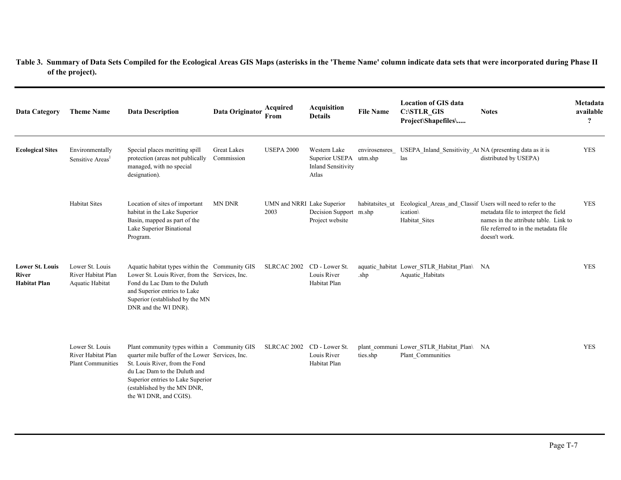| <b>Data Category</b>                                          | <b>Theme Name</b>                                                 | <b>Data Description</b>                                                                                                                                                                                                                                         | Data Originator                  | Acquired<br>From                   | <b>Acquisition</b><br><b>Details</b>                                 | <b>File Name</b>         | <b>Location of GIS data</b><br><b>C:\STLR GIS</b><br>Project\Shapefiles\ | <b>Notes</b>                                                                                                                                                                                            | Metadata<br>available<br>$\mathbf{P}$ |
|---------------------------------------------------------------|-------------------------------------------------------------------|-----------------------------------------------------------------------------------------------------------------------------------------------------------------------------------------------------------------------------------------------------------------|----------------------------------|------------------------------------|----------------------------------------------------------------------|--------------------------|--------------------------------------------------------------------------|---------------------------------------------------------------------------------------------------------------------------------------------------------------------------------------------------------|---------------------------------------|
| <b>Ecological Sites</b>                                       | Environmentally<br>Sensitive Areas <sup>1</sup>                   | Special places meritting spill<br>protection (areas not publically<br>managed, with no special<br>designation).                                                                                                                                                 | <b>Great Lakes</b><br>Commission | <b>USEPA 2000</b>                  | Western Lake<br>Superior USEPA<br><b>Inland Sensitivity</b><br>Atlas | envirosensres<br>utm.shp | USEPA_Inland_Sensitivity_At NA (presenting data as it is<br>las          | distributed by USEPA)                                                                                                                                                                                   | <b>YES</b>                            |
|                                                               | <b>Habitat Sites</b>                                              | Location of sites of important<br>habitat in the Lake Superior<br>Basin, mapped as part of the<br>Lake Superior Binational<br>Program.                                                                                                                          | MN DNR                           | UMN and NRRI Lake Superior<br>2003 | Decision Support m.shp<br>Project website                            | habitatsites ut          | ication\<br>Habitat Sites                                                | Ecological Areas and Classif Users will need to refer to the<br>metadata file to interpret the field<br>names in the attribute table. Link to<br>file referred to in the metadata file<br>doesn't work. | <b>YES</b>                            |
| <b>Lower St. Louis</b><br><b>River</b><br><b>Habitat Plan</b> | Lower St. Louis<br>River Habitat Plan<br>Aquatic Habitat          | Aquatic habitat types within the Community GIS<br>Lower St. Louis River, from the Services, Inc.<br>Fond du Lac Dam to the Duluth<br>and Superior entries to Lake<br>Superior (established by the MN<br>DNR and the WI DNR).                                    |                                  | SLRCAC 2002                        | CD - Lower St.<br>Louis River<br>Habitat Plan                        | .shp                     | aquatic_habitat_Lower_STLR_Habitat_Plan\ NA<br>Aquatic Habitats          |                                                                                                                                                                                                         | <b>YES</b>                            |
|                                                               | Lower St. Louis<br>River Habitat Plan<br><b>Plant Communities</b> | Plant community types within a Community GIS<br>quarter mile buffer of the Lower Services, Inc.<br>St. Louis River, from the Fond<br>du Lac Dam to the Duluth and<br>Superior entries to Lake Superior<br>(established by the MN DNR,<br>the WI DNR, and CGIS). |                                  | SLRCAC 2002                        | CD - Lower St.<br>Louis River<br>Habitat Plan                        | ties.shp                 | plant communi Lower STLR Habitat Plan\ NA<br>Plant Communities           |                                                                                                                                                                                                         | <b>YES</b>                            |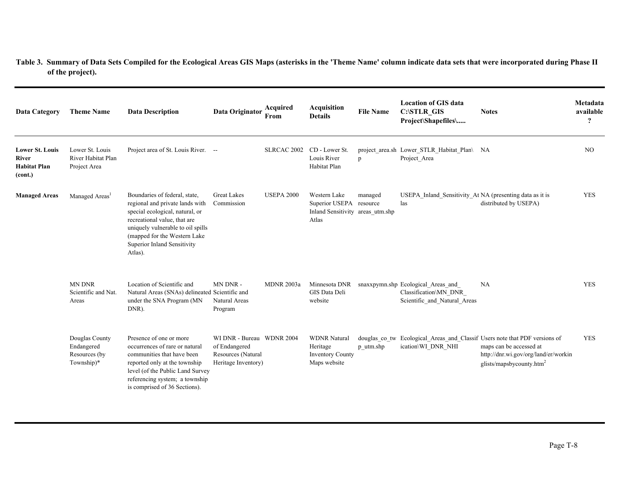| <b>Data Category</b>                                                     | <b>Theme Name</b>                                           | <b>Data Description</b>                                                                                                                                                                                                                            | Data Originator                                                                         | Acquired<br>From  | <b>Acquisition</b><br><b>Details</b>                                                 | <b>File Name</b> | <b>Location of GIS data</b><br><b>C:\STLR GIS</b><br>Project\Shapefiles\                    | <b>Notes</b>                                                                                                                                                                          | Metadata<br>available<br>$\overline{?}$ |
|--------------------------------------------------------------------------|-------------------------------------------------------------|----------------------------------------------------------------------------------------------------------------------------------------------------------------------------------------------------------------------------------------------------|-----------------------------------------------------------------------------------------|-------------------|--------------------------------------------------------------------------------------|------------------|---------------------------------------------------------------------------------------------|---------------------------------------------------------------------------------------------------------------------------------------------------------------------------------------|-----------------------------------------|
| <b>Lower St. Louis</b><br><b>River</b><br><b>Habitat Plan</b><br>(cont.) | Lower St. Louis<br>River Habitat Plan<br>Project Area       | Project area of St. Louis River. --                                                                                                                                                                                                                |                                                                                         | SLRCAC 2002       | CD - Lower St.<br>Louis River<br>Habitat Plan                                        | p                | project_area.sh Lower_STLR_Habitat_Plan\ NA<br>Project Area                                 |                                                                                                                                                                                       | NO.                                     |
| <b>Managed Areas</b>                                                     | Managed Areas <sup>1</sup>                                  | Boundaries of federal, state,<br>regional and private lands with<br>special ecological, natural, or<br>recreational value, that are<br>uniquely vulnerable to oil spills<br>(mapped for the Western Lake<br>Superior Inland Sensitivity<br>Atlas). | <b>Great Lakes</b><br>Commission                                                        | <b>USEPA 2000</b> | Western Lake<br>Superior USEPA resource<br>Inland Sensitivity areas utm.shp<br>Atlas | managed          | USEPA_Inland_Sensitivity_At NA (presenting data as it is<br>las                             | distributed by USEPA)                                                                                                                                                                 | <b>YES</b>                              |
|                                                                          | <b>MN DNR</b><br>Scientific and Nat.<br>Areas               | Location of Scientific and<br>Natural Areas (SNAs) delineated Scientific and<br>under the SNA Program (MN<br>DNR).                                                                                                                                 | MN DNR -<br>Natural Areas<br>Program                                                    | <b>MDNR 2003a</b> | Minnesota DNR<br>GIS Data Deli<br>website                                            |                  | snaxxpymn.shp Ecological Areas and<br>Classification\MN DNR<br>Scientific and Natural Areas | NA                                                                                                                                                                                    | <b>YES</b>                              |
|                                                                          | Douglas County<br>Endangered<br>Resources (by<br>Township)* | Presence of one or more<br>occurrences of rare or natural<br>communities that have been<br>reported only at the township<br>level (of the Public Land Survey<br>referencing system; a township<br>is comprised of 36 Sections).                    | WI DNR - Bureau WDNR 2004<br>of Endangered<br>Resources (Natural<br>Heritage Inventory) |                   | <b>WDNR Natural</b><br>Heritage<br><b>Inventory County</b><br>Maps website           | p utm.shp        | ication\WI_DNR_NHI                                                                          | douglas co tw Ecological Areas and Classif Users note that PDF versions of<br>maps can be accessed at<br>http://dnr.wi.gov/org/land/er/workin<br>glists/mapsbycounty.htm <sup>2</sup> | <b>YES</b>                              |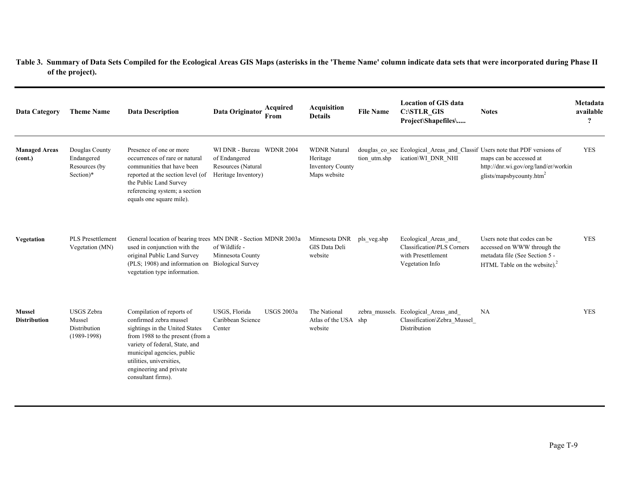| <b>Data Category</b>                 | <b>Theme Name</b>                                            | <b>Data Description</b>                                                                                                                                                                                                                                                | Data Originator                                                                         | Acquired<br>From  | <b>Acquisition</b><br><b>Details</b>                                       | <b>File Name</b> | <b>Location of GIS data</b><br><b>C:\STLR GIS</b><br>Project\Shapefiles\                    | <b>Notes</b>                                                                                                                                                                           | Metadata<br>available<br>$\boldsymbol{\mathcal{P}}$ |
|--------------------------------------|--------------------------------------------------------------|------------------------------------------------------------------------------------------------------------------------------------------------------------------------------------------------------------------------------------------------------------------------|-----------------------------------------------------------------------------------------|-------------------|----------------------------------------------------------------------------|------------------|---------------------------------------------------------------------------------------------|----------------------------------------------------------------------------------------------------------------------------------------------------------------------------------------|-----------------------------------------------------|
| <b>Managed Areas</b><br>(cont.)      | Douglas County<br>Endangered<br>Resources (by<br>Section)*   | Presence of one or more<br>occurrences of rare or natural<br>communities that have been<br>reported at the section level (of<br>the Public Land Survey<br>referencing system; a section<br>equals one square mile).                                                    | WI DNR - Bureau WDNR 2004<br>of Endangered<br>Resources (Natural<br>Heritage Inventory) |                   | <b>WDNR Natural</b><br>Heritage<br><b>Inventory County</b><br>Maps website | tion utm.shp     | ication\WI DNR NHI                                                                          | douglas_co_sec Ecological_Areas_and_Classif Users note that PDF versions of<br>maps can be accessed at<br>http://dnr.wi.gov/org/land/er/workin<br>glists/mapsbycounty.htm <sup>2</sup> | <b>YES</b>                                          |
| Vegetation                           | <b>PLS</b> Presettlement<br>Vegetation (MN)                  | General location of bearing trees MN DNR - Section MDNR 2003a<br>used in conjunction with the<br>original Public Land Survey<br>(PLS; 1908) and information on Biological Survey<br>vegetation type information.                                                       | of Wildlife -<br>Minnesota County                                                       |                   | Minnesota DNR<br>GIS Data Deli<br>website                                  | pls veg.shp      | Ecological Areas and<br>Classification\PLS Corners<br>with Presettlement<br>Vegetation Info | Users note that codes can be<br>accessed on WWW through the<br>metadata file (See Section 5 -<br>HTML Table on the website). $^{2}$                                                    | <b>YES</b>                                          |
| <b>Mussel</b><br><b>Distribution</b> | <b>USGS</b> Zebra<br>Mussel<br>Distribution<br>$(1989-1998)$ | Compilation of reports of<br>confirmed zebra mussel<br>sightings in the United States<br>from 1988 to the present (from a<br>variety of federal, State, and<br>municipal agencies, public<br>utilities, universities,<br>engineering and private<br>consultant firms). | USGS, Florida<br>Caribbean Science<br>Center                                            | <b>USGS 2003a</b> | The National<br>Atlas of the USA shp<br>website                            |                  | zebra_mussels. Ecological_Areas_and<br>Classification\Zebra Mussel<br>Distribution          | NA                                                                                                                                                                                     | <b>YES</b>                                          |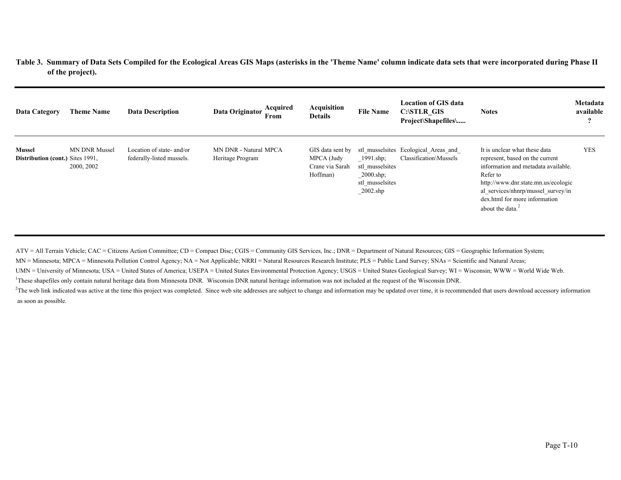| Data Category                                            | <b>Theme Name</b>                  | <b>Data Description</b>                                | Acquired<br>Data Originator<br>From       | Acquisition<br><b>Details</b>                                 | <b>File Name</b>                                                                                   | <b>Location of GIS data</b><br>C:\STLR GIS<br>Project\Shapefiles\ | <b>Notes</b>                                                                                                                                                                                                                                                | Metadata<br>available<br>$\boldsymbol{\Omega}$ |
|----------------------------------------------------------|------------------------------------|--------------------------------------------------------|-------------------------------------------|---------------------------------------------------------------|----------------------------------------------------------------------------------------------------|-------------------------------------------------------------------|-------------------------------------------------------------------------------------------------------------------------------------------------------------------------------------------------------------------------------------------------------------|------------------------------------------------|
| <b>Mussel</b><br><b>Distribution (cont.)</b> Sites 1991. | <b>MN DNR Mussel</b><br>2000, 2002 | Location of state- and/or<br>federally-listed mussels. | MN DNR - Natural MPCA<br>Heritage Program | GIS data sent by<br>MPCA (Judy<br>Crane via Sarah<br>Hoffman) | $1991 \text{ shp}$ ;<br>stl musselsites<br>$2000.\text{shp}$ ;<br>stl musselsites<br>$\_2002$ .shp | stl musselsites Ecological Areas and<br>Classification\Mussels    | It is unclear what these data<br>represent, based on the current<br>information and metadata available.<br>Refer to<br>http://www.dnr.state.mn.us/ecologic<br>al services/nhnrp/mussel survey/in<br>dex.html for more information<br>about the data. $^{2}$ | <b>YES</b>                                     |

ATV = All Terrain Vehicle; CAC = Citizens Action Committee; CD = Compact Disc; CGIS = Community GIS Services, Inc.; DNR = Department of Natural Resources; GIS = Geographic Information System;

MN = Minnesota; MPCA = Minnesota Pollution Control Agency; NA = Not Applicable; NRRI = Natural Resources Research Institute; PLS = Public Land Survey; SNAs = Scientific and Natural Areas;

UMN = University of Minnesota; USA = United States of America; USEPA = United States Environmental Protection Agency; USGS = United States Geological Survey; WI = Wisconsin; WWW = World Wide Web.

<sup>1</sup>These shapefiles only contain natural heritage data from Minnesota DNR. Wisconsin DNR natural heritage information was not included at the request of the Wisconsin DNR.

 $2$ The web link indicated was active at the time this project was completed. Since web site addresses are subject to change and information may be updated over time, it is recommended that users download accessory informa as soon as possible.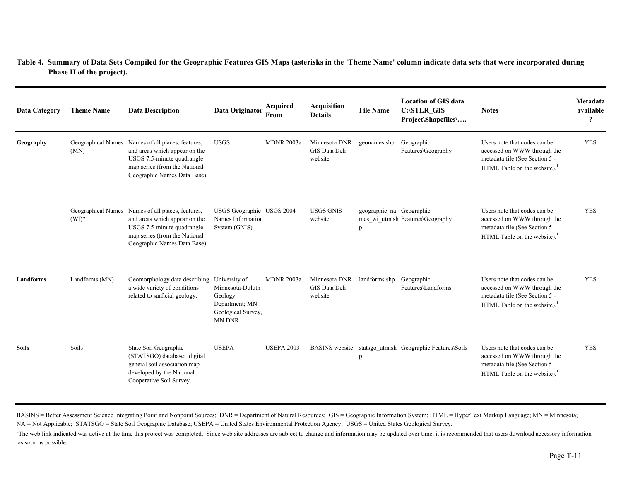| <b>Data Category</b> | <b>Theme Name</b>          | <b>Data Description</b>                                                                                                                                                           | Data Originator                                                                      | Acquired<br>From  | <b>Acquisition</b><br><b>Details</b>      | <b>File Name</b>              | <b>Location of GIS data</b><br>C:\STLR_GIS<br>Project\Shapefiles\ | <b>Notes</b>                                                                                                                              | Metadata<br>available<br>$\overline{\mathbf{?}}$ |
|----------------------|----------------------------|-----------------------------------------------------------------------------------------------------------------------------------------------------------------------------------|--------------------------------------------------------------------------------------|-------------------|-------------------------------------------|-------------------------------|-------------------------------------------------------------------|-------------------------------------------------------------------------------------------------------------------------------------------|--------------------------------------------------|
| Geography            | Geographical Names<br>(MN) | Names of all places, features,<br>and areas which appear on the<br>USGS 7.5-minute quadrangle<br>map series (from the National<br>Geographic Names Data Base).                    | <b>USGS</b>                                                                          | MDNR 2003a        | Minnesota DNR<br>GIS Data Deli<br>website | geonames.shp                  | Geographic<br>Features\Geography                                  | Users note that codes can be<br>accessed on WWW through the<br>metadata file (See Section 5 -<br>HTML Table on the website). <sup>1</sup> | <b>YES</b>                                       |
|                      | $(WI)^*$                   | Geographical Names Names of all places, features,<br>and areas which appear on the<br>USGS 7.5-minute quadrangle<br>map series (from the National<br>Geographic Names Data Base). | USGS Geographic USGS 2004<br>Names Information<br>System (GNIS)                      |                   | <b>USGS GNIS</b><br>website               | geographic_na Geographic<br>p | mes wi utm.sh Features\Geography                                  | Users note that codes can be<br>accessed on WWW through the<br>metadata file (See Section 5 -<br>HTML Table on the website). <sup>1</sup> | <b>YES</b>                                       |
| Landforms            | Landforms (MN)             | Geomorphology data describing University of<br>a wide variety of conditions<br>related to surficial geology.                                                                      | Minnesota-Duluth<br>Geology<br>Department; MN<br>Geological Survey,<br><b>MN DNR</b> | <b>MDNR 2003a</b> | Minnesota DNR<br>GIS Data Deli<br>website | landforms.shp                 | Geographic<br>Features\Landforms                                  | Users note that codes can be<br>accessed on WWW through the<br>metadata file (See Section 5 -<br>HTML Table on the website). <sup>1</sup> | <b>YES</b>                                       |
| <b>Soils</b>         | Soils                      | State Soil Geographic<br>(STATSGO) database: digital<br>general soil association map<br>developed by the National<br>Cooperative Soil Survey.                                     | <b>USEPA</b>                                                                         | <b>USEPA 2003</b> |                                           | p                             | BASINS website statsgo_utm.sh Geographic Features\Soils           | Users note that codes can be<br>accessed on WWW through the<br>metadata file (See Section 5 -<br>HTML Table on the website). <sup>1</sup> | <b>YES</b>                                       |

BASINS = Better Assessment Science Integrating Point and Nonpoint Sources; DNR = Department of Natural Resources; GIS = Geographic Information System; HTML = HyperText Markup Language; MN = Minnesota; NA = Not Applicable; STATSGO = State Soil Geographic Database; USEPA = United States Environmental Protection Agency; USGS = United States Geological Survey.

<sup>1</sup>The web link indicated was active at the time this project was completed. Since web site addresses are subject to change and information may be updated over time, it is recommended that users download accessory informat as soon as possible.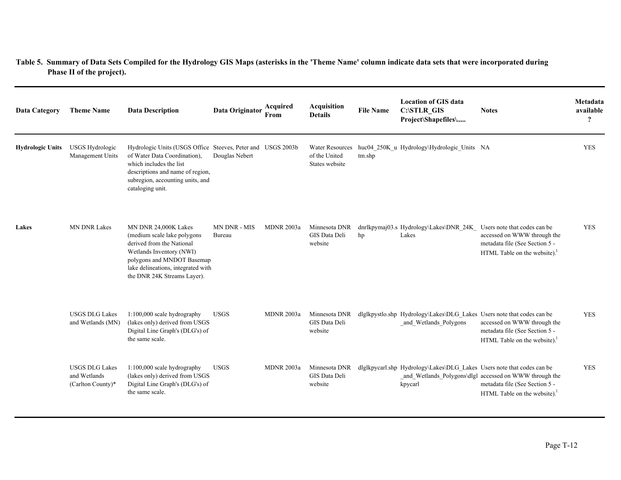| <b>Data Category</b>    | <b>Theme Name</b>                                          | <b>Data Description</b>                                                                                                                                                                                            | Data Originator        | Acquired<br>From  | Acquisition<br><b>Details</b>                             | <b>File Name</b> | <b>Location of GIS data</b><br>C:\STLR_GIS<br>Project\Shapefiles\                               | <b>Notes</b>                                                                                                                 | Metadata<br>available<br>$\boldsymbol{\mathcal{P}}$ |
|-------------------------|------------------------------------------------------------|--------------------------------------------------------------------------------------------------------------------------------------------------------------------------------------------------------------------|------------------------|-------------------|-----------------------------------------------------------|------------------|-------------------------------------------------------------------------------------------------|------------------------------------------------------------------------------------------------------------------------------|-----------------------------------------------------|
| <b>Hydrologic Units</b> | <b>USGS Hydrologic</b><br>Management Units                 | Hydrologic Units (USGS Office Steeves, Peter and USGS 2003b<br>of Water Data Coordination).<br>which includes the list<br>descriptions and name of region,<br>subregion, accounting units, and<br>cataloging unit. | Douglas Nebert         |                   | <b>Water Resources</b><br>of the United<br>States website | tm.shp           | huc04_250K_u Hydrology\Hydrologic_Units NA                                                      |                                                                                                                              | <b>YES</b>                                          |
| Lakes                   | <b>MN DNR Lakes</b>                                        | MN DNR 24,000K Lakes<br>(medium scale lake polygons)<br>derived from the National<br>Wetlands Inventory (NWI)<br>polygons and MNDOT Basemap<br>lake delineations, integrated with<br>the DNR 24K Streams Layer).   | MN DNR - MIS<br>Bureau | <b>MDNR 2003a</b> | Minnesota DNR<br>GIS Data Deli<br>website                 | hp               | dnrlkpymaj03.s Hydrology\Lakes\DNR_24K_ Users note that codes can be<br>Lakes                   | accessed on WWW through the<br>metadata file (See Section 5 -<br>HTML Table on the website). <sup>1</sup>                    | <b>YES</b>                                          |
|                         | <b>USGS DLG Lakes</b><br>and Wetlands (MN)                 | 1:100,000 scale hydrography<br>(lakes only) derived from USGS<br>Digital Line Graph's (DLG's) of<br>the same scale.                                                                                                | <b>USGS</b>            | <b>MDNR 2003a</b> | Minnesota DNR<br>GIS Data Deli<br>website                 |                  | dlglkpystlo.shp Hydrology\Lakes\DLG_Lakes Users note that codes can be<br>and Wetlands Polygons | accessed on WWW through the<br>metadata file (See Section 5 -<br>HTML Table on the website). $1$                             | <b>YES</b>                                          |
|                         | <b>USGS DLG Lakes</b><br>and Wetlands<br>(Carlton County)* | 1:100,000 scale hydrography<br>(lakes only) derived from USGS<br>Digital Line Graph's (DLG's) of<br>the same scale.                                                                                                | <b>USGS</b>            | <b>MDNR 2003a</b> | Minnesota DNR<br>GIS Data Deli<br>website                 |                  | dlglkpycarl.shp Hydrology\Lakes\DLG Lakes Users note that codes can be<br>kpycarl               | _and_Wetlands_Polygons\dlgl accessed on WWW through the<br>metadata file (See Section 5 -<br>HTML Table on the website). $1$ | <b>YES</b>                                          |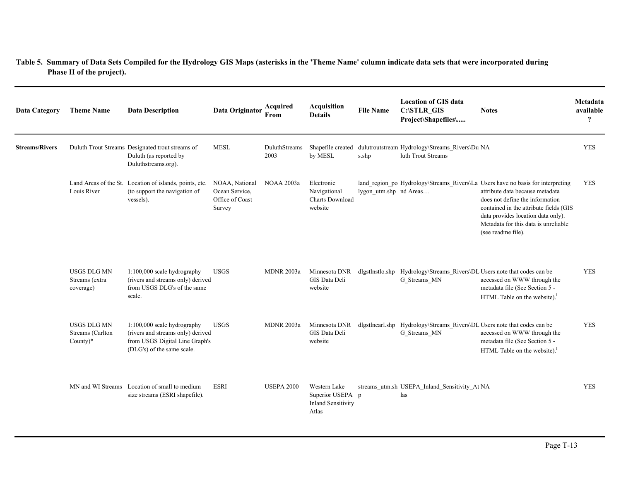| <b>Data Category</b>  | <b>Theme Name</b>                                    | <b>Data Description</b>                                                                                                          | Data Originator                                               | Acquired<br>From      | Acquisition<br><b>Details</b>                                          | <b>File Name</b>       | <b>Location of GIS data</b><br>C:\STLR_GIS<br>Project\Shapefiles\                         | <b>Notes</b>                                                                                                                                                                                                                                                                                        | Metadata<br>available<br>$\boldsymbol{\mathcal{P}}$ |
|-----------------------|------------------------------------------------------|----------------------------------------------------------------------------------------------------------------------------------|---------------------------------------------------------------|-----------------------|------------------------------------------------------------------------|------------------------|-------------------------------------------------------------------------------------------|-----------------------------------------------------------------------------------------------------------------------------------------------------------------------------------------------------------------------------------------------------------------------------------------------------|-----------------------------------------------------|
| <b>Streams/Rivers</b> |                                                      | Duluth Trout Streams Designated trout streams of<br>Duluth (as reported by<br>Duluthstreams.org).                                | <b>MESL</b>                                                   | DuluthStreams<br>2003 | Shapefile created<br>by MESL                                           | s.shp                  | dulutroutstream Hydrology\Streams Rivers\Du NA<br>luth Trout Streams                      |                                                                                                                                                                                                                                                                                                     | <b>YES</b>                                          |
|                       | Louis River                                          | Land Areas of the St. Location of islands, points, etc.<br>(to support the navigation of<br>vessels).                            | NOAA, National<br>Ocean Service,<br>Office of Coast<br>Survey | <b>NOAA 2003a</b>     | Electronic<br>Navigational<br><b>Charts Download</b><br>website        | lygon utm.shp nd Areas |                                                                                           | land_region_po Hydrology\Streams_Rivers\La Users have no basis for interpreting<br>attribute data because metadata<br>does not define the information<br>contained in the attribute fields (GIS<br>data provides location data only).<br>Metadata for this data is unreliable<br>(see readme file). | <b>YES</b>                                          |
|                       | <b>USGS DLG MN</b><br>Streams (extra<br>coverage)    | 1:100,000 scale hydrography<br>(rivers and streams only) derived<br>from USGS DLG's of the same<br>scale.                        | <b>USGS</b>                                                   | <b>MDNR 2003a</b>     | Minnesota DNR<br>GIS Data Deli<br>website                              |                        | dlgstlnstlo.shp  Hydrology\Streams_Rivers\DL Users note that codes can be<br>G_Streams_MN | accessed on WWW through the<br>metadata file (See Section 5 -<br>HTML Table on the website).                                                                                                                                                                                                        | <b>YES</b>                                          |
|                       | <b>USGS DLG MN</b><br>Streams (Carlton<br>$County)*$ | 1:100,000 scale hydrography<br>(rivers and streams only) derived<br>from USGS Digital Line Graph's<br>(DLG's) of the same scale. | <b>USGS</b>                                                   | <b>MDNR 2003a</b>     | Minnesota DNR<br>GIS Data Deli<br>website                              |                        | dlgstlncarl.shp  Hydrology\Streams_Rivers\DL Users note that codes can be<br>G Streams MN | accessed on WWW through the<br>metadata file (See Section 5 -<br>HTML Table on the website).                                                                                                                                                                                                        | <b>YES</b>                                          |
|                       |                                                      | MN and WI Streams Location of small to medium<br>size streams (ESRI shapefile).                                                  | <b>ESRI</b>                                                   | <b>USEPA 2000</b>     | Western Lake<br>Superior USEPA p<br><b>Inland Sensitivity</b><br>Atlas |                        | streams utm.sh USEPA Inland Sensitivity At NA<br>las                                      |                                                                                                                                                                                                                                                                                                     | <b>YES</b>                                          |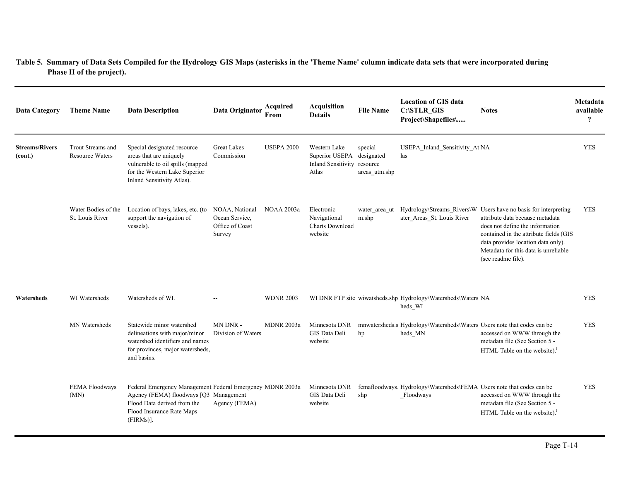| <b>Data Category</b>             | <b>Theme Name</b>                           | <b>Data Description</b>                                                                                                                                                         | Data Originator                                               | Acquired<br>From  | <b>Acquisition</b><br><b>Details</b>                                              | <b>File Name</b>         | <b>Location of GIS data</b><br>C:\STLR_GIS<br>Project\Shapefiles\                  | <b>Notes</b>                                                                                                                                                                                                                                                                        | Metadata<br>available<br>$\boldsymbol{\mathcal{P}}$ |
|----------------------------------|---------------------------------------------|---------------------------------------------------------------------------------------------------------------------------------------------------------------------------------|---------------------------------------------------------------|-------------------|-----------------------------------------------------------------------------------|--------------------------|------------------------------------------------------------------------------------|-------------------------------------------------------------------------------------------------------------------------------------------------------------------------------------------------------------------------------------------------------------------------------------|-----------------------------------------------------|
| <b>Streams/Rivers</b><br>(cont.) | Trout Streams and<br><b>Resource Waters</b> | Special designated resource<br>areas that are uniquely<br>vulnerable to oil spills (mapped<br>for the Western Lake Superior<br>Inland Sensitivity Atlas).                       | <b>Great Lakes</b><br>Commission                              | <b>USEPA 2000</b> | Western Lake<br>Superior USEPA designated<br>Inland Sensitivity resource<br>Atlas | special<br>areas utm.shp | USEPA_Inland_Sensitivity_At NA<br>las                                              |                                                                                                                                                                                                                                                                                     | <b>YES</b>                                          |
|                                  | Water Bodies of the<br>St. Louis River      | Location of bays, lakes, etc. (to<br>support the navigation of<br>vessels).                                                                                                     | NOAA, National<br>Ocean Service,<br>Office of Coast<br>Survey | NOAA 2003a        | Electronic<br>Navigational<br>Charts Download<br>website                          | water area ut<br>m.shp   | ater Areas St. Louis River                                                         | Hydrology\Streams_Rivers\W Users have no basis for interpreting<br>attribute data because metadata<br>does not define the information<br>contained in the attribute fields (GIS<br>data provides location data only).<br>Metadata for this data is unreliable<br>(see readme file). | <b>YES</b>                                          |
| Watersheds                       | WI Watersheds                               | Watersheds of WI.                                                                                                                                                               |                                                               | <b>WDNR 2003</b>  |                                                                                   |                          | WI DNR FTP site wiwatsheds.shp Hydrology\Watersheds\Waters NA<br>heds_WI           |                                                                                                                                                                                                                                                                                     | <b>YES</b>                                          |
|                                  | MN Watersheds                               | Statewide minor watershed<br>delineations with major/minor<br>watershed identifiers and names<br>for provinces, major watersheds,<br>and basins.                                | MN DNR-<br>Division of Waters                                 | <b>MDNR 2003a</b> | Minnesota DNR<br>GIS Data Deli<br>website                                         | hp                       | mnwatersheds.s Hydrology\Watersheds\Waters Users note that codes can be<br>heds_MN | accessed on WWW through the<br>metadata file (See Section 5 -<br>HTML Table on the website).                                                                                                                                                                                        | <b>YES</b>                                          |
|                                  | FEMA Floodways<br>(MN)                      | Federal Emergency Management Federal Emergency MDNR 2003a<br>Agency (FEMA) floodways [Q3 Management<br>Flood Data derived from the<br>Flood Insurance Rate Maps<br>$(FIRMs)$ ]. | Agency (FEMA)                                                 |                   | Minnesota DNR<br>GIS Data Deli<br>website                                         | shp                      | femafloodways. Hydrology\Watersheds\FEMA Users note that codes can be<br>Floodways | accessed on WWW through the<br>metadata file (See Section 5 -<br>HTML Table on the website).                                                                                                                                                                                        | <b>YES</b>                                          |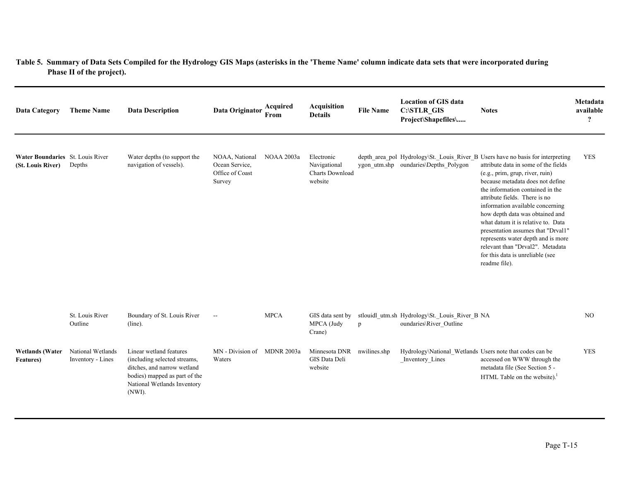| <b>Data Category</b>                                  | <b>Theme Name</b>                      | <b>Data Description</b>                                                                                                                                          | Data Originator                                               | Acquired<br>From | <b>Acquisition</b><br><b>Details</b>                            | <b>File Name</b> | <b>Location of GIS data</b><br><b>C:\STLR GIS</b><br>Project\Shapefiles\    | <b>Notes</b>                                                                                                                                                                                                                                                                                                                                                                                                                                                                                                                                          | Metadata<br>available<br>$\overline{\mathbf{?}}$ |
|-------------------------------------------------------|----------------------------------------|------------------------------------------------------------------------------------------------------------------------------------------------------------------|---------------------------------------------------------------|------------------|-----------------------------------------------------------------|------------------|-----------------------------------------------------------------------------|-------------------------------------------------------------------------------------------------------------------------------------------------------------------------------------------------------------------------------------------------------------------------------------------------------------------------------------------------------------------------------------------------------------------------------------------------------------------------------------------------------------------------------------------------------|--------------------------------------------------|
| Water Boundaries St. Louis River<br>(St. Louis River) | Depths                                 | Water depths (to support the<br>navigation of vessels).                                                                                                          | NOAA, National<br>Ocean Service,<br>Office of Coast<br>Survey | NOAA 2003a       | Electronic<br>Navigational<br><b>Charts Download</b><br>website |                  | ygon utm.shp oundaries\Depths Polygon                                       | depth_area_pol Hydrology\St._Louis_River_B Users have no basis for interpreting<br>attribute data in some of the fields<br>(e.g., prim, grup, river, ruin)<br>because metadata does not define<br>the information contained in the<br>attribute fields. There is no<br>information available concerning<br>how depth data was obtained and<br>what datum it is relative to. Data<br>presentation assumes that "Drval1"<br>represents water depth and is more<br>relevant than "Drval2". Metadata<br>for this data is unreliable (see<br>readme file). | <b>YES</b>                                       |
|                                                       | St. Louis River<br>Outline             | Boundary of St. Louis River<br>$(line)$ .                                                                                                                        | $\mathord{\hspace{1pt}\text{--}\hspace{1pt}}$                 | <b>MPCA</b>      | GIS data sent by<br>MPCA (Judy<br>Crane)                        | p                | stlouidl_utm.sh Hydrology\St._Louis_River_B NA<br>oundaries\River_Outline   |                                                                                                                                                                                                                                                                                                                                                                                                                                                                                                                                                       | N <sub>O</sub>                                   |
| <b>Wetlands</b> (Water<br><b>Features</b> )           | National Wetlands<br>Inventory - Lines | Linear wetland features<br>(including selected streams,<br>ditches, and narrow wetland<br>bodies) mapped as part of the<br>National Wetlands Inventory<br>(NWI). | MN - Division of MDNR 2003a<br>Waters                         |                  | Minnesota DNR nwilines.shp<br>GIS Data Deli<br>website          |                  | Hydrology\National_Wetlands Users note that codes can be<br>Inventory Lines | accessed on WWW through the<br>metadata file (See Section 5 -<br>HTML Table on the website). <sup>1</sup>                                                                                                                                                                                                                                                                                                                                                                                                                                             | <b>YES</b>                                       |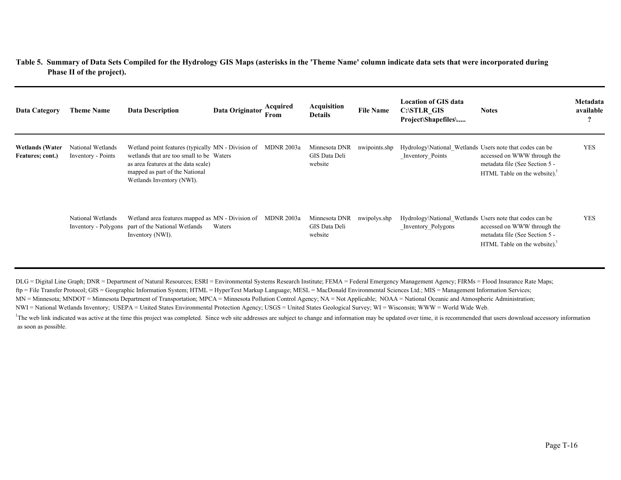| Data Category                              | <b>Theme Name</b>                         | <b>Data Description</b>                                                                                                                                                                                          | Data Originator | Acquired<br>From | <b>Acquisition</b><br><b>Details</b>      | <b>File Name</b> | <b>Location of GIS data</b><br><b>C:\STLR GIS</b><br>Project\Shapefiles\       | <b>Notes</b>                                                                                              | Metadata<br>available<br>$\cdot$ |
|--------------------------------------------|-------------------------------------------|------------------------------------------------------------------------------------------------------------------------------------------------------------------------------------------------------------------|-----------------|------------------|-------------------------------------------|------------------|--------------------------------------------------------------------------------|-----------------------------------------------------------------------------------------------------------|----------------------------------|
| <b>Wetlands</b> (Water<br>Features; cont.) | National Wetlands<br>Inventory - Points   | Wetland point features (typically MN - Division of MDNR 2003a)<br>wetlands that are too small to be Waters<br>as area features at the data scale)<br>mapped as part of the National<br>Wetlands Inventory (NWI). |                 |                  | Minnesota DNR<br>GIS Data Deli<br>website | nwipoints.shp    | Hydrology\National Wetlands Users note that codes can be<br>Inventory Points   | accessed on WWW through the<br>metadata file (See Section 5 -<br>HTML Table on the website). $1$          | <b>YES</b>                       |
|                                            | National Wetlands<br>Inventory - Polygons | Wetland area features mapped as MN - Division of MDNR 2003a<br>part of the National Wetlands<br>Inventory (NWI).                                                                                                 | Waters          |                  | Minnesota DNR<br>GIS Data Deli<br>website | nwipolys.shp     | Hydrology\National Wetlands Users note that codes can be<br>Inventory Polygons | accessed on WWW through the<br>metadata file (See Section 5 -<br>HTML Table on the website). <sup>1</sup> | <b>YES</b>                       |

DLG = Digital Line Graph; DNR = Department of Natural Resources; ESRI = Environmental Systems Research Institute; FEMA = Federal Emergency Management Agency; FIRMs = Flood Insurance Rate Maps;

ftp = File Transfer Protocol; GIS = Geographic Information System; HTML = HyperText Markup Language; MESL = MacDonald Environmental Sciences Ltd.; MIS = Management Information Services;

MN = Minnesota; MNDOT = Minnesota Department of Transportation; MPCA = Minnesota Pollution Control Agency; NA = Not Applicable; NOAA = National Oceanic and Atmospheric Administration;

NWI = National Wetlands Inventory; USEPA = United States Environmental Protection Agency; USGS = United States Geological Survey; WI = Wisconsin; WWW = World Wide Web.

<sup>1</sup>The web link indicated was active at the time this project was completed. Since web site addresses are subject to change and information may be updated over time, it is recommended that users download accessory informat as soon as possible.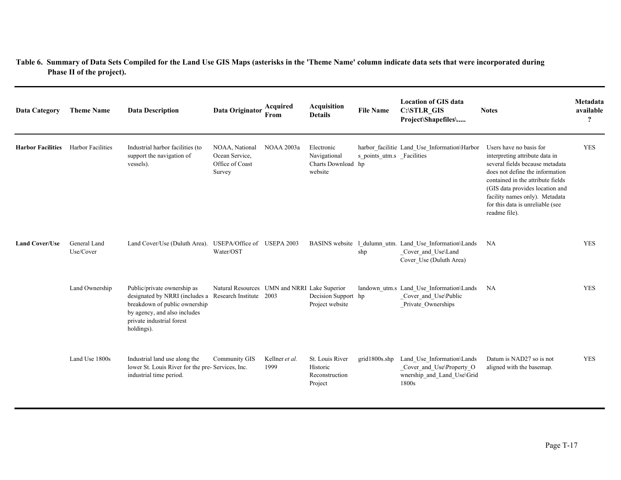| <b>Data Category</b>     | <b>Theme Name</b>         | <b>Data Description</b>                                                                                                                                                   | Data Originator                                                         | Acquired<br>From       | <b>Acquisition</b><br><b>Details</b>                        | <b>File Name</b>          | <b>Location of GIS data</b><br>C:\STLR_GIS<br>Project\Shapefiles\                                        | <b>Notes</b>                                                                                                                                                                                                                                                                                   | Metadata<br>available<br>$\boldsymbol{\mathcal{P}}$ |
|--------------------------|---------------------------|---------------------------------------------------------------------------------------------------------------------------------------------------------------------------|-------------------------------------------------------------------------|------------------------|-------------------------------------------------------------|---------------------------|----------------------------------------------------------------------------------------------------------|------------------------------------------------------------------------------------------------------------------------------------------------------------------------------------------------------------------------------------------------------------------------------------------------|-----------------------------------------------------|
| <b>Harbor Facilities</b> | <b>Harbor Facilities</b>  | Industrial harbor facilities (to<br>support the navigation of<br>vessels).                                                                                                | NOAA, National<br>Ocean Service,<br>Office of Coast<br>Survey           | <b>NOAA 2003a</b>      | Electronic<br>Navigational<br>Charts Download hp<br>website | s points utm.s Facilities | harbor facilitie Land Use Information\Harbor                                                             | Users have no basis for<br>interpreting attribute data in<br>several fields because metadata<br>does not define the information<br>contained in the attribute fields<br>(GIS data provides location and<br>facility names only). Metadata<br>for this data is unreliable (see<br>readme file). | <b>YES</b>                                          |
| <b>Land Cover/Use</b>    | General Land<br>Use/Cover | Land Cover/Use (Duluth Area).                                                                                                                                             | USEPA/Office of USEPA 2003<br>Water/OST                                 |                        |                                                             | shp                       | BASINS website 1_dulumn_utm. Land_Use_Information\Lands<br>Cover_and_Use\Land<br>Cover Use (Duluth Area) | NA                                                                                                                                                                                                                                                                                             | <b>YES</b>                                          |
|                          | Land Ownership            | Public/private ownership as<br>designated by NRRI (includes a<br>breakdown of public ownership<br>by agency, and also includes<br>private industrial forest<br>holdings). | Natural Resources UMN and NRRI Lake Superior<br>Research Institute 2003 |                        | Decision Support hp<br>Project website                      |                           | landown utm.s Land Use Information\Lands<br>Cover_and_Use\Public<br>Private Ownerships                   | <b>NA</b>                                                                                                                                                                                                                                                                                      | <b>YES</b>                                          |
|                          | Land Use 1800s            | Industrial land use along the<br>lower St. Louis River for the pre- Services, Inc.<br>industrial time period.                                                             | Community GIS                                                           | Kellner et al.<br>1999 | St. Louis River<br>Historic<br>Reconstruction<br>Project    | grid1800s.shp             | Land Use Information\Lands<br>Cover and Use\Property O<br>wnership_and_Land_Use\Grid<br>1800s            | Datum is NAD27 so is not<br>aligned with the basemap.                                                                                                                                                                                                                                          | <b>YES</b>                                          |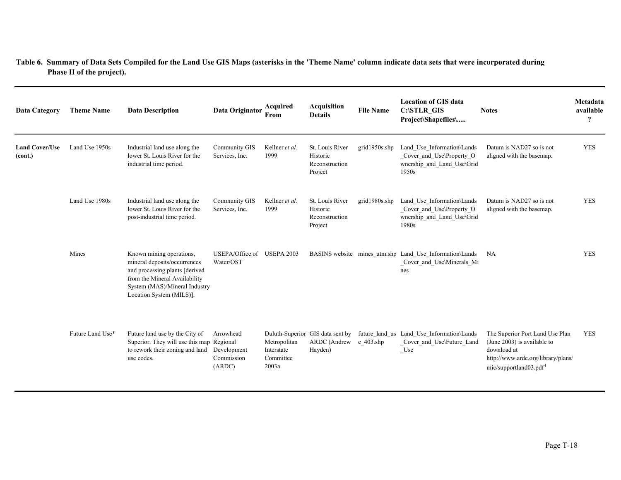| <b>Data Category</b>             | <b>Theme Name</b> | <b>Data Description</b>                                                                                                                                                                  | Data Originator                                  | Acquired<br>From                                 | <b>Acquisition</b><br><b>Details</b>                        | <b>File Name</b> | <b>Location of GIS data</b><br>C:\STLR_GIS<br>Project\Shapefiles\                             | <b>Notes</b>                                                                                                                                              | Metadata<br>available<br>$\ddot{?}$ |
|----------------------------------|-------------------|------------------------------------------------------------------------------------------------------------------------------------------------------------------------------------------|--------------------------------------------------|--------------------------------------------------|-------------------------------------------------------------|------------------|-----------------------------------------------------------------------------------------------|-----------------------------------------------------------------------------------------------------------------------------------------------------------|-------------------------------------|
| <b>Land Cover/Use</b><br>(cont.) | Land Use 1950s    | Industrial land use along the<br>lower St. Louis River for the<br>industrial time period.                                                                                                | Community GIS<br>Services, Inc.                  | Kellner et al.<br>1999                           | St. Louis River<br>Historic<br>Reconstruction<br>Project    | grid1950s.shp    | Land Use Information\Lands<br>Cover and Use\Property O<br>wnership_and_Land_Use\Grid<br>1950s | Datum is NAD27 so is not<br>aligned with the basemap.                                                                                                     | <b>YES</b>                          |
|                                  | Land Use 1980s    | Industrial land use along the<br>lower St. Louis River for the<br>post-industrial time period.                                                                                           | <b>Community GIS</b><br>Services, Inc.           | Kellner et al.<br>1999                           | St. Louis River<br>Historic<br>Reconstruction<br>Project    | grid1980s.shp    | Land Use Information\Lands<br>Cover and Use\Property O<br>wnership_and_Land_Use\Grid<br>1980s | Datum is NAD27 so is not<br>aligned with the basemap.                                                                                                     | <b>YES</b>                          |
|                                  | Mines             | Known mining operations,<br>mineral deposits/occurrences<br>and processing plants [derived<br>from the Mineral Availability<br>System (MAS)/Mineral Industry<br>Location System (MILS)]. | USEPA/Office of<br>Water/OST                     | <b>USEPA 2003</b>                                |                                                             |                  | BASINS website mines utm.shp Land Use Information\Lands<br>Cover and Use\Minerals Mi<br>nes   | NA                                                                                                                                                        | <b>YES</b>                          |
|                                  | Future Land Use*  | Future land use by the City of<br>Superior. They will use this map Regional<br>to rework their zoning and land<br>use codes.                                                             | Arrowhead<br>Development<br>Commission<br>(ARDC) | Metropolitan<br>Interstate<br>Committee<br>2003a | Duluth-Superior GIS data sent by<br>ARDC (Andrew<br>Hayden) | $e$ 403.shp      | future land us Land Use Information\Lands<br>Cover and Use\Future Land<br>$_$                 | The Superior Port Land Use Plan<br>(June 2003) is available to<br>download at<br>http://www.ardc.org/library/plans/<br>mic/supportland03.pdf <sup>1</sup> | <b>YES</b>                          |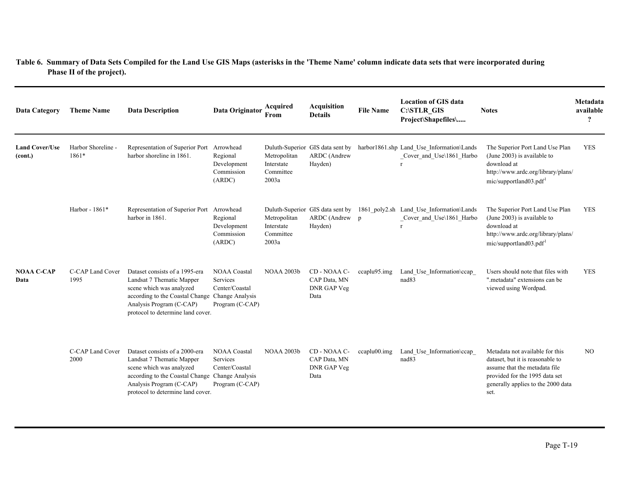| <b>Data Category</b>             | <b>Theme Name</b>           | <b>Data Description</b>                                                                                                                                                                                     | Data Originator                                                      | Acquired<br>From                                 | <b>Acquisition</b><br><b>Details</b>                          | <b>File Name</b> | <b>Location of GIS data</b><br><b>C:\STLR GIS</b><br>Project\Shapefiles\ | <b>Notes</b>                                                                                                                                                                         | Metadata<br>available<br>$\boldsymbol{?}$ |
|----------------------------------|-----------------------------|-------------------------------------------------------------------------------------------------------------------------------------------------------------------------------------------------------------|----------------------------------------------------------------------|--------------------------------------------------|---------------------------------------------------------------|------------------|--------------------------------------------------------------------------|--------------------------------------------------------------------------------------------------------------------------------------------------------------------------------------|-------------------------------------------|
| <b>Land Cover/Use</b><br>(cont.) | Harbor Shoreline -<br>1861* | Representation of Superior Port Arrowhead<br>harbor shoreline in 1861.                                                                                                                                      | Regional<br>Development<br>Commission<br>(ARDC)                      | Metropolitan<br>Interstate<br>Committee<br>2003a | Duluth-Superior GIS data sent by<br>ARDC (Andrew<br>Hayden)   |                  | harbor1861.shp Land Use Information\Lands<br>Cover and Use\1861 Harbo    | The Superior Port Land Use Plan<br>(June 2003) is available to<br>download at<br>http://www.ardc.org/library/plans/<br>mic/supportland03.pdf <sup>1</sup>                            | <b>YES</b>                                |
|                                  | Harbor - 1861*              | Representation of Superior Port Arrowhead<br>harbor in 1861.                                                                                                                                                | Regional<br>Development<br>Commission<br>(ARDC)                      | Metropolitan<br>Interstate<br>Committee<br>2003a | Duluth-Superior GIS data sent by<br>ARDC (Andrew p<br>Hayden) |                  | 1861 poly2.sh Land Use Information\Lands<br>Cover and Use\1861 Harbo     | The Superior Port Land Use Plan<br>(June 2003) is available to<br>download at<br>http://www.ardc.org/library/plans/<br>mic/supportland03.pdf <sup>1</sup>                            | <b>YES</b>                                |
| <b>NOAA C-CAP</b><br>Data        | C-CAP Land Cover<br>1995    | Dataset consists of a 1995-era<br>Landsat 7 Thematic Mapper<br>scene which was analyzed<br>according to the Coastal Change Change Analysis<br>Analysis Program (C-CAP)<br>protocol to determine land cover. | <b>NOAA Coastal</b><br>Services<br>Center/Coastal<br>Program (C-CAP) | NOAA 2003b                                       | CD - NOAA C-<br>CAP Data, MN<br>DNR GAP Veg<br>Data           | ccaplu95.img     | Land_Use_Information\ccap_<br>nad <sub>83</sub>                          | Users should note that files with<br>".metadata" extensions can be<br>viewed using Wordpad.                                                                                          | <b>YES</b>                                |
|                                  | C-CAP Land Cover<br>2000    | Dataset consists of a 2000-era<br>Landsat 7 Thematic Mapper<br>scene which was analyzed<br>according to the Coastal Change Change Analysis<br>Analysis Program (C-CAP)<br>protocol to determine land cover. | <b>NOAA Coastal</b><br>Services<br>Center/Coastal<br>Program (C-CAP) | <b>NOAA 2003b</b>                                | CD - NOAA C-<br>CAP Data, MN<br><b>DNR GAP Veg</b><br>Data    | $ccaplu00.\nimg$ | Land Use Information\ccap<br>nad83                                       | Metadata not available for this<br>dataset, but it is reasonable to<br>assume that the metadata file<br>provided for the 1995 data set<br>generally applies to the 2000 data<br>set. | N <sub>O</sub>                            |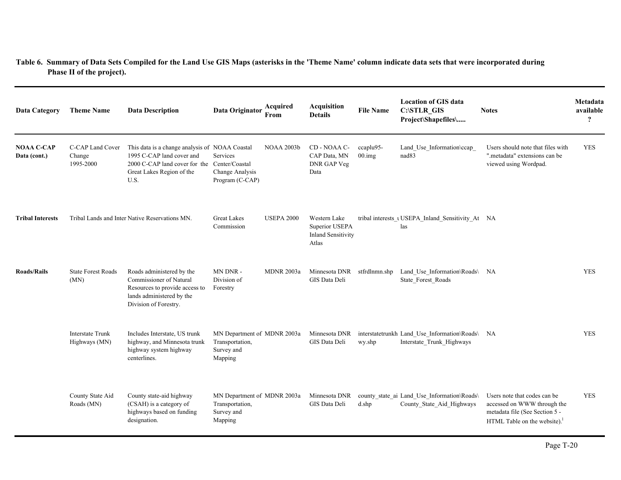| <b>Data Category</b>              | <b>Theme Name</b>                        | <b>Data Description</b>                                                                                                                                          | Data Originator                                                         | Acquired<br>From  | <b>Acquisition</b><br><b>Details</b>                                 | <b>File Name</b>                   | <b>Location of GIS data</b><br>C:\STLR_GIS<br>Project\Shapefiles\            | <b>Notes</b>                                                                                                                     | Metadata<br>available<br>$\overline{\mathbf{r}}$ |
|-----------------------------------|------------------------------------------|------------------------------------------------------------------------------------------------------------------------------------------------------------------|-------------------------------------------------------------------------|-------------------|----------------------------------------------------------------------|------------------------------------|------------------------------------------------------------------------------|----------------------------------------------------------------------------------------------------------------------------------|--------------------------------------------------|
| <b>NOAA C-CAP</b><br>Data (cont.) | C-CAP Land Cover<br>Change<br>1995-2000  | This data is a change analysis of NOAA Coastal<br>1995 C-CAP land cover and<br>2000 C-CAP land cover for the Center/Coastal<br>Great Lakes Region of the<br>U.S. | Services<br>Change Analysis<br>Program (C-CAP)                          | <b>NOAA 2003b</b> | CD - NOAA C-<br>CAP Data, MN<br>DNR GAP Veg<br>Data                  | ccaplu95-<br>$00 \cdot \text{img}$ | Land Use Information\ccap<br>nad <sub>83</sub>                               | Users should note that files with<br>".metadata" extensions can be<br>viewed using Wordpad.                                      | <b>YES</b>                                       |
| <b>Tribal Interests</b>           |                                          | Tribal Lands and Inter Native Reservations MN.                                                                                                                   | <b>Great Lakes</b><br>Commission                                        | <b>USEPA 2000</b> | Western Lake<br>Superior USEPA<br><b>Inland Sensitivity</b><br>Atlas |                                    | tribal interests LUSEPA Inland Sensitivity At NA<br>las                      |                                                                                                                                  |                                                  |
| <b>Roads/Rails</b>                | <b>State Forest Roads</b><br>(MN)        | Roads administered by the<br>Commissioner of Natural<br>Resources to provide access to<br>lands administered by the<br>Division of Forestry.                     | MN DNR -<br>Division of<br>Forestry                                     | <b>MDNR 2003a</b> | Minnesota DNR<br>GIS Data Deli                                       | stfrdlnmn.shp                      | Land_Use_Information\Roads\ NA<br>State Forest Roads                         |                                                                                                                                  | <b>YES</b>                                       |
|                                   | <b>Interstate Trunk</b><br>Highways (MN) | Includes Interstate, US trunk<br>highway, and Minnesota trunk<br>highway system highway<br>centerlines.                                                          | MN Department of MDNR 2003a<br>Transportation,<br>Survey and<br>Mapping |                   | Minnesota DNR<br>GIS Data Deli                                       | wy.shp                             | interstatetrunkh Land_Use_Information\Roads\ NA<br>Interstate Trunk Highways |                                                                                                                                  | <b>YES</b>                                       |
|                                   | County State Aid<br>Roads (MN)           | County state-aid highway<br>(CSAH) is a category of<br>highways based on funding<br>designation.                                                                 | MN Department of MDNR 2003a<br>Transportation,<br>Survey and<br>Mapping |                   | Minnesota DNR<br>GIS Data Deli                                       | d.shp                              | county_state_ai Land_Use_Information\Roads\<br>County State Aid Highways     | Users note that codes can be<br>accessed on WWW through the<br>metadata file (See Section 5 -<br>HTML Table on the website). $1$ | <b>YES</b>                                       |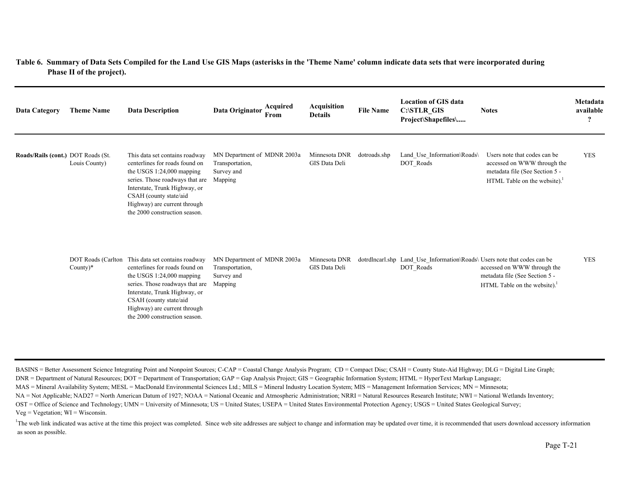| Data Category                      | <b>Theme Name</b>                        | <b>Data Description</b>                                                                                                                                                                                                                                        | Acquired<br>Data Originator<br>From                                     | Acquisition<br><b>Details</b>  | <b>File Name</b> | <b>Location of GIS data</b><br><b>C:\STLR GIS</b><br>Project\Shapefiles\              | <b>Notes</b>                                                                                                                 | Metadata<br>available<br>$\cdot$ |
|------------------------------------|------------------------------------------|----------------------------------------------------------------------------------------------------------------------------------------------------------------------------------------------------------------------------------------------------------------|-------------------------------------------------------------------------|--------------------------------|------------------|---------------------------------------------------------------------------------------|------------------------------------------------------------------------------------------------------------------------------|----------------------------------|
| Roads/Rails (cont.) DOT Roads (St. | Louis County)                            | This data set contains roadway<br>centerlines for roads found on<br>the USGS 1:24,000 mapping<br>series. Those roadways that are<br>Interstate, Trunk Highway, or<br>CSAH (county state/aid<br>Highway) are current through<br>the 2000 construction season.   | MN Department of MDNR 2003a<br>Transportation,<br>Survey and<br>Mapping | Minnesota DNR<br>GIS Data Deli | dotroads.shp     | Land Use Information\Roads\<br>DOT Roads                                              | Users note that codes can be<br>accessed on WWW through the<br>metadata file (See Section 5 -<br>HTML Table on the website). | <b>YES</b>                       |
|                                    | <b>DOT Roads (Carlton</b><br>County $)*$ | This data set contains roadway<br>centerlines for roads found on<br>the USGS $1:24,000$ mapping<br>series. Those roadways that are<br>Interstate, Trunk Highway, or<br>CSAH (county state/aid<br>Highway) are current through<br>the 2000 construction season. | MN Department of MDNR 2003a<br>Transportation,<br>Survey and<br>Mapping | Minnesota DNR<br>GIS Data Deli |                  | dotrdlncarl.shp Land Use Information\Roads\ Users note that codes can be<br>DOT_Roads | accessed on WWW through the<br>metadata file (See Section 5 -<br>HTML Table on the website).                                 | <b>YES</b>                       |

BASINS = Better Assessment Science Integrating Point and Nonpoint Sources; C-CAP = Coastal Change Analysis Program; CD = Compact Disc; CSAH = County State-Aid Highway; DLG = Digital Line Graph;

DNR = Department of Natural Resources; DOT = Department of Transportation; GAP = Gap Analysis Project; GIS = Geographic Information System; HTML = HyperText Markup Language;

MAS = Mineral Availability System; MESL = MacDonald Environmental Sciences Ltd.; MILS = Mineral Industry Location System; MIS = Management Information Services; MN = Minnesota;

NA = Not Applicable; NAD27 = North American Datum of 1927; NOAA = National Oceanic and Atmospheric Administration; NRRI = Natural Resources Research Institute; NWI = National Wetlands Inventory;

OST = Office of Science and Technology; UMN = University of Minnesota; US = United States; USEPA = United States Environmental Protection Agency; USGS = United States Geological Survey;

 $Veg = Vegetation$ ;  $WI = Wisconsin$ .

<sup>1</sup>The web link indicated was active at the time this project was completed. Since web site addresses are subject to change and information may be updated over time, it is recommended that users download accessory informat as soon as possible.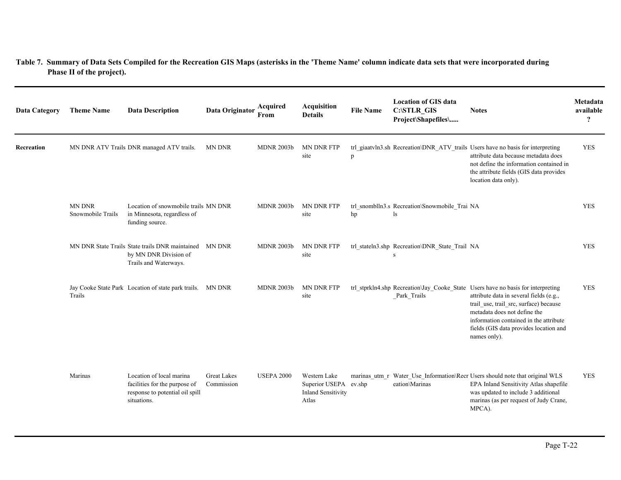| <b>Data Category</b> | <b>Theme Name</b>                  | <b>Data Description</b>                                                                                     | Data Originator                  | Acquired<br>From  | <b>Acquisition</b><br><b>Details</b>                                        | <b>File Name</b> | <b>Location of GIS data</b><br>C:\STLR_GIS<br>Project\Shapefiles\ | <b>Notes</b>                                                                                                                                                                                                                                                                                              | Metadata<br>available<br>$\boldsymbol{\gamma}$ |
|----------------------|------------------------------------|-------------------------------------------------------------------------------------------------------------|----------------------------------|-------------------|-----------------------------------------------------------------------------|------------------|-------------------------------------------------------------------|-----------------------------------------------------------------------------------------------------------------------------------------------------------------------------------------------------------------------------------------------------------------------------------------------------------|------------------------------------------------|
| Recreation           |                                    | MN DNR ATV Trails DNR managed ATV trails.                                                                   | <b>MN DNR</b>                    | <b>MDNR 2003b</b> | MN DNR FTP<br>site                                                          | p                |                                                                   | trl_giaatvln3.sh Recreation\DNR_ATV_trails Users have no basis for interpreting<br>attribute data because metadata does<br>not define the information contained in<br>the attribute fields (GIS data provides<br>location data only).                                                                     | <b>YES</b>                                     |
|                      | <b>MN DNR</b><br>Snowmobile Trails | Location of snowmobile trails MN DNR<br>in Minnesota, regardless of<br>funding source.                      |                                  | <b>MDNR 2003b</b> | <b>MN DNR FTP</b><br>site                                                   | hp               | trl snomblln3.s Recreation\Snowmobile Trai NA<br>ls               |                                                                                                                                                                                                                                                                                                           | <b>YES</b>                                     |
|                      |                                    | MN DNR State Trails State trails DNR maintained<br>by MN DNR Division of<br>Trails and Waterways.           | MN DNR                           | <b>MDNR 2003b</b> | <b>MN DNR FTP</b><br>site                                                   |                  | trl_stateln3.shp Recreation\DNR_State_Trail NA<br>S               |                                                                                                                                                                                                                                                                                                           | <b>YES</b>                                     |
|                      | Trails                             | Jay Cooke State Park Location of state park trails. MN DNR                                                  |                                  | <b>MDNR 2003b</b> | <b>MN DNR FTP</b><br>site                                                   |                  | Park Trails                                                       | trl_stprkln4.shp Recreation\Jay_Cooke_State Users have no basis for interpreting<br>attribute data in several fields (e.g.,<br>trail_use, trail_src, surface) because<br>metadata does not define the<br>information contained in the attribute<br>fields (GIS data provides location and<br>names only). | <b>YES</b>                                     |
|                      | Marinas                            | Location of local marina<br>facilities for the purpose of<br>response to potential oil spill<br>situations. | <b>Great Lakes</b><br>Commission | <b>USEPA 2000</b> | Western Lake<br>Superior USEPA ev.shp<br><b>Inland Sensitivity</b><br>Atlas |                  | eation\Marinas                                                    | marinas utm r Water Use Information\Recr Users should note that original WLS<br>EPA Inland Sensitivity Atlas shapefile<br>was updated to include 3 additional<br>marinas (as per request of Judy Crane,<br>MPCA).                                                                                         | <b>YES</b>                                     |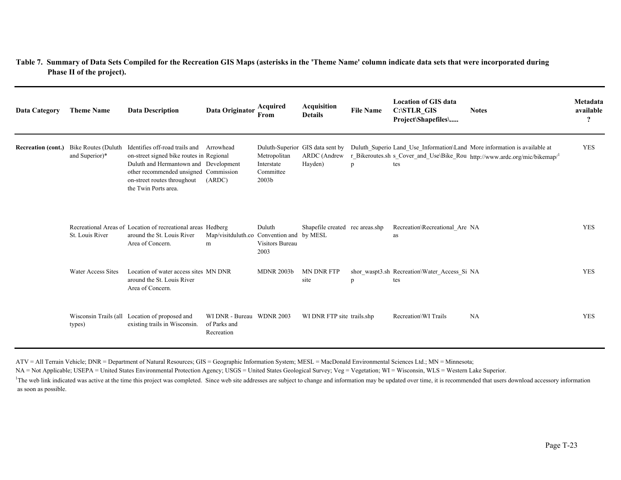| <b>Data Category</b>      | <b>Theme Name</b>                     | <b>Data Description</b>                                                                                                                                                                                             | Data Originator                                         | Acquired<br>From                                             | <b>Acquisition</b><br><b>Details</b>                        | <b>File Name</b> | <b>Location of GIS data</b><br>C:\STLR_GIS<br>Project\Shapefiles\ | <b>Notes</b>                                                                                                                                            | Metadata<br>available<br>$\boldsymbol{\mathcal{P}}$ |
|---------------------------|---------------------------------------|---------------------------------------------------------------------------------------------------------------------------------------------------------------------------------------------------------------------|---------------------------------------------------------|--------------------------------------------------------------|-------------------------------------------------------------|------------------|-------------------------------------------------------------------|---------------------------------------------------------------------------------------------------------------------------------------------------------|-----------------------------------------------------|
| <b>Recreation (cont.)</b> | Bike Routes (Duluth<br>and Superior)* | Identifies off-road trails and<br>on-street signed bike routes in Regional<br>Duluth and Hermantown and Development<br>other recommended unsigned Commission<br>on-street routes throughout<br>the Twin Ports area. | Arrowhead<br>(ARDC)                                     | Metropolitan<br>Interstate<br>Committee<br>2003 <sub>b</sub> | Duluth-Superior GIS data sent by<br>ARDC (Andrew<br>Hayden) | p                | tes                                                               | Duluth Superio Land Use Information\Land More information is available at<br>r_Bikeroutes.sh s_Cover_and_Use\Bike_Rou http://www.ardc.org/mic/bikemap/1 | <b>YES</b>                                          |
|                           | St. Louis River                       | Recreational Areas of Location of recreational areas Hedberg<br>around the St. Louis River<br>Area of Concern.                                                                                                      | Map/visitduluth.co Convention and by MESL<br>m          | Duluth<br>Visitors Bureau<br>2003                            | Shapefile created rec areas.shp                             |                  | Recreation\Recreational Are NA<br>as                              |                                                                                                                                                         | <b>YES</b>                                          |
|                           | Water Access Sites                    | Location of water access sites MN DNR<br>around the St. Louis River<br>Area of Concern.                                                                                                                             |                                                         | <b>MDNR 2003b</b>                                            | <b>MN DNR FTP</b><br>site                                   | p                | shor waspt3.sh Recreation\Water Access Si NA<br>tes               |                                                                                                                                                         | <b>YES</b>                                          |
|                           | types)                                | Wisconsin Trails (all Location of proposed and<br>existing trails in Wisconsin.                                                                                                                                     | WI DNR - Bureau WDNR 2003<br>of Parks and<br>Recreation |                                                              | WI DNR FTP site trails.shp                                  |                  | Recreation\WI Trails                                              | NA                                                                                                                                                      | <b>YES</b>                                          |

ATV = All Terrain Vehicle; DNR = Department of Natural Resources; GIS = Geographic Information System; MESL = MacDonald Environmental Sciences Ltd.; MN = Minnesota;

NA = Not Applicable; USEPA = United States Environmental Protection Agency; USGS = United States Geological Survey; Veg = Vegetation; WI = Wisconsin, WLS = Western Lake Superior.

<sup>1</sup>The web link indicated was active at the time this project was completed. Since web site addresses are subject to change and information may be updated over time, it is recommended that users download accessory informat as soon as possible.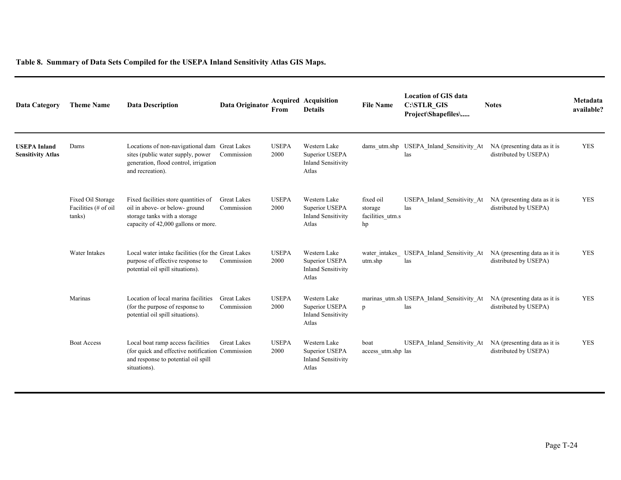| <b>Data Category</b>                            | <b>Theme Name</b>                                   | <b>Data Description</b>                                                                                                                         | Data Originator                  | From                 | <b>Acquired Acquisition</b><br><b>Details</b>                        | <b>File Name</b>                               | <b>Location of GIS data</b><br><b>C:\STLR GIS</b><br>Project\Shapefiles\ | <b>Notes</b>                                          | Metadata<br>available? |
|-------------------------------------------------|-----------------------------------------------------|-------------------------------------------------------------------------------------------------------------------------------------------------|----------------------------------|----------------------|----------------------------------------------------------------------|------------------------------------------------|--------------------------------------------------------------------------|-------------------------------------------------------|------------------------|
| <b>USEPA Inland</b><br><b>Sensitivity Atlas</b> | Dams                                                | Locations of non-navigational dam Great Lakes<br>sites (public water supply, power<br>generation, flood control, irrigation<br>and recreation). | Commission                       | <b>USEPA</b><br>2000 | Western Lake<br>Superior USEPA<br><b>Inland Sensitivity</b><br>Atlas |                                                | dams utm.shp USEPA Inland Sensitivity At<br>las                          | NA (presenting data as it is<br>distributed by USEPA) | <b>YES</b>             |
|                                                 | Fixed Oil Storage<br>Facilities (# of oil<br>tanks) | Fixed facilities store quantities of<br>oil in above- or below-ground<br>storage tanks with a storage<br>capacity of 42,000 gallons or more.    | <b>Great Lakes</b><br>Commission | <b>USEPA</b><br>2000 | Western Lake<br>Superior USEPA<br><b>Inland Sensitivity</b><br>Atlas | fixed oil<br>storage<br>facilities_utm.s<br>hp | USEPA_Inland_Sensitivity_At<br>las                                       | NA (presenting data as it is<br>distributed by USEPA) | <b>YES</b>             |
|                                                 | Water Intakes                                       | Local water intake facilities (for the Great Lakes<br>purpose of effective response to<br>potential oil spill situations).                      | Commission                       | <b>USEPA</b><br>2000 | Western Lake<br>Superior USEPA<br><b>Inland Sensitivity</b><br>Atlas | water intakes<br>utm.shp                       | USEPA Inland Sensitivity At<br>las                                       | NA (presenting data as it is<br>distributed by USEPA) | <b>YES</b>             |
|                                                 | Marinas                                             | Location of local marina facilities<br>(for the purpose of response to<br>potential oil spill situations).                                      | <b>Great Lakes</b><br>Commission | <b>USEPA</b><br>2000 | Western Lake<br>Superior USEPA<br><b>Inland Sensitivity</b><br>Atlas | $\mathfrak{p}$                                 | marinas utm.sh USEPA Inland Sensitivity At<br>las                        | NA (presenting data as it is<br>distributed by USEPA) | <b>YES</b>             |
|                                                 | <b>Boat Access</b>                                  | Local boat ramp access facilities<br>(for quick and effective notification Commission<br>and response to potential oil spill<br>situations).    | <b>Great Lakes</b>               | <b>USEPA</b><br>2000 | Western Lake<br>Superior USEPA<br><b>Inland Sensitivity</b><br>Atlas | boat<br>access_utm.shp las                     | USEPA Inland Sensitivity At                                              | NA (presenting data as it is<br>distributed by USEPA) | <b>YES</b>             |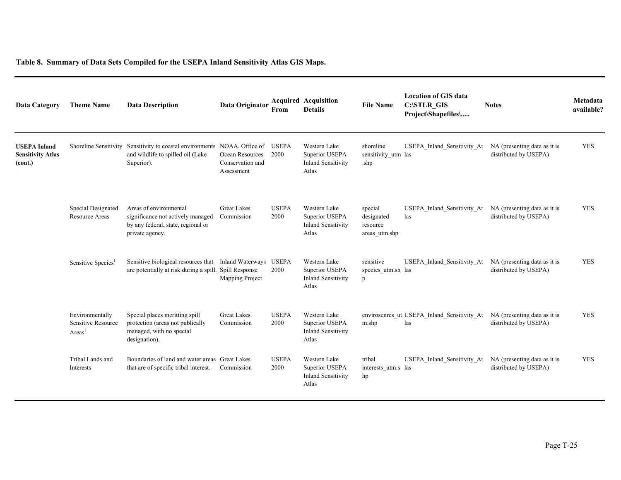| Data Category                                              | <b>Theme Name</b>                              | <b>Data Description</b>                                                                                                      | Data Originator                                   | From                 | <b>Acquired Acquisition</b><br><b>Details</b>                        | <b>File Name</b>                                   | <b>Location of GIS data</b><br><b>C:\STLR GIS</b><br>Project\Shapefiles\ | <b>Notes</b>                                          | Metadata<br>available? |
|------------------------------------------------------------|------------------------------------------------|------------------------------------------------------------------------------------------------------------------------------|---------------------------------------------------|----------------------|----------------------------------------------------------------------|----------------------------------------------------|--------------------------------------------------------------------------|-------------------------------------------------------|------------------------|
| <b>USEPA Inland</b><br><b>Sensitivity Atlas</b><br>(cont.) |                                                | Shoreline Sensitivity Sensitivity to coastal environments NOAA, Office of<br>and wildlife to spilled oil (Lake<br>Superior). | Ocean Resources<br>Conservation and<br>Assessment | <b>USEPA</b><br>2000 | Western Lake<br>Superior USEPA<br><b>Inland Sensitivity</b><br>Atlas | shoreline<br>sensitivity utm las<br>.shp           | USEPA Inland Sensitivity At                                              | NA (presenting data as it is<br>distributed by USEPA) | <b>YES</b>             |
|                                                            | Special Designated<br><b>Resource Areas</b>    | Areas of environmental<br>significance not actively managed<br>by any federal, state, regional or<br>private agency.         | <b>Great Lakes</b><br>Commission                  | <b>USEPA</b><br>2000 | Western Lake<br>Superior USEPA<br><b>Inland Sensitivity</b><br>Atlas | special<br>designated<br>resource<br>areas utm.shp | USEPA Inland Sensitivity At NA (presenting data as it is<br>las          | distributed by USEPA)                                 | <b>YES</b>             |
|                                                            | Sensitive Species <sup>1</sup>                 | Sensitive biological resources that Inland Waterways USEPA<br>are potentially at risk during a spill. Spill Response         | Mapping Project                                   | 2000                 | Western Lake<br>Superior USEPA<br><b>Inland Sensitivity</b><br>Atlas | sensitive<br>species utm.sh las<br>p               | USEPA Inland Sensitivity At                                              | NA (presenting data as it is<br>distributed by USEPA) | <b>YES</b>             |
|                                                            | Environmentally<br>Sensitive Resource<br>Areas | Special places meritting spill<br>protection (areas not publically<br>managed, with no special<br>designation).              | <b>Great Lakes</b><br>Commission                  | <b>USEPA</b><br>2000 | Western Lake<br>Superior USEPA<br><b>Inland Sensitivity</b><br>Atlas | m.shp                                              | envirosenres ut USEPA Inland Sensitivity At<br>las                       | NA (presenting data as it is<br>distributed by USEPA) | <b>YES</b>             |
|                                                            | Tribal Lands and<br>Interests                  | Boundaries of land and water areas Great Lakes<br>that are of specific tribal interest.                                      | Commission                                        | <b>USEPA</b><br>2000 | Western Lake<br>Superior USEPA<br><b>Inland Sensitivity</b><br>Atlas | tribal<br>interests utm.s las<br>hp                | USEPA Inland Sensitivity At                                              | NA (presenting data as it is<br>distributed by USEPA) | <b>YES</b>             |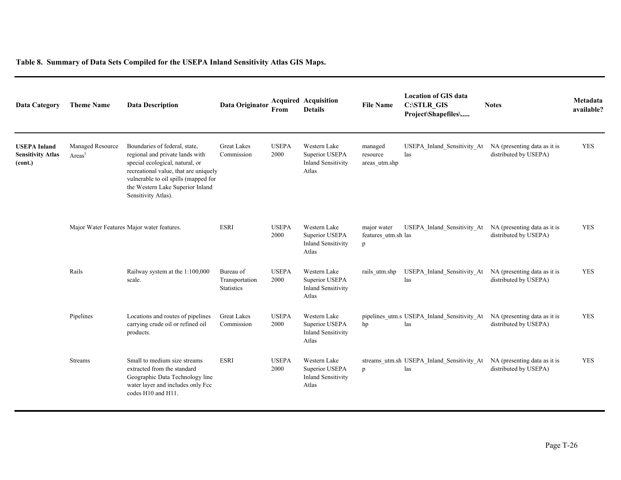| <b>Data Category</b>                                       | <b>Theme Name</b>                          | <b>Data Description</b>                                                                                                                                                                                                                         | Data Originator                                  | From                 | <b>Acquired Acquisition</b><br><b>Details</b>                        | <b>File Name</b>                        | <b>Location of GIS data</b><br><b>C:\STLR GIS</b><br>Project\Shapefiles\ | <b>Notes</b>                                          | Metadata<br>available? |
|------------------------------------------------------------|--------------------------------------------|-------------------------------------------------------------------------------------------------------------------------------------------------------------------------------------------------------------------------------------------------|--------------------------------------------------|----------------------|----------------------------------------------------------------------|-----------------------------------------|--------------------------------------------------------------------------|-------------------------------------------------------|------------------------|
| <b>USEPA Inland</b><br><b>Sensitivity Atlas</b><br>(cont.) | Managed Resource<br>Areas                  | Boundaries of federal, state,<br>regional and private lands with<br>special ecological, natural, or<br>recreational value, that are uniquely<br>vulnerable to oil spills (mapped for<br>the Western Lake Superior Inland<br>Sensitivity Atlas). | <b>Great Lakes</b><br>Commission                 | <b>USEPA</b><br>2000 | Western Lake<br>Superior USEPA<br><b>Inland Sensitivity</b><br>Atlas | managed<br>resource<br>areas_utm.shp    | USEPA Inland Sensitivity At<br>las                                       | NA (presenting data as it is<br>distributed by USEPA) | <b>YES</b>             |
|                                                            | Major Water Features Major water features. |                                                                                                                                                                                                                                                 | <b>ESRI</b>                                      | <b>USEPA</b><br>2000 | Western Lake<br>Superior USEPA<br><b>Inland Sensitivity</b><br>Atlas | major water<br>features utm.sh las<br>p | USEPA Inland Sensitivity At                                              | NA (presenting data as it is<br>distributed by USEPA) | <b>YES</b>             |
|                                                            | Rails                                      | Railway system at the 1:100,000<br>scale.                                                                                                                                                                                                       | Bureau of<br>Transportation<br><b>Statistics</b> | <b>USEPA</b><br>2000 | Western Lake<br>Superior USEPA<br><b>Inland Sensitivity</b><br>Atlas | rails utm.shp                           | USEPA Inland Sensitivity At<br>las                                       | NA (presenting data as it is<br>distributed by USEPA) | <b>YES</b>             |
|                                                            | Pipelines                                  | Locations and routes of pipelines<br>carrying crude oil or refined oil<br>products.                                                                                                                                                             | <b>Great Lakes</b><br>Commission                 | <b>USEPA</b><br>2000 | Western Lake<br>Superior USEPA<br><b>Inland Sensitivity</b><br>Atlas | hp                                      | pipelines_utm.s USEPA_Inland_Sensitivity_At<br>las                       | NA (presenting data as it is<br>distributed by USEPA) | <b>YES</b>             |
|                                                            | <b>Streams</b>                             | Small to medium size streams<br>extracted from the standard<br>Geographic Data Technology line<br>water layer and includes only Fcc<br>codes H10 and H11.                                                                                       | <b>ESRI</b>                                      | <b>USEPA</b><br>2000 | Western Lake<br>Superior USEPA<br><b>Inland Sensitivity</b><br>Atlas | p                                       | streams utm.sh USEPA Inland Sensitivity At<br>las                        | NA (presenting data as it is<br>distributed by USEPA) | <b>YES</b>             |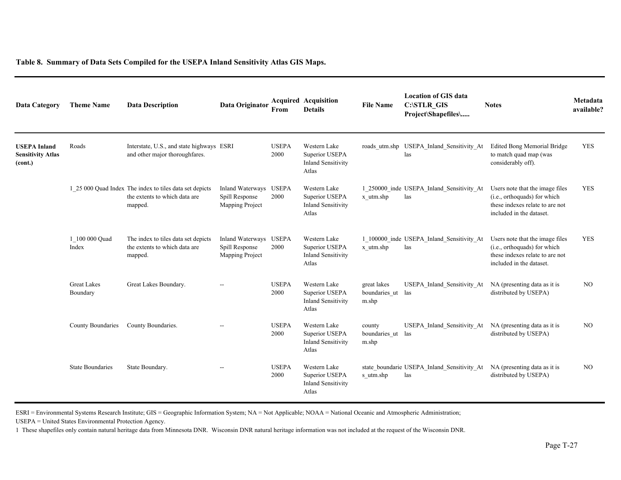| <b>Data Category</b>                                       | <b>Theme Name</b>              | <b>Data Description</b>                                                                             | Data Originator                                              | From                 | <b>Acquired Acquisition</b><br><b>Details</b>                        | <b>File Name</b>                      | <b>Location of GIS data</b><br><b>C:\STLR GIS</b><br>Project\Shapefiles\ | <b>Notes</b>                                                                                                                   | Metadata<br>available? |
|------------------------------------------------------------|--------------------------------|-----------------------------------------------------------------------------------------------------|--------------------------------------------------------------|----------------------|----------------------------------------------------------------------|---------------------------------------|--------------------------------------------------------------------------|--------------------------------------------------------------------------------------------------------------------------------|------------------------|
| <b>USEPA Inland</b><br><b>Sensitivity Atlas</b><br>(cont.) | Roads                          | Interstate, U.S., and state highways ESRI<br>and other major thoroughfares.                         |                                                              | <b>USEPA</b><br>2000 | Western Lake<br>Superior USEPA<br><b>Inland Sensitivity</b><br>Atlas | roads utm.shp                         | USEPA Inland Sensitivity At<br>las                                       | <b>Edited Bong Memorial Bridge</b><br>to match quad map (was<br>considerably off).                                             | <b>YES</b>             |
|                                                            |                                | 1 25 000 Quad Index The index to tiles data set depicts<br>the extents to which data are<br>mapped. | <b>Inland Waterways</b><br>Spill Response<br>Mapping Project | <b>USEPA</b><br>2000 | Western Lake<br>Superior USEPA<br><b>Inland Sensitivity</b><br>Atlas | x utm.shp                             | 1 250000 inde USEPA Inland Sensitivity At<br>las                         | Users note that the image files<br>(i.e., orthoquads) for which<br>these indexes relate to are not<br>included in the dataset. | <b>YES</b>             |
|                                                            | 1 100 000 Quad<br>Index        | The index to tiles data set depicts<br>the extents to which data are<br>mapped.                     | <b>Inland Waterways</b><br>Spill Response<br>Mapping Project | <b>USEPA</b><br>2000 | Western Lake<br>Superior USEPA<br><b>Inland Sensitivity</b><br>Atlas | x utm.shp                             | 1 100000 inde USEPA Inland Sensitivity At<br>las                         | Users note that the image files<br>(i.e., orthoquads) for which<br>these indexes relate to are not<br>included in the dataset. | <b>YES</b>             |
|                                                            | <b>Great Lakes</b><br>Boundary | Great Lakes Boundary.                                                                               | $\sim$                                                       | <b>USEPA</b><br>2000 | Western Lake<br>Superior USEPA<br><b>Inland Sensitivity</b><br>Atlas | great lakes<br>boundaries ut<br>m.shp | USEPA Inland Sensitivity At<br>las                                       | NA (presenting data as it is<br>distributed by USEPA)                                                                          | NO.                    |
|                                                            | County Boundaries              | County Boundaries.                                                                                  | $\overline{\phantom{a}}$                                     | <b>USEPA</b><br>2000 | Western Lake<br>Superior USEPA<br><b>Inland Sensitivity</b><br>Atlas | county<br>boundaries_ut<br>m.shp      | USEPA Inland Sensitivity At<br>las                                       | NA (presenting data as it is<br>distributed by USEPA)                                                                          | NO.                    |
|                                                            | <b>State Boundaries</b>        | State Boundary.                                                                                     | $\sim$ $\sim$                                                | <b>USEPA</b><br>2000 | Western Lake<br>Superior USEPA<br><b>Inland Sensitivity</b><br>Atlas | s utm.shp                             | state_boundarie USEPA_Inland_Sensitivity_At<br>las                       | NA (presenting data as it is<br>distributed by USEPA)                                                                          | N <sub>O</sub>         |

ESRI = Environmental Systems Research Institute; GIS = Geographic Information System; NA = Not Applicable; NOAA = National Oceanic and Atmospheric Administration;

USEPA = United States Environmental Protection Agency.

1 These shapefiles only contain natural heritage data from Minnesota DNR. Wisconsin DNR natural heritage information was not included at the request of the Wisconsin DNR.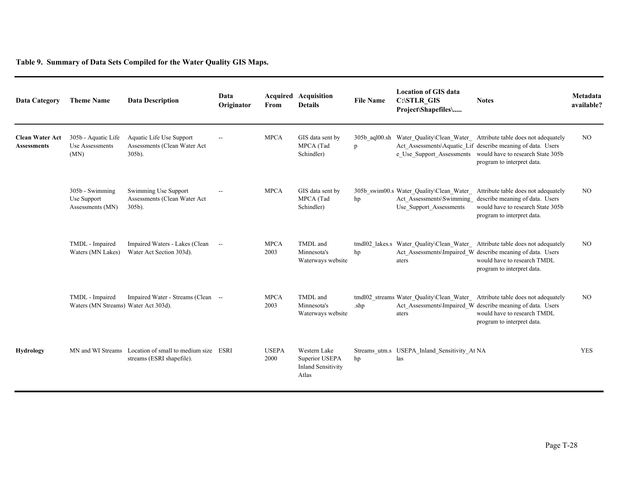**Table 9. Summary of Data Sets Compiled for the Water Quality GIS Maps.**

| Data Category                                | <b>Theme Name</b>                                       | <b>Data Description</b>                                                              | Data<br>Originator | From                 | <b>Acquired Acquisition</b><br><b>Details</b>                        | <b>File Name</b>   | <b>Location of GIS data</b><br><b>C:\STLR GIS</b><br>Project\Shapefiles\ | <b>Notes</b>                                                                                                                                                                                                              | Metadata<br>available? |
|----------------------------------------------|---------------------------------------------------------|--------------------------------------------------------------------------------------|--------------------|----------------------|----------------------------------------------------------------------|--------------------|--------------------------------------------------------------------------|---------------------------------------------------------------------------------------------------------------------------------------------------------------------------------------------------------------------------|------------------------|
| <b>Clean Water Act</b><br><b>Assessments</b> | 305b - Aquatic Life<br>Use Assessments<br>(MN)          | Aquatic Life Use Support<br>Assessments (Clean Water Act<br>$305b$ ).                | $\mathbf{u}$       | <b>MPCA</b>          | GIS data sent by<br>MPCA (Tad<br>Schindler)                          | 305b_aql00.sh<br>p |                                                                          | Water Quality\Clean Water Attribute table does not adequately<br>Act Assessments\Aquatic Lif describe meaning of data. Users<br>e Use Support Assessments would have to research State 305b<br>program to interpret data. | NO                     |
|                                              | 305b - Swimming<br>Use Support<br>Assessments (MN)      | Swimming Use Support<br>Assessments (Clean Water Act<br>$305b$ ).                    |                    | <b>MPCA</b>          | GIS data sent by<br>MPCA (Tad<br>Schindler)                          | hp                 | Use Support Assessments                                                  | 305b swim00.s Water Quality\Clean Water Attribute table does not adequately<br>Act Assessments\Swimming describe meaning of data. Users<br>would have to research State 305b<br>program to interpret data.                | NO                     |
|                                              | TMDL - Impaired<br>Waters (MN Lakes)                    | Impaired Waters - Lakes (Clean<br>Water Act Section 303d).                           | $\sim$             | <b>MPCA</b><br>2003  | TMDL and<br>Minnesota's<br>Waterways website                         | hp                 | aters                                                                    | tmdl02 lakes.s Water Quality\Clean Water Attribute table does not adequately<br>Act Assessments\Impaired W describe meaning of data. Users<br>would have to research TMDL<br>program to interpret data.                   | NO                     |
|                                              | TMDL - Impaired<br>Waters (MN Streams) Water Act 303d). | Impaired Water - Streams (Clean --                                                   |                    | <b>MPCA</b><br>2003  | TMDL and<br>Minnesota's<br>Waterways website                         | .shp               | aters                                                                    | tmdl02 streams Water Quality\Clean Water Attribute table does not adequately<br>Act_Assessments\Impaired_W describe meaning of data. Users<br>would have to research TMDL<br>program to interpret data.                   | NO                     |
| Hydrology                                    |                                                         | MN and WI Streams Location of small to medium size ESRI<br>streams (ESRI shapefile). |                    | <b>USEPA</b><br>2000 | Western Lake<br>Superior USEPA<br><b>Inland Sensitivity</b><br>Atlas | hp                 | Streams_utm.s USEPA_Inland_Sensitivity_At NA<br>las                      |                                                                                                                                                                                                                           | <b>YES</b>             |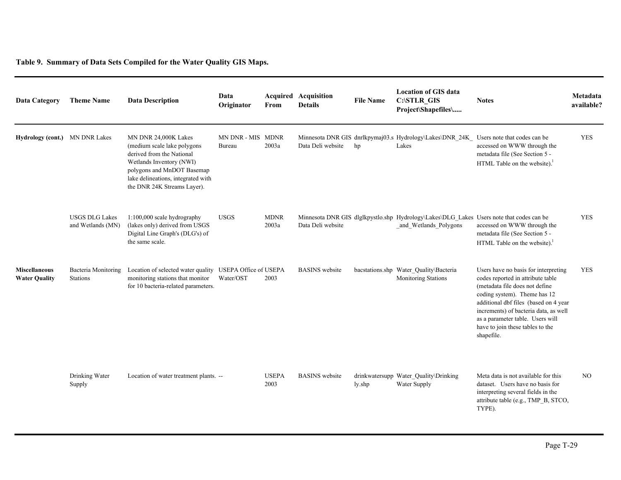**Table 9. Summary of Data Sets Compiled for the Water Quality GIS Maps.**

| <b>Data Category</b>                         | <b>Theme Name</b>                          | <b>Data Description</b>                                                                                                                                                                                          | Data<br>Originator          | From                 | <b>Acquired Acquisition</b><br><b>Details</b> | <b>File Name</b> | <b>Location of GIS data</b><br>C:\STLR_GIS<br>Project\Shapefiles\                                                 | <b>Notes</b>                                                                                                                                                                                                                                                                                                        | Metadata<br>available? |
|----------------------------------------------|--------------------------------------------|------------------------------------------------------------------------------------------------------------------------------------------------------------------------------------------------------------------|-----------------------------|----------------------|-----------------------------------------------|------------------|-------------------------------------------------------------------------------------------------------------------|---------------------------------------------------------------------------------------------------------------------------------------------------------------------------------------------------------------------------------------------------------------------------------------------------------------------|------------------------|
| Hydrology (cont.)                            | <b>MN DNR Lakes</b>                        | MN DNR 24,000K Lakes<br>(medium scale lake polygons)<br>derived from the National<br>Wetlands Inventory (NWI)<br>polygons and MnDOT Basemap<br>lake delineations, integrated with<br>the DNR 24K Streams Layer). | MN DNR - MIS MDNR<br>Bureau | 2003a                | Data Deli website                             | hp               | Minnesota DNR GIS dnrlkpymaj03.s Hydrology\Lakes\DNR 24K Users note that codes can be<br>Lakes                    | accessed on WWW through the<br>metadata file (See Section 5 -<br>HTML Table on the website). <sup>1</sup>                                                                                                                                                                                                           | <b>YES</b>             |
|                                              | <b>USGS DLG Lakes</b><br>and Wetlands (MN) | 1:100,000 scale hydrography<br>(lakes only) derived from USGS<br>Digital Line Graph's (DLG's) of<br>the same scale.                                                                                              | <b>USGS</b>                 | <b>MDNR</b><br>2003a | Data Deli website                             |                  | Minnesota DNR GIS dlglkpystlo.shp Hydrology\Lakes\DLG_Lakes Users note that codes can be<br>and Wetlands Polygons | accessed on WWW through the<br>metadata file (See Section 5 -<br>HTML Table on the website). <sup>1</sup>                                                                                                                                                                                                           | <b>YES</b>             |
| <b>Miscellaneous</b><br><b>Water Quality</b> | Bacteria Monitoring<br><b>Stations</b>     | Location of selected water quality USEPA Office of USEPA<br>monitoring stations that monitor<br>for 10 bacteria-related parameters.                                                                              | Water/OST                   | 2003                 | <b>BASINS</b> website                         |                  | bacstations.shp Water Quality\Bacteria<br>Monitoring Stations                                                     | Users have no basis for interpreting<br>codes reported in attribute table<br>(metadata file does not define<br>coding system). Theme has 12<br>additional dbf files (based on 4 year<br>increments) of bacteria data, as well<br>as a parameter table. Users will<br>have to join these tables to the<br>shapefile. | <b>YES</b>             |
|                                              | Drinking Water<br>Supply                   | Location of water treatment plants. --                                                                                                                                                                           |                             | <b>USEPA</b><br>2003 | <b>BASINS</b> website                         | ly.shp           | drinkwatersupp Water_Quality\Drinking<br>Water Supply                                                             | Meta data is not available for this<br>dataset. Users have no basis for<br>interpreting several fields in the<br>attribute table (e.g., TMP_B, STCO,<br>TYPE).                                                                                                                                                      | NO.                    |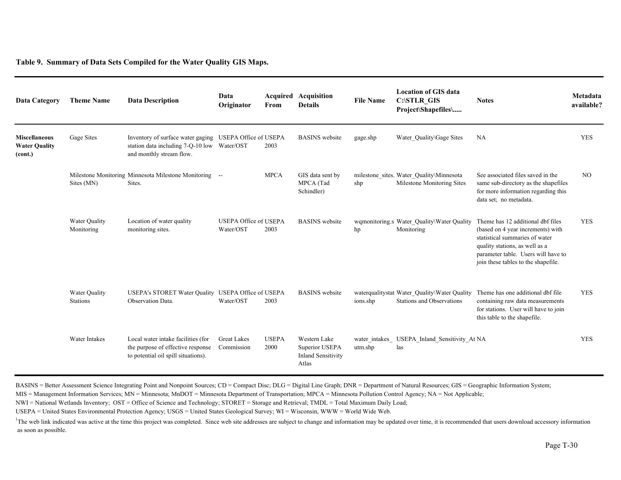**Table 9. Summary of Data Sets Compiled for the Water Quality GIS Maps.**

| <b>Data Category</b>                                    | <b>Theme Name</b>                | <b>Data Description</b>                                                                                                            | Data<br>Originator                        | From                 | <b>Acquired Acquisition</b><br><b>Details</b>                        | <b>File Name</b> | <b>Location of GIS data</b><br><b>C:\STLR GIS</b><br>Project\Shapefiles\         | <b>Notes</b>                                                                                                                                                                                                             | Metadata<br>available? |
|---------------------------------------------------------|----------------------------------|------------------------------------------------------------------------------------------------------------------------------------|-------------------------------------------|----------------------|----------------------------------------------------------------------|------------------|----------------------------------------------------------------------------------|--------------------------------------------------------------------------------------------------------------------------------------------------------------------------------------------------------------------------|------------------------|
| <b>Miscellaneous</b><br><b>Water Quality</b><br>(cont.) | Gage Sites                       | Inventory of surface water gaging USEPA Office of USEPA<br>station data including 7-Q-10 low Water/OST<br>and monthly stream flow. |                                           | 2003                 | <b>BASINS</b> website                                                | gage.shp         | Water Quality\Gage Sites                                                         | NA                                                                                                                                                                                                                       | <b>YES</b>             |
|                                                         | Sites (MN)                       | Milestone Monitoring Minnesota Milestone Monitoring --<br>Sites.                                                                   |                                           | <b>MPCA</b>          | GIS data sent by<br>MPCA (Tad<br>Schindler)                          | shp              | milestone sites. Water Quality\Minnesota<br>Milestone Monitoring Sites           | See associated files saved in the<br>same sub-directory as the shapefiles<br>for more information regarding this<br>data set; no metadata.                                                                               | NO <sub>1</sub>        |
|                                                         | Water Quality<br>Monitoring      | Location of water quality<br>monitoring sites.                                                                                     | <b>USEPA Office of USEPA</b><br>Water/OST | 2003                 | <b>BASINS</b> website                                                | hp               | wqmonitoring.s Water Quality\Water Quality<br>Monitoring                         | Theme has 12 additional dbf files<br>(based on 4 year increments) with<br>statistical summaries of water<br>quality stations, as well as a<br>parameter table. Users will have to<br>join these tables to the shapefile. | <b>YES</b>             |
|                                                         | Water Quality<br><b>Stations</b> | USEPA's STORET Water Quality USEPA Office of USEPA<br>Observation Data.                                                            | Water/OST                                 | 2003                 | <b>BASINS</b> website                                                | ions.shp         | waterqualitystat Water Quality\Water Quality<br><b>Stations and Observations</b> | Theme has one additional dbf file<br>containing raw data measurements<br>for stations. User will have to join<br>this table to the shapefile.                                                                            | <b>YES</b>             |
|                                                         | Water Intakes                    | Local water intake facilities (for<br>the purpose of effective response<br>to potential oil spill situations).                     | <b>Great Lakes</b><br>Commission          | <b>USEPA</b><br>2000 | Western Lake<br>Superior USEPA<br><b>Inland Sensitivity</b><br>Atlas | utm.shp          | water intakes USEPA Inland Sensitivity At NA<br>las                              |                                                                                                                                                                                                                          | <b>YES</b>             |

BASINS = Better Assessment Science Integrating Point and Nonpoint Sources; CD = Compact Disc; DLG = Digital Line Graph; DNR = Department of Natural Resources; GIS = Geographic Information System;

MIS = Management Information Services; MN = Minnesota; MnDOT = Minnesota Department of Transportation; MPCA = Minnesota Pollution Control Agency; NA = Not Applicable;

NWI = National Wetlands Inventory; OST = Office of Science and Technology; STORET = Storage and Retrieval; TMDL = Total Maximum Daily Load;

USEPA = United States Environmental Protection Agency; USGS = United States Geological Survey; WI = Wisconsin, WWW = World Wide Web.

<sup>1</sup>The web link indicated was active at the time this project was completed. Since web site addresses are subject to change and information may be updated over time, it is recommended that users download accessory informat as soon as possible.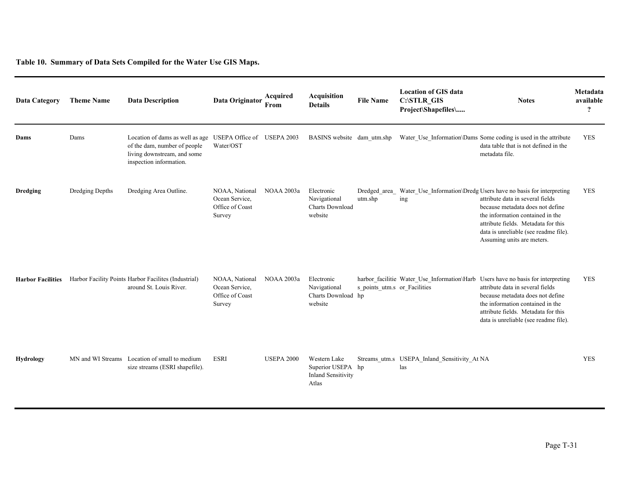**Table 10. Summary of Data Sets Compiled for the Water Use GIS Maps.**

| <b>Data Category</b>     | <b>Theme Name</b> | <b>Data Description</b>                                                                                                   | Data Originator                                               | Acquired<br>From  | <b>Acquisition</b><br><b>Details</b>                                    | <b>File Name</b>             | <b>Location of GIS data</b><br>C:\STLR_GIS<br>Project\Shapefiles\ | <b>Notes</b>                                                                                                                                                                                                                                                                               | Metadata<br>available<br>$\boldsymbol{\mathcal{P}}$ |
|--------------------------|-------------------|---------------------------------------------------------------------------------------------------------------------------|---------------------------------------------------------------|-------------------|-------------------------------------------------------------------------|------------------------------|-------------------------------------------------------------------|--------------------------------------------------------------------------------------------------------------------------------------------------------------------------------------------------------------------------------------------------------------------------------------------|-----------------------------------------------------|
| Dams                     | Dams              | Location of dams as well as age<br>of the dam, number of people<br>living downstream, and some<br>inspection information. | USEPA Office of USEPA 2003<br>Water/OST                       |                   | BASINS website dam utm.shp                                              |                              |                                                                   | Water Use Information\Dams Some coding is used in the attribute<br>data table that is not defined in the<br>metadata file.                                                                                                                                                                 | <b>YES</b>                                          |
| <b>Dredging</b>          | Dredging Depths   | Dredging Area Outline.                                                                                                    | NOAA, National<br>Ocean Service,<br>Office of Coast<br>Survey | <b>NOAA 2003a</b> | Electronic<br>Navigational<br><b>Charts Download</b><br>website         | Dredged area<br>utm.shp      | ing                                                               | Water_Use_Information\Dredg Users have no basis for interpreting<br>attribute data in several fields<br>because metadata does not define<br>the information contained in the<br>attribute fields. Metadata for this<br>data is unreliable (see readme file).<br>Assuming units are meters. | <b>YES</b>                                          |
| <b>Harbor Facilities</b> |                   | Harbor Facility Points Harbor Facilites (Industrial)<br>around St. Louis River.                                           | NOAA, National<br>Ocean Service,<br>Office of Coast<br>Survey | <b>NOAA 2003a</b> | Electronic<br>Navigational<br>Charts Download hp<br>website             | s_points_utm.s_or_Facilities |                                                                   | harbor_facilitie Water_Use_Information\Harb Users have no basis for interpreting<br>attribute data in several fields<br>because metadata does not define<br>the information contained in the<br>attribute fields. Metadata for this<br>data is unreliable (see readme file).               | <b>YES</b>                                          |
| <b>Hydrology</b>         |                   | MN and WI Streams Location of small to medium<br>size streams (ESRI shapefile).                                           | <b>ESRI</b>                                                   | <b>USEPA 2000</b> | Western Lake<br>Superior USEPA hp<br><b>Inland Sensitivity</b><br>Atlas |                              | Streams utm.s USEPA Inland Sensitivity At NA<br>las               |                                                                                                                                                                                                                                                                                            | <b>YES</b>                                          |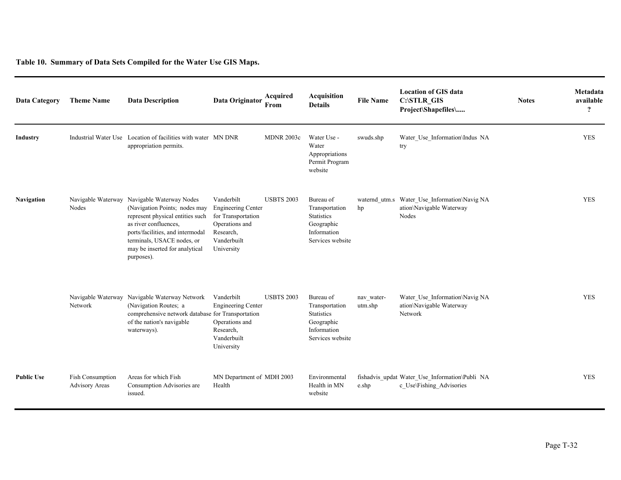**Table 10. Summary of Data Sets Compiled for the Water Use GIS Maps.**

| <b>Data Category</b> | <b>Theme Name</b>                                | <b>Data Description</b>                                                                                                                                                                                                                                     | Data Originator                                                                                                           | Acquired<br>From  | <b>Acquisition</b><br><b>Details</b>                                                              | <b>File Name</b>      | <b>Location of GIS data</b><br><b>C:\STLR GIS</b><br>Project\Shapefiles\          | <b>Notes</b> | Metadata<br>available<br>$\boldsymbol{\gamma}$ |
|----------------------|--------------------------------------------------|-------------------------------------------------------------------------------------------------------------------------------------------------------------------------------------------------------------------------------------------------------------|---------------------------------------------------------------------------------------------------------------------------|-------------------|---------------------------------------------------------------------------------------------------|-----------------------|-----------------------------------------------------------------------------------|--------------|------------------------------------------------|
| Industry             |                                                  | Industrial Water Use Location of facilities with water MN DNR<br>appropriation permits.                                                                                                                                                                     |                                                                                                                           | <b>MDNR 2003c</b> | Water Use -<br>Water<br>Appropriations<br>Permit Program<br>website                               | swuds.shp             | Water_Use_Information\Indus_NA<br>try                                             |              | <b>YES</b>                                     |
| <b>Navigation</b>    | Nodes                                            | Navigable Waterway Navigable Waterway Nodes<br>(Navigation Points; nodes may<br>represent physical entities such<br>as river confluences.<br>ports/facilities, and intermodal<br>terminals, USACE nodes, or<br>may be inserted for analytical<br>purposes). | Vanderbilt<br><b>Engineering Center</b><br>for Transportation<br>Operations and<br>Research,<br>Vanderbuilt<br>University | <b>USBTS 2003</b> | Bureau of<br>Transportation<br><b>Statistics</b><br>Geographic<br>Information<br>Services website | hp                    | waternd_utm.s Water_Use_Information\Navig NA<br>ation\Navigable Waterway<br>Nodes |              | <b>YES</b>                                     |
|                      | Network                                          | Navigable Waterway Navigable Waterway Network<br>(Navigation Routes; a<br>comprehensive network database for Transportation<br>of the nation's navigable<br>waterways).                                                                                     | Vanderbilt<br><b>Engineering Center</b><br>Operations and<br>Research,<br>Vanderbuilt<br>University                       | <b>USBTS 2003</b> | Bureau of<br>Transportation<br><b>Statistics</b><br>Geographic<br>Information<br>Services website | nav_water-<br>utm.shp | Water_Use_Information\Navig NA<br>ation\Navigable Waterway<br>Network             |              | <b>YES</b>                                     |
| <b>Public Use</b>    | <b>Fish Consumption</b><br><b>Advisory Areas</b> | Areas for which Fish<br>Consumption Advisories are<br>issued.                                                                                                                                                                                               | MN Department of MDH 2003<br>Health                                                                                       |                   | Environmental<br>Health in MN<br>website                                                          | e.shp                 | fishadvis updat Water Use Information\Publi NA<br>c Use\Fishing Advisories        |              | <b>YES</b>                                     |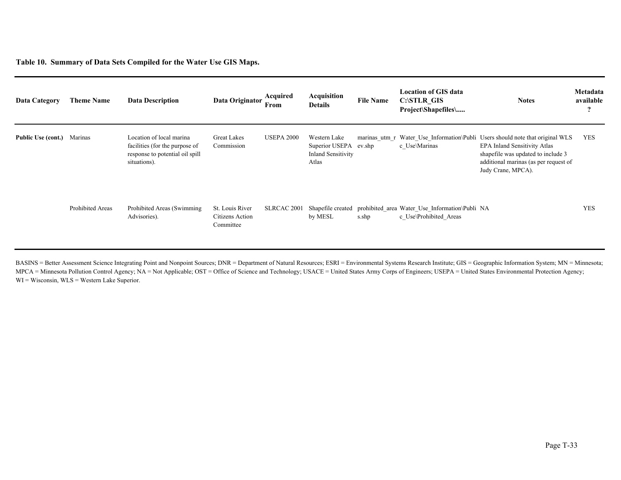**Table 10. Summary of Data Sets Compiled for the Water Use GIS Maps.**

| Data Category      | <b>Theme Name</b>       | <b>Data Description</b>                                                                                       | Data Originator                                 | Acquired<br>From  | Acquisition<br><b>Details</b>                                        | <b>File Name</b>        | <b>Location of GIS data</b><br><b>C:\STLR GIS</b><br>Project\Shapefiles\ | <b>Notes</b>                                                                                                                                                                                                | Metadata<br>available<br>$\overline{\mathbf{?}}$ |
|--------------------|-------------------------|---------------------------------------------------------------------------------------------------------------|-------------------------------------------------|-------------------|----------------------------------------------------------------------|-------------------------|--------------------------------------------------------------------------|-------------------------------------------------------------------------------------------------------------------------------------------------------------------------------------------------------------|--------------------------------------------------|
| Public Use (cont.) | Marinas                 | Location of local marina<br>facilities (for the purpose of<br>response to potential oil spill<br>situations). | <b>Great Lakes</b><br>Commission                | <b>USEPA 2000</b> | Western Lake<br>Superior USEPA<br><b>Inland Sensitivity</b><br>Atlas | marinas utm r<br>ev.shp | c Use\Marinas                                                            | Water Use Information\Publi Users should note that original WLS<br><b>EPA Inland Sensitivity Atlas</b><br>shapefile was updated to include 3<br>additional marinas (as per request of<br>Judy Crane, MPCA). | <b>YES</b>                                       |
|                    | <b>Prohibited Areas</b> | Prohibited Areas (Swimming)<br>Advisories).                                                                   | St. Louis River<br>Citizens Action<br>Committee | SLRCAC 2001       | Shapefile created<br>by MESL                                         | s.shp                   | prohibited area Water Use Information\Publi NA<br>c Use\Prohibited Areas |                                                                                                                                                                                                             | <b>YES</b>                                       |

BASINS = Better Assessment Science Integrating Point and Nonpoint Sources; DNR = Department of Natural Resources; ESRI = Environmental Systems Research Institute; GIS = Geographic Information System; MN = Minnesota; MPCA = Minnesota Pollution Control Agency; NA = Not Applicable; OST = Office of Science and Technology; USACE = United States Army Corps of Engineers; USEPA = United States Environmental Protection Agency; WI = Wisconsin, WLS = Western Lake Superior.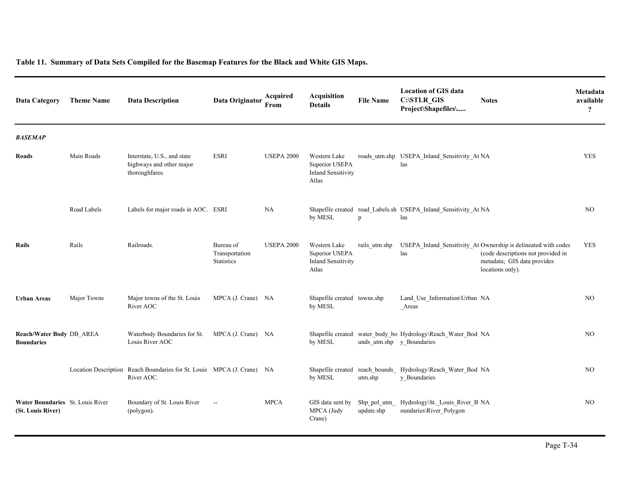| <b>Data Category</b>                                  | <b>Theme Name</b> | <b>Data Description</b>                                                              | Data Originator                                  | Acquired<br>From  | <b>Acquisition</b><br><b>Details</b>                                 | <b>File Name</b>           | <b>Location of GIS data</b><br>C:\STLR_GIS<br>Project\Shapefiles\           | <b>Notes</b>                                                                                                                                            | Metadata<br>available<br>$\ddot{?}$ |
|-------------------------------------------------------|-------------------|--------------------------------------------------------------------------------------|--------------------------------------------------|-------------------|----------------------------------------------------------------------|----------------------------|-----------------------------------------------------------------------------|---------------------------------------------------------------------------------------------------------------------------------------------------------|-------------------------------------|
| <b>BASEMAP</b>                                        |                   |                                                                                      |                                                  |                   |                                                                      |                            |                                                                             |                                                                                                                                                         |                                     |
| Roads                                                 | Main Roads        | Interstate, U.S., and state<br>highways and other major<br>thoroughfares.            | <b>ESRI</b>                                      | <b>USEPA 2000</b> | Western Lake<br>Superior USEPA<br><b>Inland Sensitivity</b><br>Atlas |                            | roads utm.shp USEPA Inland Sensitivity At NA<br>las                         |                                                                                                                                                         | <b>YES</b>                          |
|                                                       | Road Labels       | Labels for major roads in AOC. ESRI                                                  |                                                  | NA                | by MESL                                                              | p                          | Shapefile created road_Labels.sh USEPA_Inland_Sensitivity_At NA<br>las      |                                                                                                                                                         | NO.                                 |
| Rails                                                 | Rails             | Railroads.                                                                           | Bureau of<br>Transportation<br><b>Statistics</b> | <b>USEPA 2000</b> | Western Lake<br>Superior USEPA<br><b>Inland Sensitivity</b><br>Atlas | rails utm.shp              | las                                                                         | USEPA_Inland_Sensitivity_At Ownership is delineated with codes<br>(code descriptions not provided in<br>metadata; GIS data provides<br>locations only). | <b>YES</b>                          |
| <b>Urban Areas</b>                                    | Major Towns       | Major towns of the St. Louis<br>River AOC                                            | MPCA (J. Crane) NA                               |                   | Shapefile created towns.shp<br>by MESL                               |                            | Land_Use_Information\Urban_NA<br>Areas                                      |                                                                                                                                                         | NO                                  |
| Reach/Water Body DB_AREA<br><b>Boundaries</b>         |                   | Waterbody Boundaries for St.<br>Louis River AOC                                      | MPCA (J. Crane) NA                               |                   | by MESL                                                              | unds_utm.shp y_Boundaries  | Shapefile created water_body_bo Hydrology\Reach_Water_Bod NA                |                                                                                                                                                         | NO.                                 |
|                                                       |                   | Location Description Reach Boundaries for St. Louis MPCA (J. Crane) NA<br>River AOC. |                                                  |                   | by MESL                                                              | utm.shp                    | Shapefile created reach bounds Hydrology\Reach Water Bod NA<br>y Boundaries |                                                                                                                                                         | NO.                                 |
| Water Boundaries St. Louis River<br>(St. Louis River) |                   | Boundary of St. Louis River<br>(polygon).                                            | $\overline{\phantom{a}}$                         | <b>MPCA</b>       | GIS data sent by<br>MPCA (Judy<br>Crane)                             | Shp_pol_utm_<br>update.shp | Hydrology\St._Louis_River_B NA<br>oundaries\River_Polygon                   |                                                                                                                                                         | NO                                  |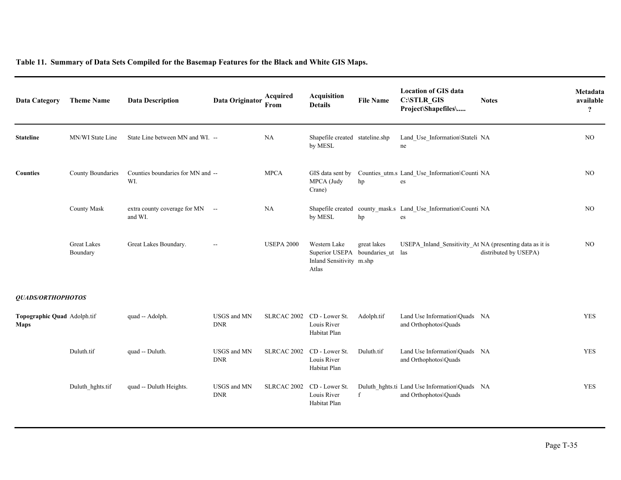| <b>Data Category</b>                       | <b>Theme Name</b>              | <b>Data Description</b>                    | Data Originator           | Acquired<br>From           | <b>Acquisition</b><br><b>Details</b>                                              | <b>File Name</b> | <b>Location of GIS data</b><br>C:\STLR_GIS<br>Project\Shapefiles\      | <b>Notes</b>          | Metadata<br>available<br>$\ddot{?}$ |
|--------------------------------------------|--------------------------------|--------------------------------------------|---------------------------|----------------------------|-----------------------------------------------------------------------------------|------------------|------------------------------------------------------------------------|-----------------------|-------------------------------------|
| <b>Stateline</b>                           | MN/WI State Line               | State Line between MN and WI. --           |                           | NA                         | Shapefile created stateline.shp<br>by MESL                                        |                  | Land Use Information\Stateli NA<br>ne                                  |                       | NO                                  |
| <b>Counties</b>                            | County Boundaries              | Counties boundaries for MN and --<br>WI.   |                           | <b>MPCA</b>                | GIS data sent by<br>MPCA (Judy<br>Crane)                                          | hp               | Counties_utm.s Land_Use_Information\Counti NA<br>es                    |                       | NO                                  |
|                                            | <b>County Mask</b>             | extra county coverage for MN --<br>and WI. |                           | NA                         | by MESL                                                                           | hp               | Shapefile created county_mask.s Land_Use_Information\Counti NA<br>es   |                       | NO                                  |
|                                            | <b>Great Lakes</b><br>Boundary | Great Lakes Boundary.                      | $\overline{a}$            | <b>USEPA 2000</b>          | Western Lake<br>Superior USEPA boundaries ut<br>Inland Sensitivity m.shp<br>Atlas | great lakes      | USEPA_Inland_Sensitivity_At NA (presenting data as it is<br>las        | distributed by USEPA) | NO                                  |
| QUADS/ORTHOPHOTOS                          |                                |                                            |                           |                            |                                                                                   |                  |                                                                        |                       |                                     |
| Topographic Quad Adolph.tif<br><b>Maps</b> |                                | quad -- Adolph.                            | USGS and MN<br><b>DNR</b> | SLRCAC 2002 CD - Lower St. | Louis River<br>Habitat Plan                                                       | Adolph.tif       | Land Use Information\Quads NA<br>and Orthophotos\Quads                 |                       | <b>YES</b>                          |
|                                            | Duluth.tif                     | quad -- Duluth.                            | USGS and MN<br><b>DNR</b> | <b>SLRCAC 2002</b>         | CD - Lower St.<br>Louis River<br>Habitat Plan                                     | Duluth.tif       | Land Use Information\Quads NA<br>and Orthophotos\Quads                 |                       | <b>YES</b>                          |
|                                            | Duluth hghts.tif               | quad -- Duluth Heights.                    | USGS and MN<br><b>DNR</b> | SLRCAC 2002                | CD - Lower St.<br>Louis River<br>Habitat Plan                                     | $\mathbf{f}$     | Duluth_hghts.ti Land Use Information\Quads NA<br>and Orthophotos\Quads |                       | <b>YES</b>                          |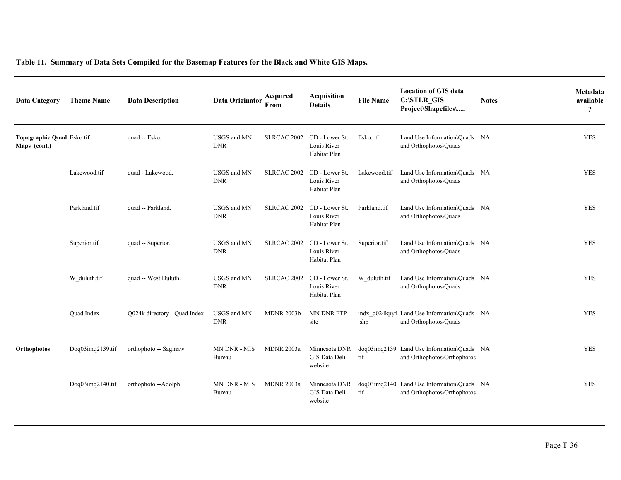| Data Category                             | <b>Theme Name</b> | <b>Data Description</b>       | Data Originator           | Acquired<br>From  | <b>Acquisition</b><br><b>Details</b>          | <b>File Name</b> | <b>Location of GIS data</b><br>C:\STLR_GIS<br>Project\Shapefiles\          | <b>Notes</b> | Metadata<br>available<br>$\overline{?}$ |
|-------------------------------------------|-------------------|-------------------------------|---------------------------|-------------------|-----------------------------------------------|------------------|----------------------------------------------------------------------------|--------------|-----------------------------------------|
| Topographic Quad Esko.tif<br>Maps (cont.) |                   | quad -- Esko.                 | USGS and MN<br><b>DNR</b> | SLRCAC 2002       | CD - Lower St.<br>Louis River<br>Habitat Plan | Esko.tif         | Land Use Information\Quads NA<br>and Orthophotos\Quads                     |              | <b>YES</b>                              |
|                                           | Lakewood.tif      | quad - Lakewood.              | USGS and MN<br><b>DNR</b> | SLRCAC 2002       | CD - Lower St.<br>Louis River<br>Habitat Plan | Lakewood.tif     | Land Use Information\Ouads NA<br>and Orthophotos\Quads                     |              | <b>YES</b>                              |
|                                           | Parkland.tif      | quad -- Parkland.             | USGS and MN<br><b>DNR</b> | SLRCAC 2002       | CD - Lower St.<br>Louis River<br>Habitat Plan | Parkland.tif     | Land Use Information\Quads NA<br>and Orthophotos\Quads                     |              | <b>YES</b>                              |
|                                           | Superior.tif      | quad -- Superior.             | USGS and MN<br><b>DNR</b> | SLRCAC 2002       | CD - Lower St.<br>Louis River<br>Habitat Plan | Superior.tif     | Land Use Information\Ouads NA<br>and Orthophotos\Quads                     |              | <b>YES</b>                              |
|                                           | W duluth.tif      | quad -- West Duluth.          | USGS and MN<br><b>DNR</b> | SLRCAC 2002       | CD - Lower St.<br>Louis River<br>Habitat Plan | W duluth.tif     | Land Use Information\Quads NA<br>and Orthophotos\Quads                     |              | <b>YES</b>                              |
|                                           | Quad Index        | Q024k directory - Quad Index. | USGS and MN<br><b>DNR</b> | <b>MDNR 2003b</b> | <b>MN DNR FTP</b><br>site                     | .shp             | indx q024kpy4 Land Use Information\Quads NA<br>and Orthophotos\Quads       |              | <b>YES</b>                              |
| Orthophotos                               | Doq03imq2139.tif  | orthophoto -- Saginaw.        | MN DNR - MIS<br>Bureau    | <b>MDNR 2003a</b> | Minnesota DNR<br>GIS Data Deli<br>website     | tif              | doq03imq2139. Land Use Information\Quads NA<br>and Orthophotos\Orthophotos |              | <b>YES</b>                              |
|                                           | Doq03imq2140.tif  | orthophoto --Adolph.          | MN DNR - MIS<br>Bureau    | <b>MDNR 2003a</b> | Minnesota DNR<br>GIS Data Deli<br>website     | tif              | doq03imq2140. Land Use Information\Quads NA<br>and Orthophotos\Orthophotos |              | <b>YES</b>                              |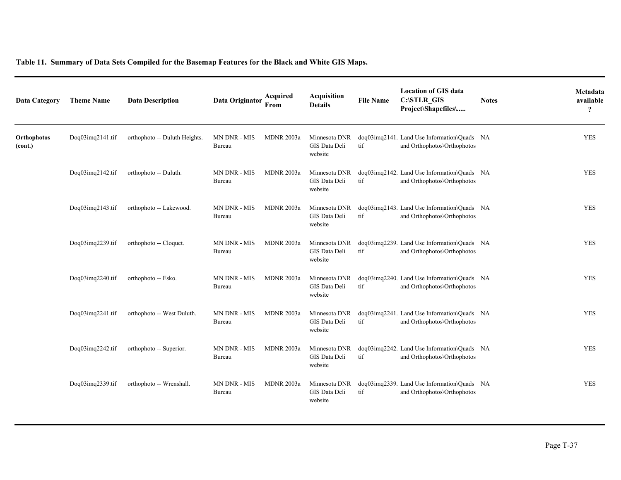| Data Category          | <b>Theme Name</b> | <b>Data Description</b>       | Data Originator               | Acquired<br>From  | <b>Acquisition</b><br><b>Details</b>      | <b>File Name</b> | <b>Location of GIS data</b><br>C:\STLR_GIS<br>Project\Shapefiles\          | <b>Notes</b> | Metadata<br>available<br>$\ddot{?}$ |
|------------------------|-------------------|-------------------------------|-------------------------------|-------------------|-------------------------------------------|------------------|----------------------------------------------------------------------------|--------------|-------------------------------------|
| Orthophotos<br>(cont.) | Doq03imq2141.tif  | orthophoto -- Duluth Heights. | MN DNR - MIS<br>Bureau        | <b>MDNR 2003a</b> | Minnesota DNR<br>GIS Data Deli<br>website | tif              | doq03imq2141. Land Use Information\Quads NA<br>and Orthophotos\Orthophotos |              | <b>YES</b>                          |
|                        | Doq03imq2142.tif  | orthophoto -- Duluth.         | MN DNR - MIS<br>Bureau        | <b>MDNR 2003a</b> | Minnesota DNR<br>GIS Data Deli<br>website | tif              | doq03imq2142. Land Use Information\Quads NA<br>and Orthophotos\Orthophotos |              | <b>YES</b>                          |
|                        | Doq03imq2143.tif  | orthophoto -- Lakewood.       | <b>MN DNR - MIS</b><br>Bureau | <b>MDNR 2003a</b> | Minnesota DNR<br>GIS Data Deli<br>website | tif              | doq03imq2143. Land Use Information\Quads NA<br>and Orthophotos\Orthophotos |              | <b>YES</b>                          |
|                        | Doq03imq2239.tif  | orthophoto -- Cloquet.        | MN DNR - MIS<br>Bureau        | <b>MDNR 2003a</b> | Minnesota DNR<br>GIS Data Deli<br>website | tif              | doq03imq2239. Land Use Information\Quads NA<br>and Orthophotos\Orthophotos |              | <b>YES</b>                          |
|                        | Doq03imq2240.tif  | orthophoto -- Esko.           | MN DNR - MIS<br>Bureau        | <b>MDNR 2003a</b> | Minnesota DNR<br>GIS Data Deli<br>website | tif              | doq03imq2240. Land Use Information\Quads NA<br>and Orthophotos\Orthophotos |              | <b>YES</b>                          |
|                        | Doq03imq2241.tif  | orthophoto -- West Duluth.    | MN DNR - MIS<br>Bureau        | <b>MDNR 2003a</b> | Minnesota DNR<br>GIS Data Deli<br>website | tif              | doq03imq2241. Land Use Information\Quads NA<br>and Orthophotos\Orthophotos |              | <b>YES</b>                          |
|                        | Doq03imq2242.tif  | orthophoto -- Superior.       | MN DNR - MIS<br>Bureau        | <b>MDNR 2003a</b> | Minnesota DNR<br>GIS Data Deli<br>website | tif              | doq03imq2242. Land Use Information\Quads NA<br>and Orthophotos\Orthophotos |              | <b>YES</b>                          |
|                        | Doq03imq2339.tif  | orthophoto -- Wrenshall.      | MN DNR - MIS<br>Bureau        | <b>MDNR 2003a</b> | Minnesota DNR<br>GIS Data Deli<br>website | tif              | doq03imq2339. Land Use Information\Quads NA<br>and Orthophotos\Orthophotos |              | <b>YES</b>                          |